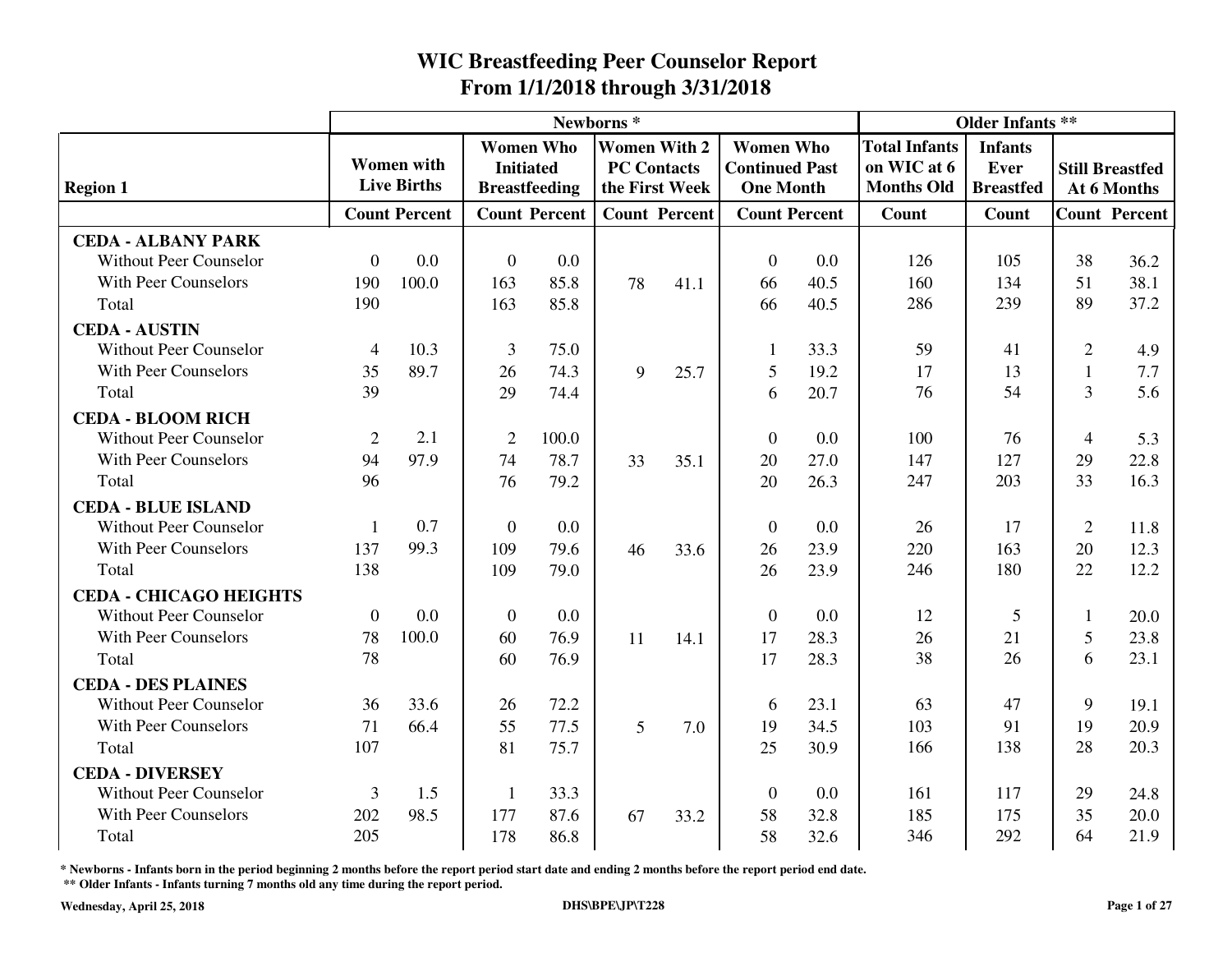|                               |                |                      |                |                      | Newborns* |                      |                       |                      |                      | <b>Older Infants **</b> |                |                        |
|-------------------------------|----------------|----------------------|----------------|----------------------|-----------|----------------------|-----------------------|----------------------|----------------------|-------------------------|----------------|------------------------|
|                               |                |                      |                | <b>Women Who</b>     |           | <b>Women With 2</b>  | <b>Women Who</b>      |                      | <b>Total Infants</b> | <b>Infants</b>          |                |                        |
|                               |                | <b>Women</b> with    |                | <b>Initiated</b>     |           | <b>PC Contacts</b>   | <b>Continued Past</b> |                      | on WIC at 6          | Ever                    |                | <b>Still Breastfed</b> |
| <b>Region 1</b>               |                | <b>Live Births</b>   |                | <b>Breastfeeding</b> |           | the First Week       | <b>One Month</b>      |                      | <b>Months Old</b>    | <b>Breastfed</b>        |                | At 6 Months            |
|                               |                | <b>Count Percent</b> |                | <b>Count Percent</b> |           | <b>Count Percent</b> |                       | <b>Count Percent</b> | Count                | Count                   |                | <b>Count Percent</b>   |
| <b>CEDA - ALBANY PARK</b>     |                |                      |                |                      |           |                      |                       |                      |                      |                         |                |                        |
| <b>Without Peer Counselor</b> | $\overline{0}$ | 0.0                  | $\mathbf{0}$   | 0.0                  |           |                      | $\theta$              | 0.0                  | 126                  | 105                     | 38             | 36.2                   |
| <b>With Peer Counselors</b>   | 190            | 100.0                | 163            | 85.8                 | 78        | 41.1                 | 66                    | 40.5                 | 160                  | 134                     | 51             | 38.1                   |
| Total                         | 190            |                      | 163            | 85.8                 |           |                      | 66                    | 40.5                 | 286                  | 239                     | 89             | 37.2                   |
| <b>CEDA - AUSTIN</b>          |                |                      |                |                      |           |                      |                       |                      |                      |                         |                |                        |
| <b>Without Peer Counselor</b> | $\overline{4}$ | 10.3                 | 3              | 75.0                 |           |                      |                       | 33.3                 | 59                   | 41                      | $\overline{2}$ | 4.9                    |
| With Peer Counselors          | 35             | 89.7                 | 26             | 74.3                 | 9         | 25.7                 | 5                     | 19.2                 | 17                   | 13                      | 1              | 7.7                    |
| Total                         | 39             |                      | 29             | 74.4                 |           |                      | 6                     | 20.7                 | 76                   | 54                      | 3              | 5.6                    |
| <b>CEDA - BLOOM RICH</b>      |                |                      |                |                      |           |                      |                       |                      |                      |                         |                |                        |
| <b>Without Peer Counselor</b> | 2              | 2.1                  | $\overline{2}$ | 100.0                |           |                      | $\Omega$              | 0.0                  | 100                  | 76                      | $\overline{4}$ | 5.3                    |
| <b>With Peer Counselors</b>   | 94             | 97.9                 | 74             | 78.7                 | 33        | 35.1                 | 20                    | 27.0                 | 147                  | 127                     | 29             | 22.8                   |
| Total                         | 96             |                      | 76             | 79.2                 |           |                      | 20                    | 26.3                 | 247                  | 203                     | 33             | 16.3                   |
| <b>CEDA - BLUE ISLAND</b>     |                |                      |                |                      |           |                      |                       |                      |                      |                         |                |                        |
| <b>Without Peer Counselor</b> | 1              | 0.7                  | $\overline{0}$ | 0.0                  |           |                      | $\theta$              | 0.0                  | 26                   | 17                      | $\overline{2}$ | 11.8                   |
| <b>With Peer Counselors</b>   | 137            | 99.3                 | 109            | 79.6                 | 46        | 33.6                 | 26                    | 23.9                 | 220                  | 163                     | 20             | 12.3                   |
| Total                         | 138            |                      | 109            | 79.0                 |           |                      | 26                    | 23.9                 | 246                  | 180                     | 22             | 12.2                   |
| <b>CEDA - CHICAGO HEIGHTS</b> |                |                      |                |                      |           |                      |                       |                      |                      |                         |                |                        |
| <b>Without Peer Counselor</b> | $\theta$       | 0.0                  | $\overline{0}$ | 0.0                  |           |                      | $\Omega$              | 0.0                  | 12                   | 5                       | 1              | 20.0                   |
| <b>With Peer Counselors</b>   | 78             | 100.0                | 60             | 76.9                 | 11        | 14.1                 | 17                    | 28.3                 | 26                   | 21                      | 5              | 23.8                   |
| Total                         | 78             |                      | 60             | 76.9                 |           |                      | 17                    | 28.3                 | 38                   | 26                      | 6              | 23.1                   |
| <b>CEDA - DES PLAINES</b>     |                |                      |                |                      |           |                      |                       |                      |                      |                         |                |                        |
| <b>Without Peer Counselor</b> | 36             | 33.6                 | 26             | 72.2                 |           |                      | 6                     | 23.1                 | 63                   | 47                      | 9              | 19.1                   |
| <b>With Peer Counselors</b>   | 71             | 66.4                 | 55             | 77.5                 | 5         | 7.0                  | 19                    | 34.5                 | 103                  | 91                      | 19             | 20.9                   |
| Total                         | 107            |                      | 81             | 75.7                 |           |                      | 25                    | 30.9                 | 166                  | 138                     | 28             | 20.3                   |
| <b>CEDA - DIVERSEY</b>        |                |                      |                |                      |           |                      |                       |                      |                      |                         |                |                        |
| <b>Without Peer Counselor</b> | 3              | 1.5                  | $\mathbf{1}$   | 33.3                 |           |                      | $\overline{0}$        | 0.0                  | 161                  | 117                     | 29             | 24.8                   |
| <b>With Peer Counselors</b>   | 202            | 98.5                 | 177            | 87.6                 | 67        | 33.2                 | 58                    | 32.8                 | 185                  | 175                     | 35             | 20.0                   |
| Total                         | 205            |                      | 178            | 86.8                 |           |                      | 58                    | 32.6                 | 346                  | 292                     | 64             | 21.9                   |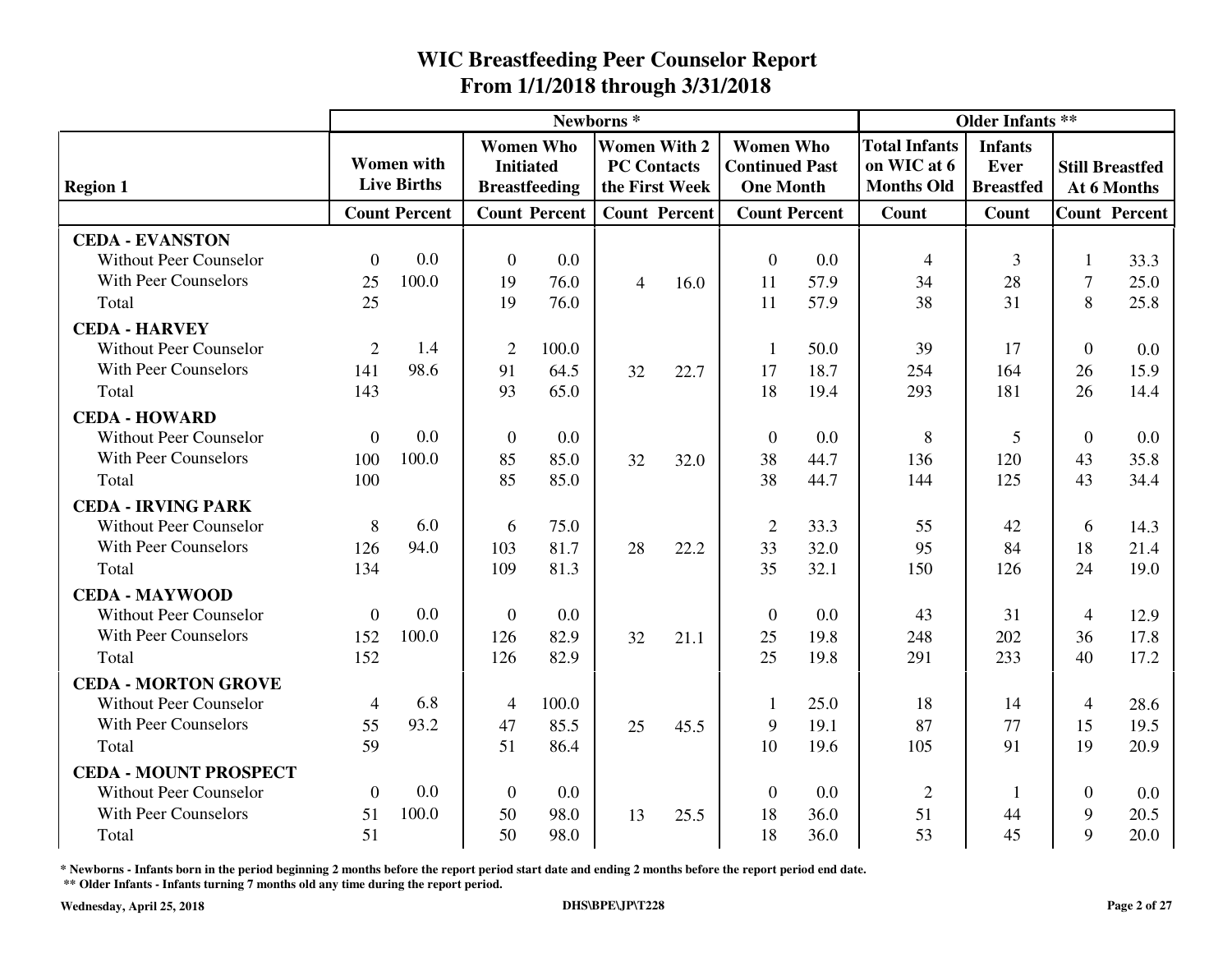|                               |                |                      |                |                                      | Newborns*      |                                           |                                           | <b>Older Infants **</b> |                                     |                        |                |                                       |
|-------------------------------|----------------|----------------------|----------------|--------------------------------------|----------------|-------------------------------------------|-------------------------------------------|-------------------------|-------------------------------------|------------------------|----------------|---------------------------------------|
|                               |                | <b>Women</b> with    |                | <b>Women Who</b><br><b>Initiated</b> |                | <b>Women With 2</b><br><b>PC Contacts</b> | <b>Women Who</b>                          |                         | <b>Total Infants</b><br>on WIC at 6 | <b>Infants</b><br>Ever |                |                                       |
| <b>Region 1</b>               |                | <b>Live Births</b>   |                | <b>Breastfeeding</b>                 |                | the First Week                            | <b>Continued Past</b><br><b>One Month</b> |                         | <b>Months Old</b>                   | <b>Breastfed</b>       |                | <b>Still Breastfed</b><br>At 6 Months |
|                               |                | <b>Count Percent</b> |                | <b>Count Percent</b>                 |                | <b>Count Percent</b>                      | <b>Count Percent</b>                      |                         | <b>Count</b>                        | Count                  |                | <b>Count Percent</b>                  |
| <b>CEDA - EVANSTON</b>        |                |                      |                |                                      |                |                                           |                                           |                         |                                     |                        |                |                                       |
| <b>Without Peer Counselor</b> | $\theta$       | 0.0                  | $\overline{0}$ | 0.0                                  |                |                                           | $\theta$                                  | 0.0                     | $\overline{4}$                      | 3                      |                | 33.3                                  |
| <b>With Peer Counselors</b>   | 25             | 100.0                | 19             | 76.0                                 | $\overline{4}$ | 16.0                                      | 11                                        | 57.9                    | 34                                  | 28                     | $\overline{7}$ | 25.0                                  |
| Total                         | 25             |                      | 19             | 76.0                                 |                |                                           | 11                                        | 57.9                    | 38                                  | 31                     | 8              | 25.8                                  |
| <b>CEDA - HARVEY</b>          |                |                      |                |                                      |                |                                           |                                           |                         |                                     |                        |                |                                       |
| <b>Without Peer Counselor</b> | $\overline{2}$ | 1.4                  | $\overline{2}$ | 100.0                                |                |                                           | 1                                         | 50.0                    | 39                                  | 17                     | $\theta$       | 0.0                                   |
| <b>With Peer Counselors</b>   | 141            | 98.6                 | 91             | 64.5                                 | 32             | 22.7                                      | 17                                        | 18.7                    | 254                                 | 164                    | 26             | 15.9                                  |
| Total                         | 143            |                      | 93             | 65.0                                 |                |                                           | 18                                        | 19.4                    | 293                                 | 181                    | 26             | 14.4                                  |
| <b>CEDA - HOWARD</b>          |                |                      |                |                                      |                |                                           |                                           |                         |                                     |                        |                |                                       |
| <b>Without Peer Counselor</b> | $\theta$       | 0.0                  | $\theta$       | 0.0                                  |                |                                           | $\theta$                                  | 0.0                     | 8                                   | 5                      | $\theta$       | 0.0                                   |
| <b>With Peer Counselors</b>   | 100            | 100.0                | 85             | 85.0                                 | 32             | 32.0                                      | 38                                        | 44.7                    | 136                                 | 120                    | 43             | 35.8                                  |
| Total                         | 100            |                      | 85             | 85.0                                 |                |                                           | 38                                        | 44.7                    | 144                                 | 125                    | 43             | 34.4                                  |
| <b>CEDA - IRVING PARK</b>     |                |                      |                |                                      |                |                                           |                                           |                         |                                     |                        |                |                                       |
| <b>Without Peer Counselor</b> | 8              | 6.0                  | 6              | 75.0                                 |                |                                           | $\overline{2}$                            | 33.3                    | 55                                  | 42                     | 6              | 14.3                                  |
| <b>With Peer Counselors</b>   | 126            | 94.0                 | 103            | 81.7                                 | 28             | 22.2                                      | 33                                        | 32.0                    | 95                                  | 84                     | 18             | 21.4                                  |
| Total                         | 134            |                      | 109            | 81.3                                 |                |                                           | 35                                        | 32.1                    | 150                                 | 126                    | 24             | 19.0                                  |
| <b>CEDA - MAYWOOD</b>         |                |                      |                |                                      |                |                                           |                                           |                         |                                     |                        |                |                                       |
| <b>Without Peer Counselor</b> | $\overline{0}$ | 0.0                  | $\mathbf{0}$   | 0.0                                  |                |                                           | $\theta$                                  | 0.0                     | 43                                  | 31                     | 4              | 12.9                                  |
| With Peer Counselors          | 152            | 100.0                | 126            | 82.9                                 | 32             | 21.1                                      | 25                                        | 19.8                    | 248                                 | 202                    | 36             | 17.8                                  |
| Total                         | 152            |                      | 126            | 82.9                                 |                |                                           | 25                                        | 19.8                    | 291                                 | 233                    | 40             | 17.2                                  |
| <b>CEDA - MORTON GROVE</b>    |                |                      |                |                                      |                |                                           |                                           |                         |                                     |                        |                |                                       |
| <b>Without Peer Counselor</b> | $\overline{4}$ | 6.8                  | $\overline{4}$ | 100.0                                |                |                                           |                                           | 25.0                    | 18                                  | 14                     | $\overline{4}$ | 28.6                                  |
| With Peer Counselors          | 55             | 93.2                 | 47             | 85.5                                 | 25             | 45.5                                      | 9                                         | 19.1                    | 87                                  | 77                     | 15             | 19.5                                  |
| Total                         | 59             |                      | 51             | 86.4                                 |                |                                           | 10                                        | 19.6                    | 105                                 | 91                     | 19             | 20.9                                  |
| <b>CEDA - MOUNT PROSPECT</b>  |                |                      |                |                                      |                |                                           |                                           |                         |                                     |                        |                |                                       |
| <b>Without Peer Counselor</b> | $\Omega$       | 0.0                  | $\mathbf{0}$   | 0.0                                  |                |                                           | $\theta$                                  | 0.0                     | $\overline{2}$                      | -1                     | $\Omega$       | 0.0                                   |
| <b>With Peer Counselors</b>   | 51             | 100.0                | 50             | 98.0                                 | 13             | 25.5                                      | 18                                        | 36.0                    | 51                                  | 44                     | 9              | 20.5                                  |
| Total                         | 51             |                      | 50             | 98.0                                 |                |                                           | 18                                        | 36.0                    | 53                                  | 45                     | 9              | 20.0                                  |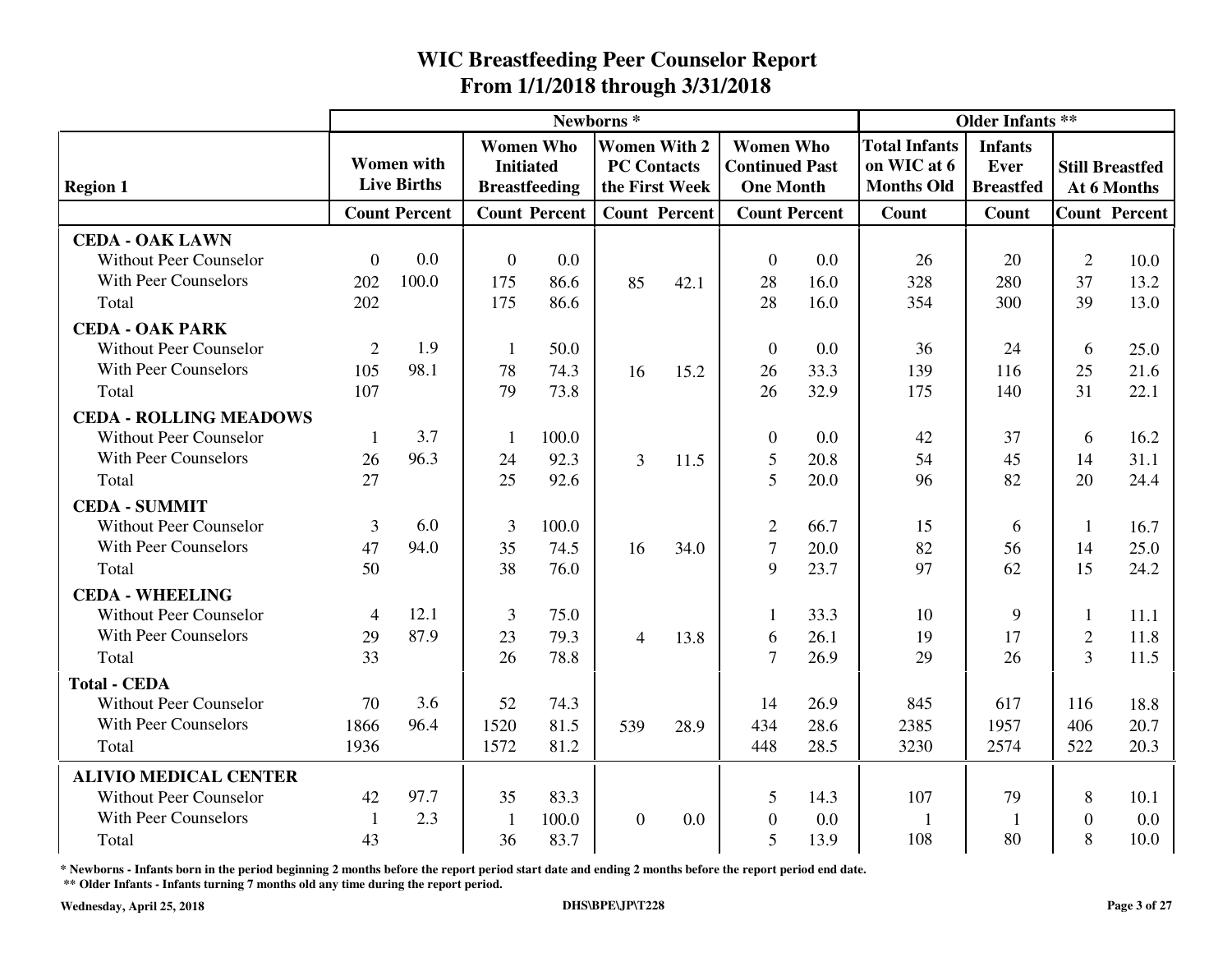|                               |                |                                         |                  |                                          | Newborns*      |                                                             |                                                               | <b>Older Infants **</b> |                                                          |                                                   |                |                                       |
|-------------------------------|----------------|-----------------------------------------|------------------|------------------------------------------|----------------|-------------------------------------------------------------|---------------------------------------------------------------|-------------------------|----------------------------------------------------------|---------------------------------------------------|----------------|---------------------------------------|
| <b>Region 1</b>               |                | <b>Women</b> with<br><b>Live Births</b> | <b>Initiated</b> | <b>Women Who</b><br><b>Breastfeeding</b> |                | <b>Women With 2</b><br><b>PC Contacts</b><br>the First Week | <b>Women Who</b><br><b>Continued Past</b><br><b>One Month</b> |                         | <b>Total Infants</b><br>on WIC at 6<br><b>Months Old</b> | <b>Infants</b><br><b>Ever</b><br><b>Breastfed</b> |                | <b>Still Breastfed</b><br>At 6 Months |
|                               |                | <b>Count Percent</b>                    |                  | <b>Count Percent</b>                     |                | <b>Count Percent</b>                                        | <b>Count Percent</b>                                          |                         | Count                                                    | Count                                             |                | <b>Count Percent</b>                  |
| <b>CEDA - OAK LAWN</b>        |                |                                         |                  |                                          |                |                                                             |                                                               |                         |                                                          |                                                   |                |                                       |
| <b>Without Peer Counselor</b> | $\overline{0}$ | 0.0                                     | $\overline{0}$   | 0.0                                      |                |                                                             | $\theta$                                                      | 0.0                     | 26                                                       | 20                                                | $\overline{2}$ | 10.0                                  |
| With Peer Counselors          | 202            | 100.0                                   | 175              | 86.6                                     | 85             | 42.1                                                        | 28                                                            | 16.0                    | 328                                                      | 280                                               | 37             | 13.2                                  |
| Total                         | 202            |                                         | 175              | 86.6                                     |                |                                                             | 28                                                            | 16.0                    | 354                                                      | 300                                               | 39             | 13.0                                  |
| <b>CEDA - OAK PARK</b>        |                |                                         |                  |                                          |                |                                                             |                                                               |                         |                                                          |                                                   |                |                                       |
| <b>Without Peer Counselor</b> | $\overline{2}$ | 1.9                                     | $\mathbf{1}$     | 50.0                                     |                |                                                             | $\overline{0}$                                                | 0.0                     | 36                                                       | 24                                                | 6              | 25.0                                  |
| <b>With Peer Counselors</b>   | 105            | 98.1                                    | 78               | 74.3                                     | 16             | 15.2                                                        | 26                                                            | 33.3                    | 139                                                      | 116                                               | 25             | 21.6                                  |
| Total                         | 107            |                                         | 79               | 73.8                                     |                |                                                             | 26                                                            | 32.9                    | 175                                                      | 140                                               | 31             | 22.1                                  |
| <b>CEDA - ROLLING MEADOWS</b> |                |                                         |                  |                                          |                |                                                             |                                                               |                         |                                                          |                                                   |                |                                       |
| <b>Without Peer Counselor</b> | 1              | 3.7                                     | $\mathbf{1}$     | 100.0                                    |                |                                                             | $\mathbf{0}$                                                  | 0.0                     | 42                                                       | 37                                                | 6              | 16.2                                  |
| With Peer Counselors          | 26             | 96.3                                    | 24               | 92.3                                     | 3              | 11.5                                                        | 5                                                             | 20.8                    | 54                                                       | 45                                                | 14             | 31.1                                  |
| Total                         | 27             |                                         | 25               | 92.6                                     |                |                                                             | 5                                                             | 20.0                    | 96                                                       | 82                                                | 20             | 24.4                                  |
| <b>CEDA - SUMMIT</b>          |                |                                         |                  |                                          |                |                                                             |                                                               |                         |                                                          |                                                   |                |                                       |
| <b>Without Peer Counselor</b> | 3              | 6.0                                     | 3                | 100.0                                    |                |                                                             | $\overline{2}$                                                | 66.7                    | 15                                                       | 6                                                 | 1              | 16.7                                  |
| <b>With Peer Counselors</b>   | 47             | 94.0                                    | 35               | 74.5                                     | 16             | 34.0                                                        | $\tau$                                                        | 20.0                    | 82                                                       | 56                                                | 14             | 25.0                                  |
| Total                         | 50             |                                         | 38               | 76.0                                     |                |                                                             | 9                                                             | 23.7                    | 97                                                       | 62                                                | 15             | 24.2                                  |
| <b>CEDA - WHEELING</b>        |                |                                         |                  |                                          |                |                                                             |                                                               |                         |                                                          |                                                   |                |                                       |
| <b>Without Peer Counselor</b> | $\overline{4}$ | 12.1                                    | 3                | 75.0                                     |                |                                                             |                                                               | 33.3                    | 10                                                       | 9                                                 | $\mathbf{1}$   | 11.1                                  |
| With Peer Counselors          | 29             | 87.9                                    | 23               | 79.3                                     | $\overline{4}$ | 13.8                                                        | 6                                                             | 26.1                    | 19                                                       | 17                                                | $\overline{2}$ | 11.8                                  |
| Total                         | 33             |                                         | 26               | 78.8                                     |                |                                                             | $\tau$                                                        | 26.9                    | 29                                                       | 26                                                | $\overline{3}$ | 11.5                                  |
| <b>Total - CEDA</b>           |                |                                         |                  |                                          |                |                                                             |                                                               |                         |                                                          |                                                   |                |                                       |
| <b>Without Peer Counselor</b> | 70             | 3.6                                     | 52               | 74.3                                     |                |                                                             | 14                                                            | 26.9                    | 845                                                      | 617                                               | 116            | 18.8                                  |
| <b>With Peer Counselors</b>   | 1866           | 96.4                                    | 1520             | 81.5                                     | 539            | 28.9                                                        | 434                                                           | 28.6                    | 2385                                                     | 1957                                              | 406            | 20.7                                  |
| Total                         | 1936           |                                         | 1572             | 81.2                                     |                |                                                             | 448                                                           | 28.5                    | 3230                                                     | 2574                                              | 522            | 20.3                                  |
| <b>ALIVIO MEDICAL CENTER</b>  |                |                                         |                  |                                          |                |                                                             |                                                               |                         |                                                          |                                                   |                |                                       |
| <b>Without Peer Counselor</b> | 42             | 97.7                                    | 35               | 83.3                                     |                |                                                             | 5                                                             | 14.3                    | 107                                                      | 79                                                | 8              | 10.1                                  |
| With Peer Counselors          | $\mathbf{1}$   | 2.3                                     | $\mathbf{1}$     | 100.0                                    | $\overline{0}$ | 0.0                                                         | $\overline{0}$                                                | 0.0                     | $\mathbf{1}$                                             | 1                                                 | $\Omega$       | 0.0                                   |
| Total                         | 43             |                                         | 36               | 83.7                                     |                |                                                             | 5                                                             | 13.9                    | 108                                                      | 80                                                | 8              | 10.0                                  |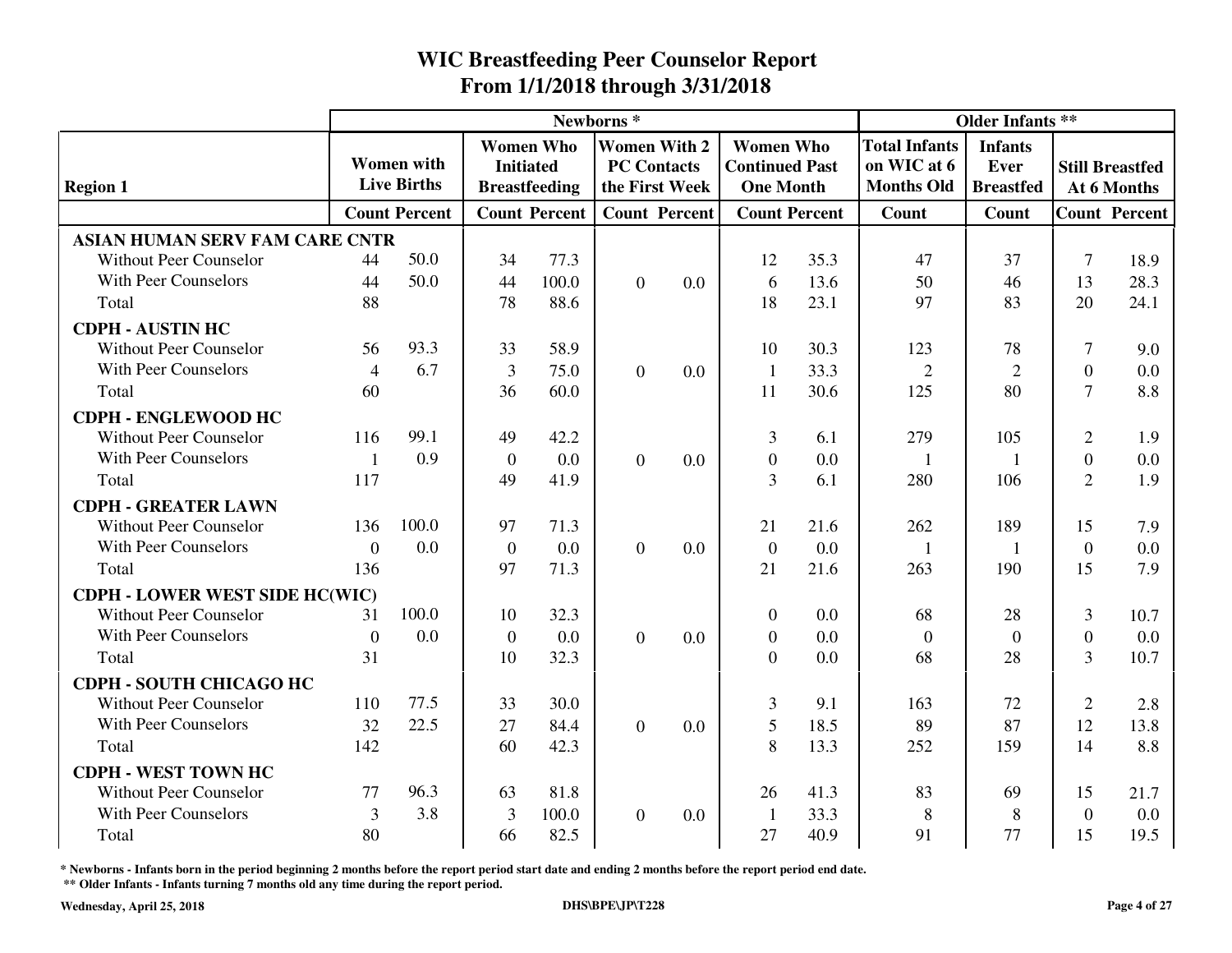|                                       |                |                      |                |                                      | Newborns*      |                                           |                                           |      | <b>Older Infants **</b>             |                        |                |                        |
|---------------------------------------|----------------|----------------------|----------------|--------------------------------------|----------------|-------------------------------------------|-------------------------------------------|------|-------------------------------------|------------------------|----------------|------------------------|
|                                       |                | <b>Women</b> with    |                | <b>Women Who</b><br><b>Initiated</b> |                | <b>Women With 2</b><br><b>PC Contacts</b> | <b>Women Who</b><br><b>Continued Past</b> |      | <b>Total Infants</b><br>on WIC at 6 | <b>Infants</b><br>Ever |                | <b>Still Breastfed</b> |
| <b>Region 1</b>                       |                | <b>Live Births</b>   |                | <b>Breastfeeding</b>                 |                | the First Week                            | <b>One Month</b>                          |      | <b>Months Old</b>                   | <b>Breastfed</b>       |                | At 6 Months            |
|                                       |                | <b>Count Percent</b> |                | <b>Count Percent</b>                 |                | <b>Count Percent</b>                      | <b>Count Percent</b>                      |      | <b>Count</b>                        | Count                  |                | <b>Count Percent</b>   |
| <b>ASIAN HUMAN SERV FAM CARE CNTR</b> |                |                      |                |                                      |                |                                           |                                           |      |                                     |                        |                |                        |
| <b>Without Peer Counselor</b>         | 44             | 50.0                 | 34             | 77.3                                 |                |                                           | 12                                        | 35.3 | 47                                  | 37                     | $\tau$         | 18.9                   |
| <b>With Peer Counselors</b>           | 44             | 50.0                 | 44             | 100.0                                | $\theta$       | 0.0                                       | 6                                         | 13.6 | 50                                  | 46                     | 13             | 28.3                   |
| Total                                 | 88             |                      | 78             | 88.6                                 |                |                                           | 18                                        | 23.1 | 97                                  | 83                     | 20             | 24.1                   |
| <b>CDPH - AUSTIN HC</b>               |                |                      |                |                                      |                |                                           |                                           |      |                                     |                        |                |                        |
| <b>Without Peer Counselor</b>         | 56             | 93.3                 | 33             | 58.9                                 |                |                                           | 10                                        | 30.3 | 123                                 | 78                     | 7              | 9.0                    |
| <b>With Peer Counselors</b>           | $\overline{4}$ | 6.7                  | 3              | 75.0                                 | $\theta$       | 0.0                                       | $\overline{1}$                            | 33.3 | $\overline{2}$                      | $\overline{2}$         | $\Omega$       | 0.0                    |
| Total                                 | 60             |                      | 36             | 60.0                                 |                |                                           | 11                                        | 30.6 | 125                                 | 80                     | $\overline{7}$ | 8.8                    |
| <b>CDPH - ENGLEWOOD HC</b>            |                |                      |                |                                      |                |                                           |                                           |      |                                     |                        |                |                        |
| <b>Without Peer Counselor</b>         | 116            | 99.1                 | 49             | 42.2                                 |                |                                           | 3                                         | 6.1  | 279                                 | 105                    | $\overline{2}$ | 1.9                    |
| <b>With Peer Counselors</b>           | $\mathbf{1}$   | 0.9                  | $\overline{0}$ | 0.0                                  | $\overline{0}$ | 0.0                                       | $\overline{0}$                            | 0.0  | $\overline{1}$                      | $\mathbf{1}$           | $\overline{0}$ | 0.0                    |
| Total                                 | 117            |                      | 49             | 41.9                                 |                |                                           | 3                                         | 6.1  | 280                                 | 106                    | $\overline{2}$ | 1.9                    |
| <b>CDPH - GREATER LAWN</b>            |                |                      |                |                                      |                |                                           |                                           |      |                                     |                        |                |                        |
| <b>Without Peer Counselor</b>         | 136            | 100.0                | 97             | 71.3                                 |                |                                           | 21                                        | 21.6 | 262                                 | 189                    | 15             | 7.9                    |
| <b>With Peer Counselors</b>           | $\theta$       | 0.0                  | $\overline{0}$ | 0.0                                  | $\overline{0}$ | 0.0                                       | $\overline{0}$                            | 0.0  | $\mathbf{1}$                        | $\mathbf{1}$           | $\overline{0}$ | 0.0                    |
| Total                                 | 136            |                      | 97             | 71.3                                 |                |                                           | 21                                        | 21.6 | 263                                 | 190                    | 15             | 7.9                    |
| <b>CDPH - LOWER WEST SIDE HC(WIC)</b> |                |                      |                |                                      |                |                                           |                                           |      |                                     |                        |                |                        |
| <b>Without Peer Counselor</b>         | 31             | 100.0                | 10             | 32.3                                 |                |                                           | $\theta$                                  | 0.0  | 68                                  | 28                     | 3              | 10.7                   |
| <b>With Peer Counselors</b>           | $\overline{0}$ | 0.0                  | $\mathbf{0}$   | 0.0                                  | $\overline{0}$ | 0.0                                       | $\mathbf{0}$                              | 0.0  | $\overline{0}$                      | $\mathbf{0}$           | $\overline{0}$ | 0.0                    |
| Total                                 | 31             |                      | 10             | 32.3                                 |                |                                           | $\Omega$                                  | 0.0  | 68                                  | 28                     | 3              | 10.7                   |
| CDPH - SOUTH CHICAGO HC               |                |                      |                |                                      |                |                                           |                                           |      |                                     |                        |                |                        |
| <b>Without Peer Counselor</b>         | 110            | 77.5                 | 33             | 30.0                                 |                |                                           | 3                                         | 9.1  | 163                                 | 72                     | $\mathbf{2}$   | 2.8                    |
| With Peer Counselors                  | 32             | 22.5                 | 27             | 84.4                                 | $\overline{0}$ | 0.0                                       | 5                                         | 18.5 | 89                                  | 87                     | 12             | 13.8                   |
| Total                                 | 142            |                      | 60             | 42.3                                 |                |                                           | 8                                         | 13.3 | 252                                 | 159                    | 14             | 8.8                    |
| <b>CDPH - WEST TOWN HC</b>            |                |                      |                |                                      |                |                                           |                                           |      |                                     |                        |                |                        |
| <b>Without Peer Counselor</b>         | 77             | 96.3                 | 63             | 81.8                                 |                |                                           | 26                                        | 41.3 | 83                                  | 69                     | 15             | 21.7                   |
| <b>With Peer Counselors</b>           | 3              | 3.8                  | 3              | 100.0                                | $\Omega$       | 0.0                                       | $\overline{1}$                            | 33.3 | 8                                   | 8                      | $\Omega$       | 0.0                    |
| Total                                 | 80             |                      | 66             | 82.5                                 |                |                                           | 27                                        | 40.9 | 91                                  | 77                     | 15             | 19.5                   |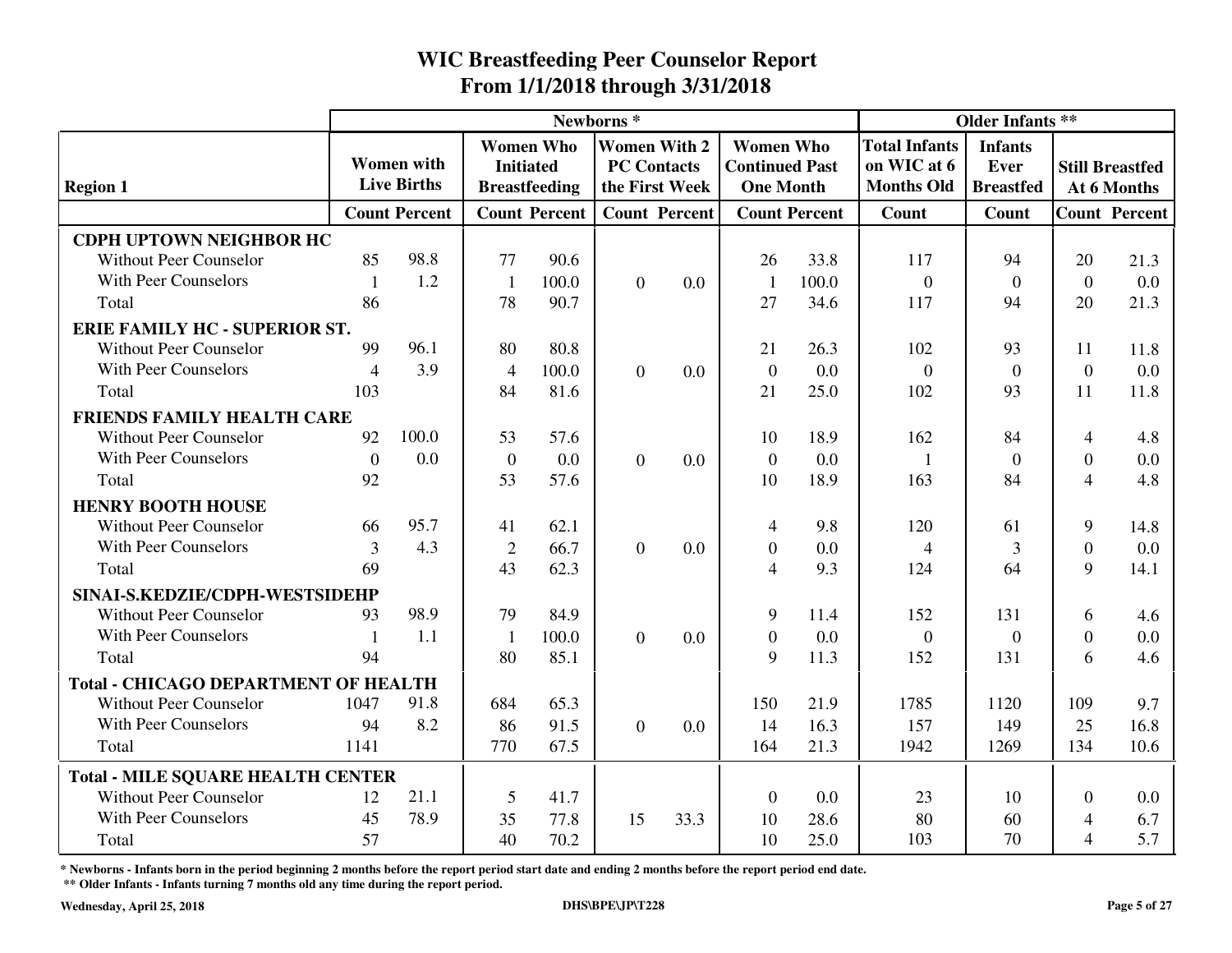|                                             |                |                      |                |                      | Newborns <sup>*</sup> |                      |                       |                      | <b>Older Infants **</b> |                  |                          |                        |
|---------------------------------------------|----------------|----------------------|----------------|----------------------|-----------------------|----------------------|-----------------------|----------------------|-------------------------|------------------|--------------------------|------------------------|
|                                             |                |                      |                | <b>Women Who</b>     | <b>Women With 2</b>   |                      | <b>Women Who</b>      |                      | <b>Total Infants</b>    | <b>Infants</b>   |                          |                        |
|                                             |                | <b>Women</b> with    |                | <b>Initiated</b>     | <b>PC Contacts</b>    |                      | <b>Continued Past</b> |                      | on WIC at 6             | Ever             |                          | <b>Still Breastfed</b> |
| <b>Region 1</b>                             |                | <b>Live Births</b>   |                | <b>Breastfeeding</b> |                       | the First Week       | <b>One Month</b>      |                      | <b>Months Old</b>       | <b>Breastfed</b> |                          | At 6 Months            |
|                                             |                | <b>Count Percent</b> |                | <b>Count Percent</b> |                       | <b>Count Percent</b> |                       | <b>Count Percent</b> | Count                   | Count            |                          | <b>Count Percent</b>   |
| <b>CDPH UPTOWN NEIGHBOR HC</b>              |                |                      |                |                      |                       |                      |                       |                      |                         |                  |                          |                        |
| <b>Without Peer Counselor</b>               | 85             | 98.8                 | 77             | 90.6                 |                       |                      | 26                    | 33.8                 | 117                     | 94               | 20                       | 21.3                   |
| With Peer Counselors                        | $\mathbf{1}$   | 1.2                  | $\mathbf{1}$   | 100.0                | $\overline{0}$        | 0.0                  | -1                    | 100.0                | $\mathbf{0}$            | $\boldsymbol{0}$ | $\theta$                 | 0.0                    |
| Total                                       | 86             |                      | 78             | 90.7                 |                       |                      | 27                    | 34.6                 | 117                     | 94               | 20                       | 21.3                   |
| <b>ERIE FAMILY HC - SUPERIOR ST.</b>        |                |                      |                |                      |                       |                      |                       |                      |                         |                  |                          |                        |
| <b>Without Peer Counselor</b>               | 99             | 96.1                 | 80             | 80.8                 |                       |                      | 21                    | 26.3                 | 102                     | 93               | 11                       | 11.8                   |
| With Peer Counselors                        | $\overline{4}$ | 3.9                  | $\overline{4}$ | 100.0                | $\overline{0}$        | 0.0                  | $\overline{0}$        | 0.0                  | $\overline{0}$          | $\boldsymbol{0}$ | $\theta$                 | 0.0                    |
| Total                                       | 103            |                      | 84             | 81.6                 |                       |                      | 21                    | 25.0                 | 102                     | 93               | 11                       | 11.8                   |
| <b>FRIENDS FAMILY HEALTH CARE</b>           |                |                      |                |                      |                       |                      |                       |                      |                         |                  |                          |                        |
| <b>Without Peer Counselor</b>               | 92             | 100.0                | 53             | 57.6                 |                       |                      | 10                    | 18.9                 | 162                     | 84               | 4                        | 4.8                    |
| With Peer Counselors                        | $\overline{0}$ | 0.0                  | $\mathbf{0}$   | 0.0                  | $\overline{0}$        | 0.0                  | $\overline{0}$        | 0.0                  | $\mathbf{1}$            | $\overline{0}$   | $\overline{0}$           | 0.0                    |
| Total                                       | 92             |                      | 53             | 57.6                 |                       |                      | 10                    | 18.9                 | 163                     | 84               | $\overline{4}$           | 4.8                    |
| <b>HENRY BOOTH HOUSE</b>                    |                |                      |                |                      |                       |                      |                       |                      |                         |                  |                          |                        |
| <b>Without Peer Counselor</b>               | 66             | 95.7                 | 41             | 62.1                 |                       |                      | 4                     | 9.8                  | 120                     | 61               | 9                        | 14.8                   |
| With Peer Counselors                        | 3              | 4.3                  | $\mathbf{2}$   | 66.7                 | $\overline{0}$        | 0.0                  | $\boldsymbol{0}$      | 0.0                  | $\overline{4}$          | 3                | $\overline{0}$           | $0.0\,$                |
| Total                                       | 69             |                      | 43             | 62.3                 |                       |                      | $\overline{4}$        | 9.3                  | 124                     | 64               | 9                        | 14.1                   |
| SINAI-S.KEDZIE/CDPH-WESTSIDEHP              |                |                      |                |                      |                       |                      |                       |                      |                         |                  |                          |                        |
| <b>Without Peer Counselor</b>               | 93             | 98.9                 | 79             | 84.9                 |                       |                      | 9                     | 11.4                 | 152                     | 131              | 6                        | 4.6                    |
| <b>With Peer Counselors</b>                 | $\mathbf{1}$   | 1.1                  | $\mathbf{1}$   | 100.0                | $\overline{0}$        | 0.0                  | $\boldsymbol{0}$      | 0.0                  | $\overline{0}$          | $\boldsymbol{0}$ | $\Omega$                 | 0.0                    |
| Total                                       | 94             |                      | 80             | 85.1                 |                       |                      | 9                     | 11.3                 | 152                     | 131              | 6                        | 4.6                    |
| <b>Total - CHICAGO DEPARTMENT OF HEALTH</b> |                |                      |                |                      |                       |                      |                       |                      |                         |                  |                          |                        |
| Without Peer Counselor                      | 1047           | 91.8                 | 684            | 65.3                 |                       |                      | 150                   | 21.9                 | 1785                    | 1120             | 109                      | 9.7                    |
| <b>With Peer Counselors</b>                 | 94             | 8.2                  | 86             | 91.5                 | $\overline{0}$        | 0.0                  | 14                    | 16.3                 | 157                     | 149              | 25                       | 16.8                   |
| Total                                       | 1141           |                      | 770            | 67.5                 |                       |                      | 164                   | 21.3                 | 1942                    | 1269             | 134                      | 10.6                   |
| <b>Total - MILE SQUARE HEALTH CENTER</b>    |                |                      |                |                      |                       |                      |                       |                      |                         |                  |                          |                        |
| <b>Without Peer Counselor</b>               | 12             | 21.1                 | 5              | 41.7                 |                       |                      | $\overline{0}$        | 0.0                  | 23                      | 10               | $\Omega$                 | $0.0\,$                |
| With Peer Counselors                        | 45             | 78.9                 | 35             | 77.8                 | 15                    | 33.3                 | 10                    | 28.6                 | 80                      | 60               | 4                        | 6.7                    |
| Total                                       | 57             |                      | 40             | 70.2                 |                       |                      | 10                    | 25.0                 | 103                     | 70               | $\overline{\mathcal{A}}$ | 5.7                    |

**\* Newborns - Infants born in the period beginning 2 months before the report period start date and ending 2 months before the report period end date.**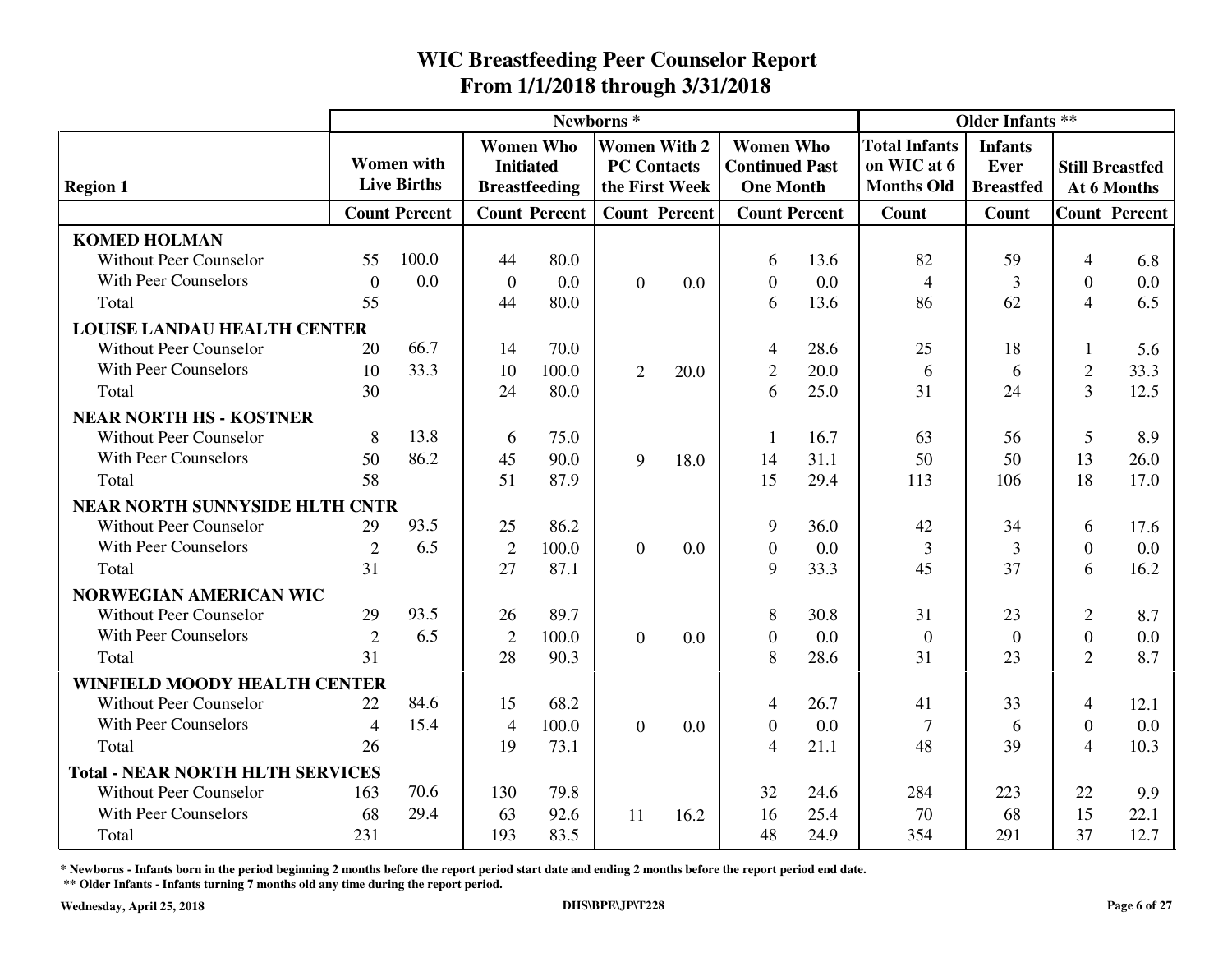|                                         |                |                      |                |                                      | Newborns*                                 |                      |                                           | <b>Older Infants **</b> |                                     |                        |                          |                        |
|-----------------------------------------|----------------|----------------------|----------------|--------------------------------------|-------------------------------------------|----------------------|-------------------------------------------|-------------------------|-------------------------------------|------------------------|--------------------------|------------------------|
|                                         |                | <b>Women</b> with    |                | <b>Women Who</b><br><b>Initiated</b> | <b>Women With 2</b><br><b>PC Contacts</b> |                      | <b>Women Who</b><br><b>Continued Past</b> |                         | <b>Total Infants</b><br>on WIC at 6 | <b>Infants</b><br>Ever |                          | <b>Still Breastfed</b> |
| <b>Region 1</b>                         |                | <b>Live Births</b>   |                | <b>Breastfeeding</b>                 |                                           | the First Week       | <b>One Month</b>                          |                         | <b>Months Old</b>                   | <b>Breastfed</b>       |                          | At 6 Months            |
|                                         |                | <b>Count Percent</b> |                | <b>Count Percent</b>                 |                                           | <b>Count Percent</b> | <b>Count Percent</b>                      |                         | Count                               | Count                  |                          | <b>Count Percent</b>   |
| <b>KOMED HOLMAN</b>                     |                |                      |                |                                      |                                           |                      |                                           |                         |                                     |                        |                          |                        |
| <b>Without Peer Counselor</b>           | 55             | 100.0                | 44             | 80.0                                 |                                           |                      | 6                                         | 13.6                    | 82                                  | 59                     | $\overline{4}$           | 6.8                    |
| <b>With Peer Counselors</b>             | $\overline{0}$ | 0.0                  | $\overline{0}$ | 0.0                                  | $\overline{0}$                            | 0.0                  | $\theta$                                  | 0.0                     | $\overline{4}$                      | 3                      | $\Omega$                 | 0.0                    |
| Total                                   | 55             |                      | 44             | 80.0                                 |                                           |                      | 6                                         | 13.6                    | 86                                  | 62                     | $\overline{\mathcal{A}}$ | 6.5                    |
| <b>LOUISE LANDAU HEALTH CENTER</b>      |                |                      |                |                                      |                                           |                      |                                           |                         |                                     |                        |                          |                        |
| <b>Without Peer Counselor</b>           | 20             | 66.7                 | 14             | 70.0                                 |                                           |                      | 4                                         | 28.6                    | 25                                  | 18                     | 1                        | 5.6                    |
| <b>With Peer Counselors</b>             | 10             | 33.3                 | 10             | 100.0                                | $\overline{2}$                            | 20.0                 | $\overline{2}$                            | 20.0                    | 6                                   | 6                      | $\mathfrak{2}$           | 33.3                   |
| Total                                   | 30             |                      | 24             | 80.0                                 |                                           |                      | 6                                         | 25.0                    | 31                                  | 24                     | $\overline{3}$           | 12.5                   |
| <b>NEAR NORTH HS - KOSTNER</b>          |                |                      |                |                                      |                                           |                      |                                           |                         |                                     |                        |                          |                        |
| <b>Without Peer Counselor</b>           | 8              | 13.8                 | 6              | 75.0                                 |                                           |                      | -1                                        | 16.7                    | 63                                  | 56                     | 5                        | 8.9                    |
| With Peer Counselors                    | 50             | 86.2                 | 45             | 90.0                                 | 9                                         | 18.0                 | 14                                        | 31.1                    | 50                                  | 50                     | 13                       | 26.0                   |
| Total                                   | 58             |                      | 51             | 87.9                                 |                                           |                      | 15                                        | 29.4                    | 113                                 | 106                    | 18                       | 17.0                   |
| <b>NEAR NORTH SUNNYSIDE HLTH CNTR</b>   |                |                      |                |                                      |                                           |                      |                                           |                         |                                     |                        |                          |                        |
| <b>Without Peer Counselor</b>           | 29             | 93.5                 | 25             | 86.2                                 |                                           |                      | 9                                         | 36.0                    | 42                                  | 34                     | 6                        | 17.6                   |
| <b>With Peer Counselors</b>             | $\overline{2}$ | 6.5                  | $\overline{2}$ | 100.0                                | $\Omega$                                  | 0.0                  | $\mathbf{0}$                              | 0.0                     | 3                                   | 3                      | $\Omega$                 | 0.0                    |
| Total                                   | 31             |                      | 27             | 87.1                                 |                                           |                      | 9                                         | 33.3                    | 45                                  | 37                     | 6                        | 16.2                   |
| <b>NORWEGIAN AMERICAN WIC</b>           |                |                      |                |                                      |                                           |                      |                                           |                         |                                     |                        |                          |                        |
| <b>Without Peer Counselor</b>           | 29             | 93.5                 | 26             | 89.7                                 |                                           |                      | 8                                         | 30.8                    | 31                                  | 23                     | 2                        | 8.7                    |
| <b>With Peer Counselors</b>             | $\overline{2}$ | 6.5                  | $\overline{2}$ | 100.0                                | $\overline{0}$                            | 0.0                  | $\overline{0}$                            | 0.0                     | $\overline{0}$                      | $\overline{0}$         | $\overline{0}$           | 0.0                    |
| Total                                   | 31             |                      | 28             | 90.3                                 |                                           |                      | 8                                         | 28.6                    | 31                                  | 23                     | $\overline{2}$           | 8.7                    |
| <b>WINFIELD MOODY HEALTH CENTER</b>     |                |                      |                |                                      |                                           |                      |                                           |                         |                                     |                        |                          |                        |
| <b>Without Peer Counselor</b>           | 22             | 84.6                 | 15             | 68.2                                 |                                           |                      | 4                                         | 26.7                    | 41                                  | 33                     | 4                        | 12.1                   |
| <b>With Peer Counselors</b>             | 4              | 15.4                 | $\overline{4}$ | 100.0                                | $\overline{0}$                            | 0.0                  | $\overline{0}$                            | 0.0                     | $\overline{7}$                      | 6                      | $\theta$                 | 0.0                    |
| Total                                   | 26             |                      | 19             | 73.1                                 |                                           |                      | $\overline{4}$                            | 21.1                    | 48                                  | 39                     | $\overline{4}$           | 10.3                   |
| <b>Total - NEAR NORTH HLTH SERVICES</b> |                |                      |                |                                      |                                           |                      |                                           |                         |                                     |                        |                          |                        |
| Without Peer Counselor                  | 163            | 70.6                 | 130            | 79.8                                 |                                           |                      | 32                                        | 24.6                    | 284                                 | 223                    | 22                       | 9.9                    |
| With Peer Counselors                    | 68             | 29.4                 | 63             | 92.6                                 | 11                                        | 16.2                 | 16                                        | 25.4                    | 70                                  | 68                     | 15                       | 22.1                   |
| Total                                   | 231            |                      | 193            | 83.5                                 |                                           |                      | 48                                        | 24.9                    | 354                                 | 291                    | 37                       | 12.7                   |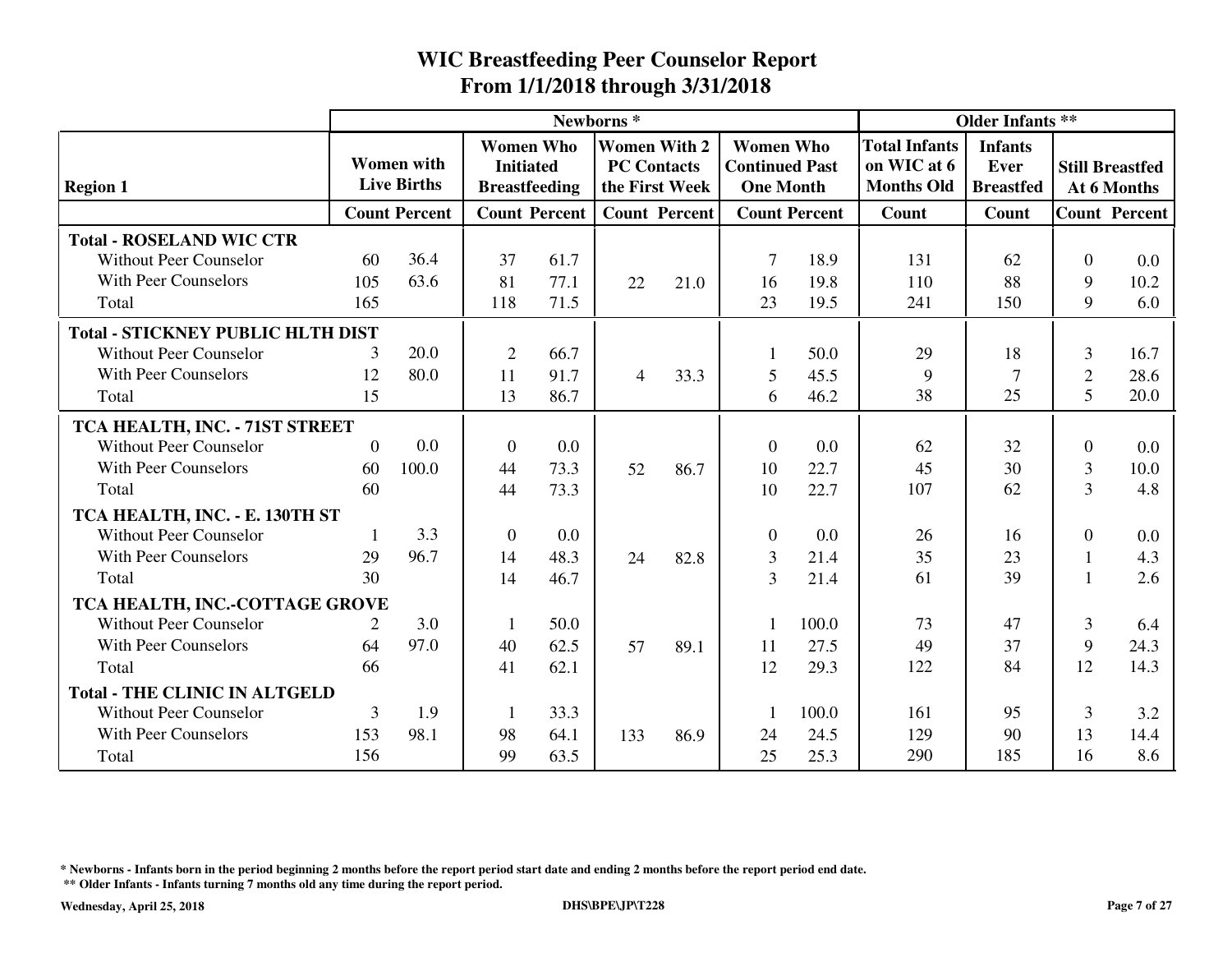|                                          |                |                                         |                                                              |                      | Newborns <sup>*</sup>                     |                      |                                                               |                      |                                                          | <b>Older Infants **</b>                    |                |                                       |
|------------------------------------------|----------------|-----------------------------------------|--------------------------------------------------------------|----------------------|-------------------------------------------|----------------------|---------------------------------------------------------------|----------------------|----------------------------------------------------------|--------------------------------------------|----------------|---------------------------------------|
| <b>Region 1</b>                          |                | <b>Women</b> with<br><b>Live Births</b> | <b>Women Who</b><br><b>Initiated</b><br><b>Breastfeeding</b> |                      | <b>Women With 2</b><br><b>PC Contacts</b> | the First Week       | <b>Women Who</b><br><b>Continued Past</b><br><b>One Month</b> |                      | <b>Total Infants</b><br>on WIC at 6<br><b>Months Old</b> | <b>Infants</b><br>Ever<br><b>Breastfed</b> |                | <b>Still Breastfed</b><br>At 6 Months |
|                                          |                | <b>Count Percent</b>                    |                                                              | <b>Count Percent</b> |                                           | <b>Count Percent</b> |                                                               | <b>Count Percent</b> | Count                                                    | Count                                      |                | <b>Count Percent</b>                  |
| <b>Total - ROSELAND WIC CTR</b>          |                |                                         |                                                              |                      |                                           |                      |                                                               |                      |                                                          |                                            |                |                                       |
| Without Peer Counselor                   | 60             | 36.4                                    | 37                                                           | 61.7                 |                                           |                      |                                                               | 18.9                 | 131                                                      | 62                                         | $\Omega$       | 0.0                                   |
| <b>With Peer Counselors</b>              | 105            | 63.6                                    | 81                                                           | 77.1                 | 22                                        | 21.0                 | 16                                                            | 19.8                 | 110                                                      | 88                                         | 9              | 10.2                                  |
| Total                                    | 165            |                                         | 118                                                          | 71.5                 |                                           |                      | 23                                                            | 19.5                 | 241                                                      | 150                                        | 9              | 6.0                                   |
| <b>Total - STICKNEY PUBLIC HLTH DIST</b> |                |                                         |                                                              |                      |                                           |                      |                                                               |                      |                                                          |                                            |                |                                       |
| <b>Without Peer Counselor</b>            | 3              | 20.0                                    | $\overline{2}$                                               | 66.7                 |                                           |                      |                                                               | 50.0                 | 29                                                       | 18                                         | 3              | 16.7                                  |
| <b>With Peer Counselors</b>              | 12             | 80.0                                    | 11                                                           | 91.7                 | $\overline{4}$                            | 33.3                 | 5                                                             | 45.5                 | 9                                                        | $\overline{7}$                             | $\overline{2}$ | 28.6                                  |
| Total                                    | 15             |                                         | 13                                                           | 86.7                 |                                           |                      | 6                                                             | 46.2                 | 38                                                       | 25                                         | 5              | 20.0                                  |
| TCA HEALTH, INC. - 71ST STREET           |                |                                         |                                                              |                      |                                           |                      |                                                               |                      |                                                          |                                            |                |                                       |
| <b>Without Peer Counselor</b>            | $\Omega$       | 0.0                                     | $\overline{0}$                                               | 0.0                  |                                           |                      | $\theta$                                                      | 0.0                  | 62                                                       | 32                                         | $\Omega$       | 0.0                                   |
| <b>With Peer Counselors</b>              | 60             | 100.0                                   | 44                                                           | 73.3                 | 52                                        | 86.7                 | 10                                                            | 22.7                 | 45                                                       | 30                                         | $\overline{3}$ | 10.0                                  |
| Total                                    | 60             |                                         | 44                                                           | 73.3                 |                                           |                      | 10                                                            | 22.7                 | 107                                                      | 62                                         | $\overline{3}$ | 4.8                                   |
| TCA HEALTH, INC. - E. 130TH ST           |                |                                         |                                                              |                      |                                           |                      |                                                               |                      |                                                          |                                            |                |                                       |
| <b>Without Peer Counselor</b>            | -1             | 3.3                                     | $\mathbf{0}$                                                 | 0.0                  |                                           |                      | $\theta$                                                      | 0.0                  | 26                                                       | 16                                         | $\Omega$       | 0.0                                   |
| <b>With Peer Counselors</b>              | 29             | 96.7                                    | 14                                                           | 48.3                 | 24                                        | 82.8                 | $\mathfrak{Z}$                                                | 21.4                 | 35                                                       | 23                                         |                | 4.3                                   |
| Total                                    | 30             |                                         | 14                                                           | 46.7                 |                                           |                      | $\overline{3}$                                                | 21.4                 | 61                                                       | 39                                         |                | 2.6                                   |
| TCA HEALTH, INC.-COTTAGE GROVE           |                |                                         |                                                              |                      |                                           |                      |                                                               |                      |                                                          |                                            |                |                                       |
| <b>Without Peer Counselor</b>            | 2              | 3.0                                     | 1                                                            | 50.0                 |                                           |                      |                                                               | 100.0                | 73                                                       | 47                                         | 3              | 6.4                                   |
| <b>With Peer Counselors</b>              | 64             | 97.0                                    | 40                                                           | 62.5                 | 57                                        | 89.1                 | 11                                                            | 27.5                 | 49                                                       | 37                                         | 9              | 24.3                                  |
| Total                                    | 66             |                                         | 41                                                           | 62.1                 |                                           |                      | 12                                                            | 29.3                 | 122                                                      | 84                                         | 12             | 14.3                                  |
| <b>Total - THE CLINIC IN ALTGELD</b>     |                |                                         |                                                              |                      |                                           |                      |                                                               |                      |                                                          |                                            |                |                                       |
| <b>Without Peer Counselor</b>            | $\overline{3}$ | 1.9                                     | -1                                                           | 33.3                 |                                           |                      |                                                               | 100.0                | 161                                                      | 95                                         | 3              | 3.2                                   |
| <b>With Peer Counselors</b>              | 153            | 98.1                                    | 98                                                           | 64.1                 | 133                                       | 86.9                 | 24                                                            | 24.5                 | 129                                                      | 90                                         | 13             | 14.4                                  |
| Total                                    | 156            |                                         | 99                                                           | 63.5                 |                                           |                      | 25                                                            | 25.3                 | 290                                                      | 185                                        | 16             | 8.6                                   |

**\* Newborns - Infants born in the period beginning 2 months before the report period start date and ending 2 months before the report period end date.**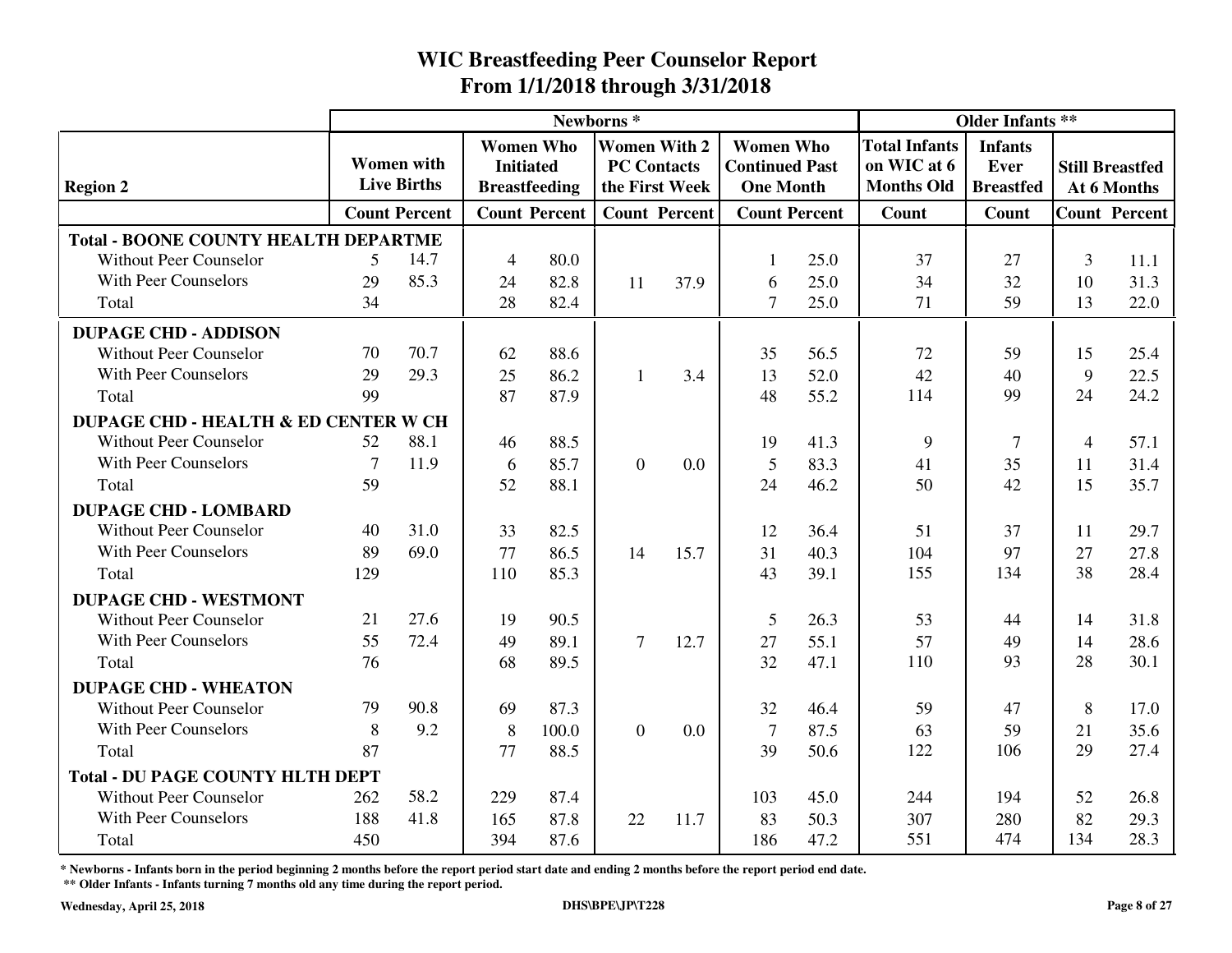|                                                 |                 |                      |                |                                      | Newborns*    |                                           |                                           |                      | <b>Older Infants **</b>             |                        |                |                                       |
|-------------------------------------------------|-----------------|----------------------|----------------|--------------------------------------|--------------|-------------------------------------------|-------------------------------------------|----------------------|-------------------------------------|------------------------|----------------|---------------------------------------|
|                                                 |                 | <b>Women</b> with    |                | <b>Women Who</b><br><b>Initiated</b> |              | <b>Women With 2</b><br><b>PC</b> Contacts | <b>Women Who</b><br><b>Continued Past</b> |                      | <b>Total Infants</b><br>on WIC at 6 | <b>Infants</b><br>Ever |                |                                       |
| <b>Region 2</b>                                 |                 | <b>Live Births</b>   |                | <b>Breastfeeding</b>                 |              | the First Week                            | <b>One Month</b>                          |                      | <b>Months Old</b>                   | <b>Breastfed</b>       |                | <b>Still Breastfed</b><br>At 6 Months |
|                                                 |                 | <b>Count Percent</b> |                | <b>Count Percent</b>                 |              | <b>Count Percent</b>                      |                                           | <b>Count Percent</b> | <b>Count</b>                        | Count                  |                | <b>Count Percent</b>                  |
| <b>Total - BOONE COUNTY HEALTH DEPARTME</b>     |                 |                      |                |                                      |              |                                           |                                           |                      |                                     |                        |                |                                       |
| <b>Without Peer Counselor</b>                   | 5               | 14.7                 | $\overline{4}$ | 80.0                                 |              |                                           | 1                                         | 25.0                 | 37                                  | 27                     | $\overline{3}$ | 11.1                                  |
| With Peer Counselors                            | 29              | 85.3                 | 24             | 82.8                                 | 11           | 37.9                                      | 6                                         | 25.0                 | 34                                  | 32                     | 10             | 31.3                                  |
| Total                                           | 34              |                      | 28             | 82.4                                 |              |                                           | $\tau$                                    | 25.0                 | 71                                  | 59                     | 13             | 22.0                                  |
| <b>DUPAGE CHD - ADDISON</b>                     |                 |                      |                |                                      |              |                                           |                                           |                      |                                     |                        |                |                                       |
| <b>Without Peer Counselor</b>                   | 70              | 70.7                 | 62             | 88.6                                 |              |                                           | 35                                        | 56.5                 | 72                                  | 59                     | 15             | 25.4                                  |
| <b>With Peer Counselors</b>                     | 29              | 29.3                 | 25             | 86.2                                 | $\mathbf{1}$ | 3.4                                       | 13                                        | 52.0                 | 42                                  | 40                     | 9              | 22.5                                  |
| Total                                           | 99              |                      | 87             | 87.9                                 |              |                                           | 48                                        | 55.2                 | 114                                 | 99                     | 24             | 24.2                                  |
| <b>DUPAGE CHD - HEALTH &amp; ED CENTER W CH</b> |                 |                      |                |                                      |              |                                           |                                           |                      |                                     |                        |                |                                       |
| Without Peer Counselor                          | 52              | 88.1                 | 46             | 88.5                                 |              |                                           | 19                                        | 41.3                 | 9                                   | $\overline{7}$         | 4              | 57.1                                  |
| <b>With Peer Counselors</b>                     | $7\phantom{.0}$ | 11.9                 | 6              | 85.7                                 | $\theta$     | 0.0                                       | 5                                         | 83.3                 | 41                                  | 35                     | 11             | 31.4                                  |
| Total                                           | 59              |                      | 52             | 88.1                                 |              |                                           | 24                                        | 46.2                 | 50                                  | 42                     | 15             | 35.7                                  |
| <b>DUPAGE CHD - LOMBARD</b>                     |                 |                      |                |                                      |              |                                           |                                           |                      |                                     |                        |                |                                       |
| Without Peer Counselor                          | 40              | 31.0                 | 33             | 82.5                                 |              |                                           | 12                                        | 36.4                 | 51                                  | 37                     | 11             | 29.7                                  |
| <b>With Peer Counselors</b>                     | 89              | 69.0                 | 77             | 86.5                                 | 14           | 15.7                                      | 31                                        | 40.3                 | 104                                 | 97                     | 27             | 27.8                                  |
| Total                                           | 129             |                      | 110            | 85.3                                 |              |                                           | 43                                        | 39.1                 | 155                                 | 134                    | 38             | 28.4                                  |
| <b>DUPAGE CHD - WESTMONT</b>                    |                 |                      |                |                                      |              |                                           |                                           |                      |                                     |                        |                |                                       |
| Without Peer Counselor                          | 21              | 27.6                 | 19             | 90.5                                 |              |                                           | 5                                         | 26.3                 | 53                                  | 44                     | 14             | 31.8                                  |
| <b>With Peer Counselors</b>                     | 55              | 72.4                 | 49             | 89.1                                 | $\tau$       | 12.7                                      | 27                                        | 55.1                 | 57                                  | 49                     | 14             | 28.6                                  |
| Total                                           | 76              |                      | 68             | 89.5                                 |              |                                           | 32                                        | 47.1                 | 110                                 | 93                     | 28             | 30.1                                  |
| <b>DUPAGE CHD - WHEATON</b>                     |                 |                      |                |                                      |              |                                           |                                           |                      |                                     |                        |                |                                       |
| <b>Without Peer Counselor</b>                   | 79              | 90.8                 | 69             | 87.3                                 |              |                                           | 32                                        | 46.4                 | 59                                  | 47                     | 8              | 17.0                                  |
| <b>With Peer Counselors</b>                     | 8               | 9.2                  | 8              | 100.0                                | $\theta$     | 0.0                                       | $\tau$                                    | 87.5                 | 63                                  | 59                     | 21             | 35.6                                  |
| Total                                           | 87              |                      | 77             | 88.5                                 |              |                                           | 39                                        | 50.6                 | 122                                 | 106                    | 29             | 27.4                                  |
| <b>Total - DU PAGE COUNTY HLTH DEPT</b>         |                 |                      |                |                                      |              |                                           |                                           |                      |                                     |                        |                |                                       |
| Without Peer Counselor                          | 262             | 58.2                 | 229            | 87.4                                 |              |                                           | 103                                       | 45.0                 | 244                                 | 194                    | 52             | 26.8                                  |
| <b>With Peer Counselors</b>                     | 188             | 41.8                 | 165            | 87.8                                 | 22           | 11.7                                      | 83                                        | 50.3                 | 307                                 | 280                    | 82             | 29.3                                  |
| Total                                           | 450             |                      | 394            | 87.6                                 |              |                                           | 186                                       | 47.2                 | 551                                 | 474                    | 134            | 28.3                                  |

**\* Newborns - Infants born in the period beginning 2 months before the report period start date and ending 2 months before the report period end date.**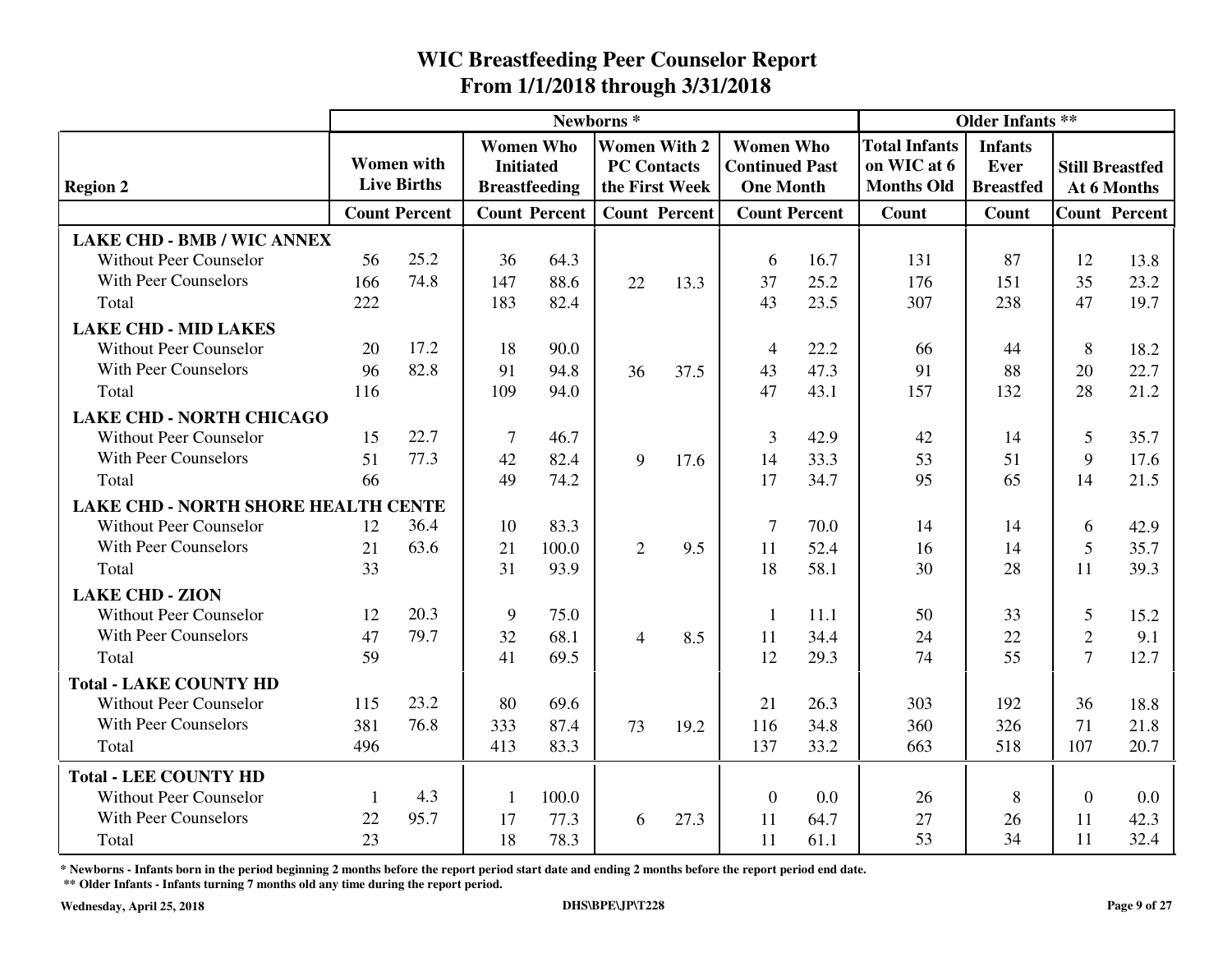|                                     |     |                      |                |                                      | Newborns <sup>*</sup> |                                           |                                           |                      | <b>Older Infants **</b>             |                               |                |                                       |
|-------------------------------------|-----|----------------------|----------------|--------------------------------------|-----------------------|-------------------------------------------|-------------------------------------------|----------------------|-------------------------------------|-------------------------------|----------------|---------------------------------------|
|                                     |     | <b>Women</b> with    |                | <b>Women Who</b><br><b>Initiated</b> |                       | <b>Women With 2</b><br><b>PC Contacts</b> | <b>Women Who</b><br><b>Continued Past</b> |                      | <b>Total Infants</b><br>on WIC at 6 | <b>Infants</b><br><b>Ever</b> |                |                                       |
| <b>Region 2</b>                     |     | <b>Live Births</b>   |                | <b>Breastfeeding</b>                 |                       | the First Week                            | <b>One Month</b>                          |                      | <b>Months Old</b>                   | <b>Breastfed</b>              |                | <b>Still Breastfed</b><br>At 6 Months |
|                                     |     | <b>Count Percent</b> |                | <b>Count Percent</b>                 |                       | <b>Count Percent</b>                      |                                           | <b>Count Percent</b> | <b>Count</b>                        | Count                         |                | <b>Count Percent</b>                  |
| <b>LAKE CHD - BMB / WIC ANNEX</b>   |     |                      |                |                                      |                       |                                           |                                           |                      |                                     |                               |                |                                       |
| <b>Without Peer Counselor</b>       | 56  | 25.2                 | 36             | 64.3                                 |                       |                                           | 6                                         | 16.7                 | 131                                 | 87                            | 12             | 13.8                                  |
| With Peer Counselors                | 166 | 74.8                 | 147            | 88.6                                 | 22                    | 13.3                                      | 37                                        | 25.2                 | 176                                 | 151                           | 35             | 23.2                                  |
| Total                               | 222 |                      | 183            | 82.4                                 |                       |                                           | 43                                        | 23.5                 | 307                                 | 238                           | 47             | 19.7                                  |
| <b>LAKE CHD - MID LAKES</b>         |     |                      |                |                                      |                       |                                           |                                           |                      |                                     |                               |                |                                       |
| <b>Without Peer Counselor</b>       | 20  | 17.2                 | 18             | 90.0                                 |                       |                                           | 4                                         | 22.2                 | 66                                  | 44                            | 8              | 18.2                                  |
| With Peer Counselors                | 96  | 82.8                 | 91             | 94.8                                 | 36                    | 37.5                                      | 43                                        | 47.3                 | 91                                  | 88                            | 20             | 22.7                                  |
| Total                               | 116 |                      | 109            | 94.0                                 |                       |                                           | 47                                        | 43.1                 | 157                                 | 132                           | 28             | 21.2                                  |
| <b>LAKE CHD - NORTH CHICAGO</b>     |     |                      |                |                                      |                       |                                           |                                           |                      |                                     |                               |                |                                       |
| <b>Without Peer Counselor</b>       | 15  | 22.7                 | $\overline{7}$ | 46.7                                 |                       |                                           | 3                                         | 42.9                 | 42                                  | 14                            | 5              | 35.7                                  |
| With Peer Counselors                | 51  | 77.3                 | 42             | 82.4                                 | 9                     | 17.6                                      | 14                                        | 33.3                 | 53                                  | 51                            | 9              | 17.6                                  |
| Total                               | 66  |                      | 49             | 74.2                                 |                       |                                           | 17                                        | 34.7                 | 95                                  | 65                            | 14             | 21.5                                  |
| LAKE CHD - NORTH SHORE HEALTH CENTE |     |                      |                |                                      |                       |                                           |                                           |                      |                                     |                               |                |                                       |
| <b>Without Peer Counselor</b>       | 12  | 36.4                 | 10             | 83.3                                 |                       |                                           | 7                                         | 70.0                 | 14                                  | 14                            | 6              | 42.9                                  |
| With Peer Counselors                | 21  | 63.6                 | 21             | 100.0                                | $\overline{2}$        | 9.5                                       | 11                                        | 52.4                 | 16                                  | 14                            | 5              | 35.7                                  |
| Total                               | 33  |                      | 31             | 93.9                                 |                       |                                           | 18                                        | 58.1                 | 30                                  | 28                            | 11             | 39.3                                  |
| <b>LAKE CHD - ZION</b>              |     |                      |                |                                      |                       |                                           |                                           |                      |                                     |                               |                |                                       |
| <b>Without Peer Counselor</b>       | 12  | 20.3                 | 9              | 75.0                                 |                       |                                           | 1                                         | 11.1                 | 50                                  | 33                            | 5              | 15.2                                  |
| <b>With Peer Counselors</b>         | 47  | 79.7                 | 32             | 68.1                                 | $\overline{4}$        | 8.5                                       | 11                                        | 34.4                 | 24                                  | 22                            | $\overline{2}$ | 9.1                                   |
| Total                               | 59  |                      | 41             | 69.5                                 |                       |                                           | 12                                        | 29.3                 | 74                                  | 55                            | $\overline{7}$ | 12.7                                  |
| <b>Total - LAKE COUNTY HD</b>       |     |                      |                |                                      |                       |                                           |                                           |                      |                                     |                               |                |                                       |
| <b>Without Peer Counselor</b>       | 115 | 23.2                 | 80             | 69.6                                 |                       |                                           | 21                                        | 26.3                 | 303                                 | 192                           | 36             | 18.8                                  |
| <b>With Peer Counselors</b>         | 381 | 76.8                 | 333            | 87.4                                 | 73                    | 19.2                                      | 116                                       | 34.8                 | 360                                 | 326                           | 71             | 21.8                                  |
| Total                               | 496 |                      | 413            | 83.3                                 |                       |                                           | 137                                       | 33.2                 | 663                                 | 518                           | 107            | 20.7                                  |
| <b>Total - LEE COUNTY HD</b>        |     |                      |                |                                      |                       |                                           |                                           |                      |                                     |                               |                |                                       |
| <b>Without Peer Counselor</b>       | 1   | 4.3                  | $\mathbf{1}$   | 100.0                                |                       |                                           | $\overline{0}$                            | 0.0                  | 26                                  | 8                             | $\Omega$       | 0.0                                   |
| With Peer Counselors                | 22  | 95.7                 | 17             | 77.3                                 | 6                     | 27.3                                      | 11                                        | 64.7                 | 27                                  | 26                            | 11             | 42.3                                  |
| Total                               | 23  |                      | 18             | 78.3                                 |                       |                                           | 11                                        | 61.1                 | 53                                  | 34                            | 11             | 32.4                                  |

**\* Newborns - Infants born in the period beginning 2 months before the report period start date and ending 2 months before the report period end date.**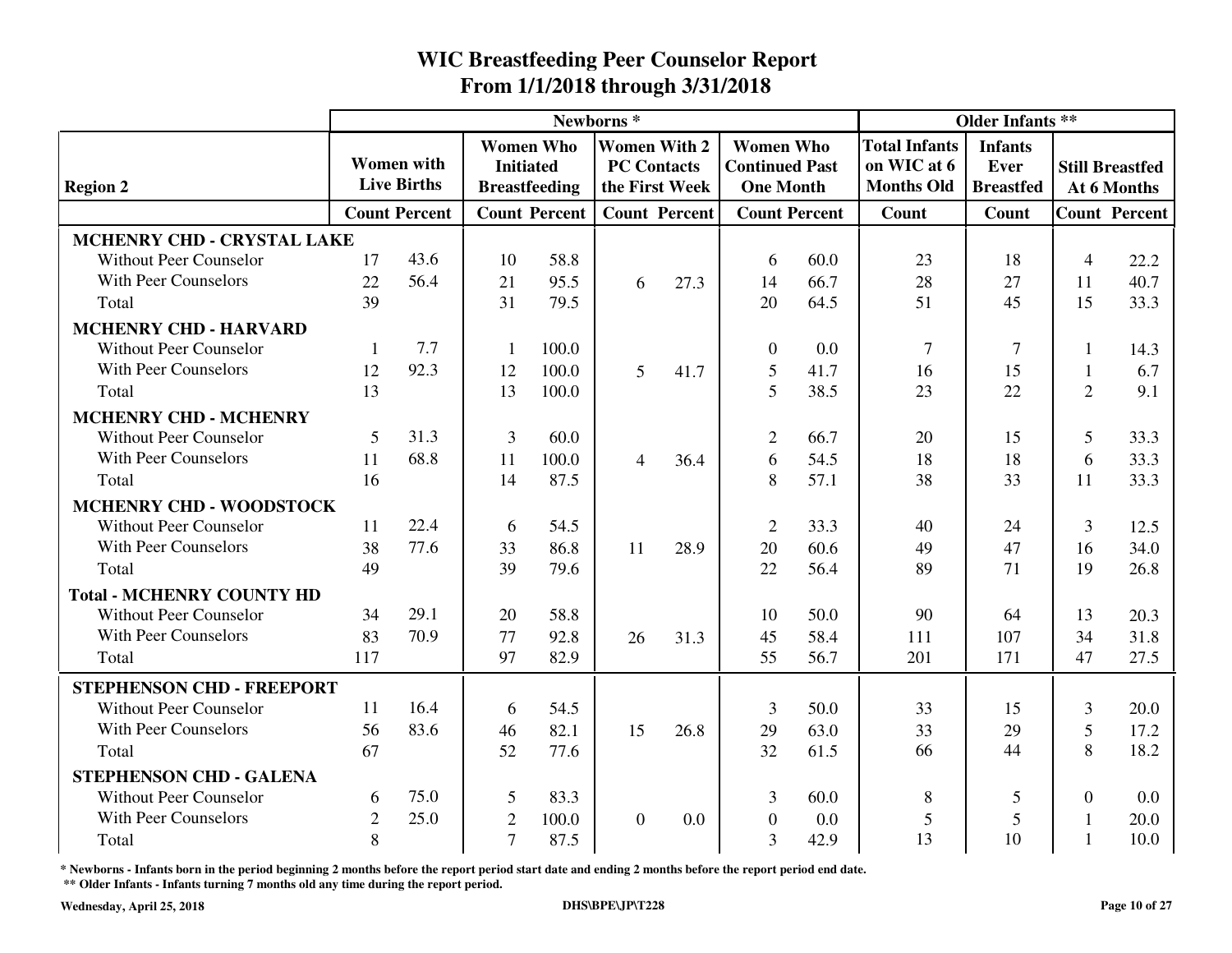|                                  |                |                                         |                |                                      | Newborns*      |                                           |                                           | <b>Older Infants **</b> |                                     |                               |                |                        |
|----------------------------------|----------------|-----------------------------------------|----------------|--------------------------------------|----------------|-------------------------------------------|-------------------------------------------|-------------------------|-------------------------------------|-------------------------------|----------------|------------------------|
|                                  |                | <b>Women</b> with<br><b>Live Births</b> |                | <b>Women Who</b><br><b>Initiated</b> |                | <b>Women With 2</b><br><b>PC Contacts</b> | <b>Women Who</b><br><b>Continued Past</b> |                         | <b>Total Infants</b><br>on WIC at 6 | <b>Infants</b><br><b>Ever</b> |                | <b>Still Breastfed</b> |
| <b>Region 2</b>                  |                |                                         |                | <b>Breastfeeding</b>                 |                | the First Week                            | <b>One Month</b>                          |                         | <b>Months Old</b>                   | <b>Breastfed</b>              |                | At 6 Months            |
|                                  |                | <b>Count Percent</b>                    |                | <b>Count Percent</b>                 |                | <b>Count Percent</b>                      | <b>Count Percent</b>                      |                         | Count                               | Count                         |                | <b>Count Percent</b>   |
| MCHENRY CHD - CRYSTAL LAKE       |                |                                         |                |                                      |                |                                           |                                           |                         |                                     |                               |                |                        |
| <b>Without Peer Counselor</b>    | 17             | 43.6                                    | 10             | 58.8                                 |                |                                           | 6                                         | 60.0                    | 23                                  | 18                            | $\overline{4}$ | 22.2                   |
| With Peer Counselors             | 22             | 56.4                                    | 21             | 95.5                                 | 6              | 27.3                                      | 14                                        | 66.7                    | 28                                  | 27                            | 11             | 40.7                   |
| Total                            | 39             |                                         | 31             | 79.5                                 |                |                                           | 20                                        | 64.5                    | 51                                  | 45                            | 15             | 33.3                   |
| <b>MCHENRY CHD - HARVARD</b>     |                |                                         |                |                                      |                |                                           |                                           |                         |                                     |                               |                |                        |
| <b>Without Peer Counselor</b>    | 1              | 7.7                                     | $\mathbf{1}$   | 100.0                                |                |                                           | $\theta$                                  | 0.0                     | $\overline{7}$                      | $\tau$                        | 1              | 14.3                   |
| <b>With Peer Counselors</b>      | 12             | 92.3                                    | 12             | 100.0                                | 5              | 41.7                                      | 5                                         | 41.7                    | 16                                  | 15                            | $\mathbf{1}$   | 6.7                    |
| Total                            | 13             |                                         | 13             | 100.0                                |                |                                           | 5                                         | 38.5                    | 23                                  | 22                            | $\overline{2}$ | 9.1                    |
| <b>MCHENRY CHD - MCHENRY</b>     |                |                                         |                |                                      |                |                                           |                                           |                         |                                     |                               |                |                        |
| <b>Without Peer Counselor</b>    | 5              | 31.3                                    | $\overline{3}$ | 60.0                                 |                |                                           | $\overline{2}$                            | 66.7                    | 20                                  | 15                            | 5              | 33.3                   |
| With Peer Counselors             | 11             | 68.8                                    | 11             | 100.0                                | 4              | 36.4                                      | 6                                         | 54.5                    | 18                                  | 18                            | 6              | 33.3                   |
| Total                            | 16             |                                         | 14             | 87.5                                 |                |                                           | 8                                         | 57.1                    | 38                                  | 33                            | 11             | 33.3                   |
| MCHENRY CHD - WOODSTOCK          |                |                                         |                |                                      |                |                                           |                                           |                         |                                     |                               |                |                        |
| <b>Without Peer Counselor</b>    | 11             | 22.4                                    | 6              | 54.5                                 |                |                                           | $\overline{2}$                            | 33.3                    | 40                                  | 24                            | 3              | 12.5                   |
| <b>With Peer Counselors</b>      | 38             | 77.6                                    | 33             | 86.8                                 | 11             | 28.9                                      | 20                                        | 60.6                    | 49                                  | 47                            | 16             | 34.0                   |
| Total                            | 49             |                                         | 39             | 79.6                                 |                |                                           | 22                                        | 56.4                    | 89                                  | 71                            | 19             | 26.8                   |
| <b>Total - MCHENRY COUNTY HD</b> |                |                                         |                |                                      |                |                                           |                                           |                         |                                     |                               |                |                        |
| Without Peer Counselor           | 34             | 29.1                                    | 20             | 58.8                                 |                |                                           | 10                                        | 50.0                    | 90                                  | 64                            | 13             | 20.3                   |
| <b>With Peer Counselors</b>      | 83             | 70.9                                    | 77             | 92.8                                 | 26             | 31.3                                      | 45                                        | 58.4                    | 111                                 | 107                           | 34             | 31.8                   |
| Total                            | 117            |                                         | 97             | 82.9                                 |                |                                           | 55                                        | 56.7                    | 201                                 | 171                           | 47             | 27.5                   |
| <b>STEPHENSON CHD - FREEPORT</b> |                |                                         |                |                                      |                |                                           |                                           |                         |                                     |                               |                |                        |
| <b>Without Peer Counselor</b>    | 11             | 16.4                                    | 6              | 54.5                                 |                |                                           | 3                                         | 50.0                    | 33                                  | 15                            | 3              | 20.0                   |
| With Peer Counselors             | 56             | 83.6                                    | 46             | 82.1                                 | 15             | 26.8                                      | 29                                        | 63.0                    | 33                                  | 29                            | 5              | 17.2                   |
| Total                            | 67             |                                         | 52             | 77.6                                 |                |                                           | 32                                        | 61.5                    | 66                                  | 44                            | 8              | 18.2                   |
| <b>STEPHENSON CHD - GALENA</b>   |                |                                         |                |                                      |                |                                           |                                           |                         |                                     |                               |                |                        |
| <b>Without Peer Counselor</b>    | 6              | 75.0                                    | 5              | 83.3                                 |                |                                           | 3                                         | 60.0                    | 8                                   | 5                             | $\Omega$       | 0.0                    |
| With Peer Counselors             | $\overline{2}$ | 25.0                                    | $\mathfrak{2}$ | 100.0                                | $\overline{0}$ | 0.0                                       | $\overline{0}$                            | 0.0                     | $\mathfrak{S}$                      | 5                             |                | 20.0                   |
| Total                            | 8              |                                         | $\overline{7}$ | 87.5                                 |                |                                           | $\overline{3}$                            | 42.9                    | 13                                  | 10                            |                | 10.0                   |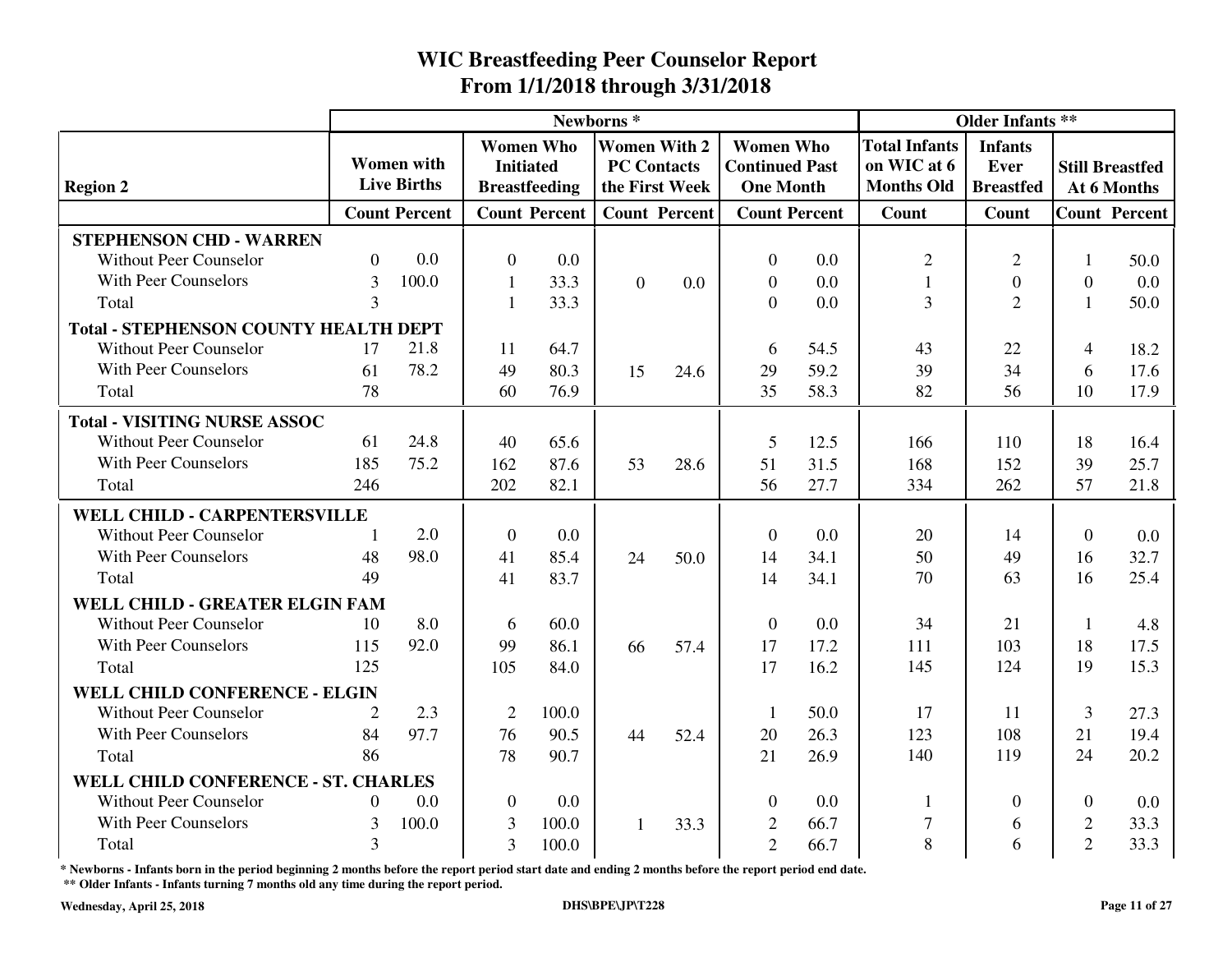|                                              |                |                                         |                |                                                              | Newborns <sup>*</sup> |                                                             |                                                               |                      |                                                          | <b>Older Infants **</b>                    |                |                                       |
|----------------------------------------------|----------------|-----------------------------------------|----------------|--------------------------------------------------------------|-----------------------|-------------------------------------------------------------|---------------------------------------------------------------|----------------------|----------------------------------------------------------|--------------------------------------------|----------------|---------------------------------------|
| <b>Region 2</b>                              |                | <b>Women</b> with<br><b>Live Births</b> |                | <b>Women Who</b><br><b>Initiated</b><br><b>Breastfeeding</b> |                       | <b>Women With 2</b><br><b>PC Contacts</b><br>the First Week | <b>Women Who</b><br><b>Continued Past</b><br><b>One Month</b> |                      | <b>Total Infants</b><br>on WIC at 6<br><b>Months Old</b> | <b>Infants</b><br>Ever<br><b>Breastfed</b> |                | <b>Still Breastfed</b><br>At 6 Months |
|                                              |                | <b>Count Percent</b>                    |                | <b>Count Percent</b>                                         |                       | <b>Count Percent</b>                                        |                                                               | <b>Count Percent</b> | Count                                                    | Count                                      |                | <b>Count Percent</b>                  |
| <b>STEPHENSON CHD - WARREN</b>               |                |                                         |                |                                                              |                       |                                                             |                                                               |                      |                                                          |                                            |                |                                       |
| <b>Without Peer Counselor</b>                | $\Omega$       | 0.0                                     | $\overline{0}$ | 0.0                                                          |                       |                                                             | $\Omega$                                                      | 0.0                  | $\overline{2}$                                           | $\mathfrak{2}$                             | 1              | 50.0                                  |
| <b>With Peer Counselors</b>                  | $\overline{3}$ | 100.0                                   | 1              | 33.3                                                         | $\overline{0}$        | 0.0                                                         | $\overline{0}$                                                | 0.0                  | $\mathbf{1}$                                             | $\boldsymbol{0}$                           | $\overline{0}$ | 0.0                                   |
| Total                                        | 3              |                                         | $\mathbf{1}$   | 33.3                                                         |                       |                                                             | $\Omega$                                                      | 0.0                  | $\overline{3}$                                           | $\overline{2}$                             |                | 50.0                                  |
| <b>Total - STEPHENSON COUNTY HEALTH DEPT</b> |                |                                         |                |                                                              |                       |                                                             |                                                               |                      |                                                          |                                            |                |                                       |
| <b>Without Peer Counselor</b>                | 17             | 21.8                                    | 11             | 64.7                                                         |                       |                                                             | 6                                                             | 54.5                 | 43                                                       | 22                                         | $\overline{4}$ | 18.2                                  |
| <b>With Peer Counselors</b>                  | 61             | 78.2                                    | 49             | 80.3                                                         | 15                    | 24.6                                                        | 29                                                            | 59.2                 | 39                                                       | 34                                         | 6              | 17.6                                  |
| Total                                        | 78             |                                         | 60             | 76.9                                                         |                       |                                                             | 35                                                            | 58.3                 | 82                                                       | 56                                         | 10             | 17.9                                  |
| <b>Total - VISITING NURSE ASSOC</b>          |                |                                         |                |                                                              |                       |                                                             |                                                               |                      |                                                          |                                            |                |                                       |
| <b>Without Peer Counselor</b>                | 61             | 24.8                                    | 40             | 65.6                                                         |                       |                                                             | 5                                                             | 12.5                 | 166                                                      | 110                                        | 18             | 16.4                                  |
| <b>With Peer Counselors</b>                  | 185            | 75.2                                    | 162            | 87.6                                                         | 53                    | 28.6                                                        | 51                                                            | 31.5                 | 168                                                      | 152                                        | 39             | 25.7                                  |
| Total                                        | 246            |                                         | 202            | 82.1                                                         |                       |                                                             | 56                                                            | 27.7                 | 334                                                      | 262                                        | 57             | 21.8                                  |
| WELL CHILD - CARPENTERSVILLE                 |                |                                         |                |                                                              |                       |                                                             |                                                               |                      |                                                          |                                            |                |                                       |
| <b>Without Peer Counselor</b>                | $\mathbf{1}$   | 2.0                                     | $\mathbf{0}$   | 0.0                                                          |                       |                                                             | $\theta$                                                      | 0.0                  | 20                                                       | 14                                         | $\overline{0}$ | 0.0                                   |
| <b>With Peer Counselors</b>                  | 48             | 98.0                                    | 41             | 85.4                                                         | 24                    | 50.0                                                        | 14                                                            | 34.1                 | 50                                                       | 49                                         | 16             | 32.7                                  |
| Total                                        | 49             |                                         | 41             | 83.7                                                         |                       |                                                             | 14                                                            | 34.1                 | 70                                                       | 63                                         | 16             | 25.4                                  |
| WELL CHILD - GREATER ELGIN FAM               |                |                                         |                |                                                              |                       |                                                             |                                                               |                      |                                                          |                                            |                |                                       |
| <b>Without Peer Counselor</b>                | 10             | 8.0                                     | 6              | 60.0                                                         |                       |                                                             | $\Omega$                                                      | 0.0                  | 34                                                       | 21                                         | 1              | 4.8                                   |
| With Peer Counselors                         | 115            | 92.0                                    | 99             | 86.1                                                         | 66                    | 57.4                                                        | 17                                                            | 17.2                 | 111                                                      | 103                                        | 18             | 17.5                                  |
| Total                                        | 125            |                                         | 105            | 84.0                                                         |                       |                                                             | 17                                                            | 16.2                 | 145                                                      | 124                                        | 19             | 15.3                                  |
| WELL CHILD CONFERENCE - ELGIN                |                |                                         |                |                                                              |                       |                                                             |                                                               |                      |                                                          |                                            |                |                                       |
| <b>Without Peer Counselor</b>                | 2              | 2.3                                     | $\overline{2}$ | 100.0                                                        |                       |                                                             | -1                                                            | 50.0                 | 17                                                       | 11                                         | 3              | 27.3                                  |
| <b>With Peer Counselors</b>                  | 84             | 97.7                                    | 76             | 90.5                                                         | 44                    | 52.4                                                        | 20                                                            | 26.3                 | 123                                                      | 108                                        | 21             | 19.4                                  |
| Total                                        | 86             |                                         | 78             | 90.7                                                         |                       |                                                             | 21                                                            | 26.9                 | 140                                                      | 119                                        | 24             | 20.2                                  |
| WELL CHILD CONFERENCE - ST. CHARLES          |                |                                         |                |                                                              |                       |                                                             |                                                               |                      |                                                          |                                            |                |                                       |
| <b>Without Peer Counselor</b>                | $\Omega$       | 0.0                                     | $\overline{0}$ | 0.0                                                          |                       |                                                             | $\Omega$                                                      | 0.0                  | $\mathbf{1}$                                             | $\theta$                                   | $\Omega$       | 0.0                                   |
| With Peer Counselors                         | 3              | 100.0                                   | 3              | 100.0                                                        | 1                     | 33.3                                                        | $\overline{2}$                                                | 66.7                 | $\overline{7}$                                           | 6                                          | $\overline{2}$ | 33.3                                  |
| Total                                        | 3              |                                         | 3              | 100.0                                                        |                       |                                                             | $\overline{2}$                                                | 66.7                 | 8                                                        | 6                                          | $\overline{2}$ | 33.3                                  |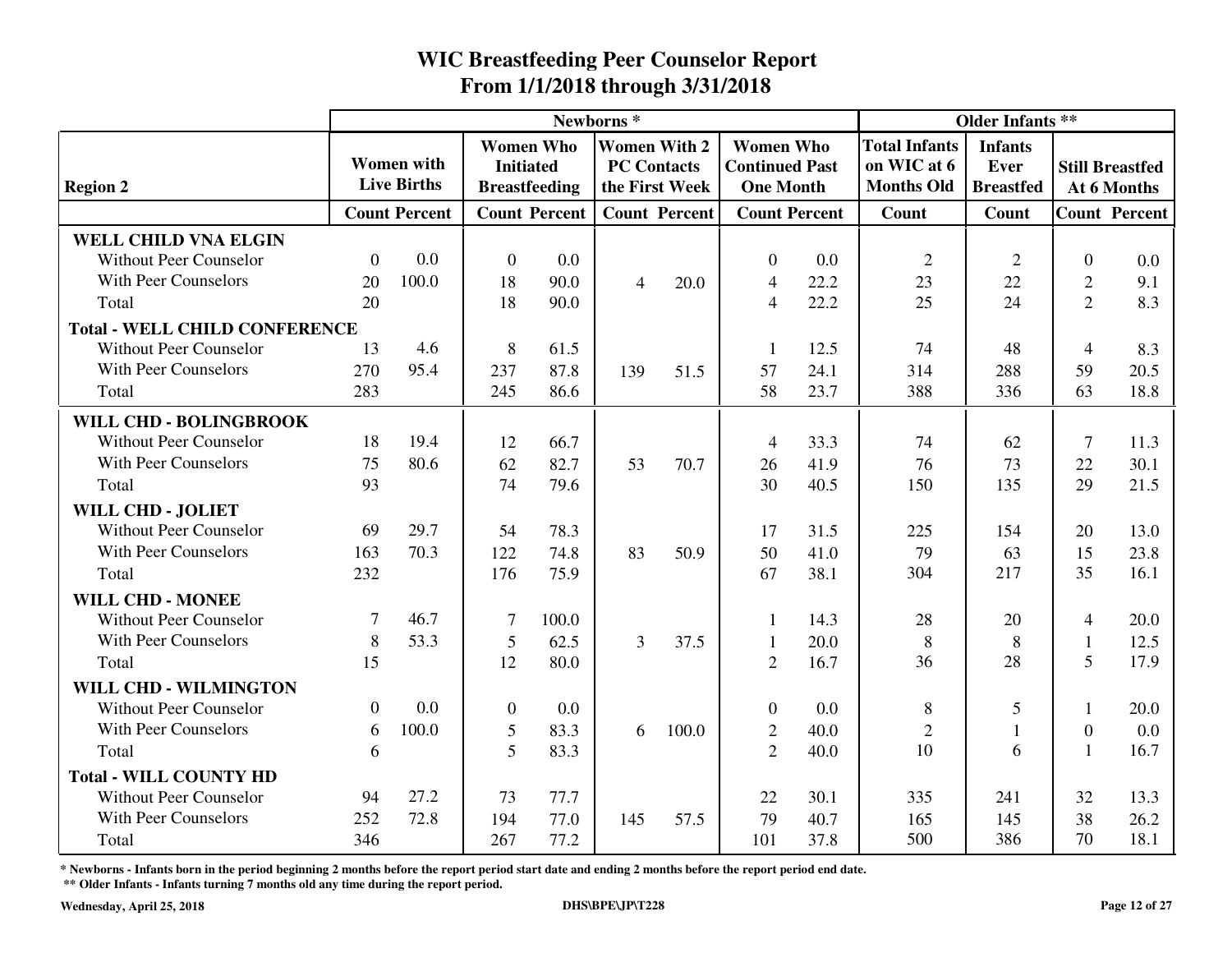|                                      |                |                                         |                  |                                          | Newborns <sup>*</sup> |                                                             |                                                               |      |                                                          | <b>Older Infants **</b>                           |                |                                       |
|--------------------------------------|----------------|-----------------------------------------|------------------|------------------------------------------|-----------------------|-------------------------------------------------------------|---------------------------------------------------------------|------|----------------------------------------------------------|---------------------------------------------------|----------------|---------------------------------------|
| <b>Region 2</b>                      |                | <b>Women</b> with<br><b>Live Births</b> | <b>Initiated</b> | <b>Women Who</b><br><b>Breastfeeding</b> |                       | <b>Women With 2</b><br><b>PC Contacts</b><br>the First Week | <b>Women Who</b><br><b>Continued Past</b><br><b>One Month</b> |      | <b>Total Infants</b><br>on WIC at 6<br><b>Months Old</b> | <b>Infants</b><br><b>Ever</b><br><b>Breastfed</b> |                | <b>Still Breastfed</b><br>At 6 Months |
|                                      |                |                                         |                  |                                          |                       |                                                             |                                                               |      |                                                          |                                                   |                |                                       |
|                                      |                | <b>Count Percent</b>                    |                  | <b>Count Percent</b>                     |                       | <b>Count Percent</b>                                        | <b>Count Percent</b>                                          |      | <b>Count</b>                                             | Count                                             |                | <b>Count Percent</b>                  |
| <b>WELL CHILD VNA ELGIN</b>          |                |                                         |                  |                                          |                       |                                                             |                                                               |      |                                                          |                                                   |                |                                       |
| <b>Without Peer Counselor</b>        | $\Omega$       | 0.0                                     | $\mathbf{0}$     | 0.0                                      |                       |                                                             | $\theta$                                                      | 0.0  | $\overline{2}$                                           | $\overline{2}$                                    | $\theta$       | 0.0                                   |
| With Peer Counselors                 | 20             | 100.0                                   | 18               | 90.0                                     | $\overline{4}$        | 20.0                                                        | $\overline{4}$                                                | 22.2 | 23                                                       | 22                                                | $\overline{2}$ | 9.1                                   |
| Total                                | 20             |                                         | 18               | 90.0                                     |                       |                                                             | $\overline{4}$                                                | 22.2 | 25                                                       | 24                                                | $\overline{2}$ | 8.3                                   |
| <b>Total - WELL CHILD CONFERENCE</b> |                |                                         |                  |                                          |                       |                                                             |                                                               |      |                                                          |                                                   |                |                                       |
| <b>Without Peer Counselor</b>        | 13             | 4.6                                     | 8                | 61.5                                     |                       |                                                             | 1                                                             | 12.5 | 74                                                       | 48                                                | 4              | 8.3                                   |
| <b>With Peer Counselors</b>          | 270            | 95.4                                    | 237              | 87.8                                     | 139                   | 51.5                                                        | 57                                                            | 24.1 | 314                                                      | 288                                               | 59             | 20.5                                  |
| Total                                | 283            |                                         | 245              | 86.6                                     |                       |                                                             | 58                                                            | 23.7 | 388                                                      | 336                                               | 63             | 18.8                                  |
| WILL CHD - BOLINGBROOK               |                |                                         |                  |                                          |                       |                                                             |                                                               |      |                                                          |                                                   |                |                                       |
| <b>Without Peer Counselor</b>        | 18             | 19.4                                    | 12               | 66.7                                     |                       |                                                             | 4                                                             | 33.3 | 74                                                       | 62                                                | 7              | 11.3                                  |
| With Peer Counselors                 | 75             | 80.6                                    | 62               | 82.7                                     | 53                    | 70.7                                                        | 26                                                            | 41.9 | 76                                                       | 73                                                | 22             | 30.1                                  |
| Total                                | 93             |                                         | 74               | 79.6                                     |                       |                                                             | 30                                                            | 40.5 | 150                                                      | 135                                               | 29             | 21.5                                  |
| WILL CHD - JOLIET                    |                |                                         |                  |                                          |                       |                                                             |                                                               |      |                                                          |                                                   |                |                                       |
| <b>Without Peer Counselor</b>        | 69             | 29.7                                    | 54               | 78.3                                     |                       |                                                             | 17                                                            | 31.5 | 225                                                      | 154                                               | 20             | 13.0                                  |
| With Peer Counselors                 | 163            | 70.3                                    | 122              | 74.8                                     | 83                    | 50.9                                                        | 50                                                            | 41.0 | 79                                                       | 63                                                | 15             | 23.8                                  |
| Total                                | 232            |                                         | 176              | 75.9                                     |                       |                                                             | 67                                                            | 38.1 | 304                                                      | 217                                               | 35             | 16.1                                  |
| <b>WILL CHD - MONEE</b>              |                |                                         |                  |                                          |                       |                                                             |                                                               |      |                                                          |                                                   |                |                                       |
| Without Peer Counselor               | 7              | 46.7                                    | $\overline{7}$   | 100.0                                    |                       |                                                             | 1                                                             | 14.3 | 28                                                       | 20                                                | 4              | 20.0                                  |
| <b>With Peer Counselors</b>          | 8              | 53.3                                    | 5                | 62.5                                     | 3                     | 37.5                                                        | 1                                                             | 20.0 | 8                                                        | 8                                                 | $\mathbf{1}$   | 12.5                                  |
| Total                                | 15             |                                         | 12               | 80.0                                     |                       |                                                             | $\overline{2}$                                                | 16.7 | 36                                                       | 28                                                | 5              | 17.9                                  |
| WILL CHD - WILMINGTON                |                |                                         |                  |                                          |                       |                                                             |                                                               |      |                                                          |                                                   |                |                                       |
| <b>Without Peer Counselor</b>        | $\overline{0}$ | 0.0                                     | $\boldsymbol{0}$ | 0.0                                      |                       |                                                             | $\overline{0}$                                                | 0.0  | 8                                                        | 5                                                 | 1              | 20.0                                  |
| <b>With Peer Counselors</b>          | 6              | 100.0                                   | 5                | 83.3                                     | 6                     | 100.0                                                       | $\overline{2}$                                                | 40.0 | $\overline{2}$                                           | $\mathbf{1}$                                      | $\theta$       | 0.0                                   |
| Total                                | 6              |                                         | 5                | 83.3                                     |                       |                                                             | $\overline{2}$                                                | 40.0 | 10                                                       | 6                                                 | $\mathbf{1}$   | 16.7                                  |
| <b>Total - WILL COUNTY HD</b>        |                |                                         |                  |                                          |                       |                                                             |                                                               |      |                                                          |                                                   |                |                                       |
| <b>Without Peer Counselor</b>        | 94             | 27.2                                    | 73               | 77.7                                     |                       |                                                             | 22                                                            | 30.1 | 335                                                      | 241                                               | 32             | 13.3                                  |
| <b>With Peer Counselors</b>          | 252            | 72.8                                    | 194              | 77.0                                     | 145                   | 57.5                                                        | 79                                                            | 40.7 | 165                                                      | 145                                               | 38             | 26.2                                  |
| Total                                | 346            |                                         | 267              | 77.2                                     |                       |                                                             | 101                                                           | 37.8 | 500                                                      | 386                                               | 70             | 18.1                                  |

**\* Newborns - Infants born in the period beginning 2 months before the report period start date and ending 2 months before the report period end date.**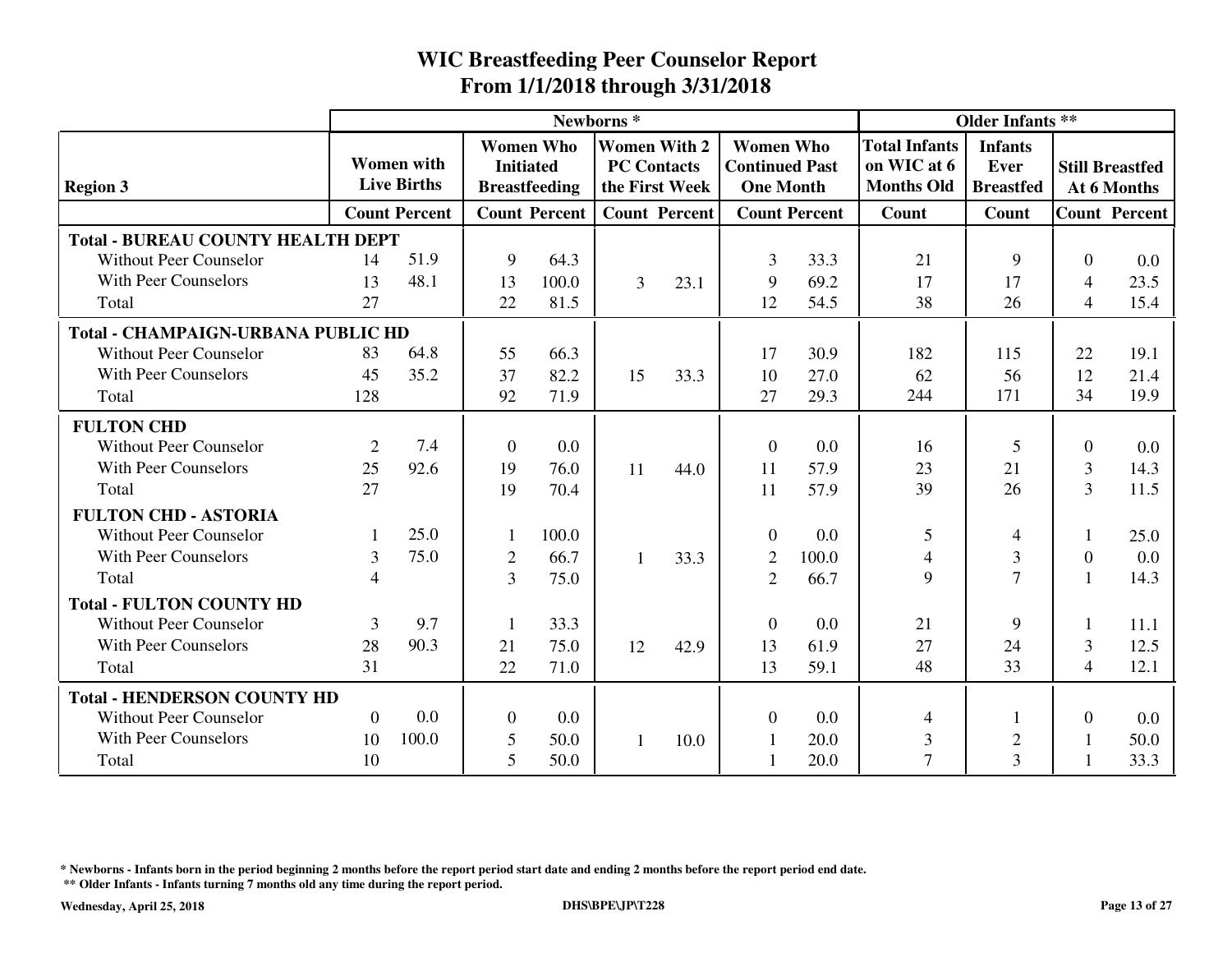|                                           |                |                                         |                  |                                          | Newborns <sup>*</sup>                     |                      |                                                               |                      |                                                          | <b>Older Infants **</b>                    |                          |                                       |
|-------------------------------------------|----------------|-----------------------------------------|------------------|------------------------------------------|-------------------------------------------|----------------------|---------------------------------------------------------------|----------------------|----------------------------------------------------------|--------------------------------------------|--------------------------|---------------------------------------|
| <b>Region 3</b>                           |                | <b>Women</b> with<br><b>Live Births</b> | <b>Initiated</b> | <b>Women Who</b><br><b>Breastfeeding</b> | <b>Women With 2</b><br><b>PC Contacts</b> | the First Week       | <b>Women Who</b><br><b>Continued Past</b><br><b>One Month</b> |                      | <b>Total Infants</b><br>on WIC at 6<br><b>Months Old</b> | <b>Infants</b><br>Ever<br><b>Breastfed</b> |                          | <b>Still Breastfed</b><br>At 6 Months |
|                                           |                | <b>Count Percent</b>                    |                  | <b>Count Percent</b>                     |                                           | <b>Count Percent</b> |                                                               | <b>Count Percent</b> | Count                                                    | Count                                      |                          | <b>Count Percent</b>                  |
| <b>Total - BUREAU COUNTY HEALTH DEPT</b>  |                |                                         |                  |                                          |                                           |                      |                                                               |                      |                                                          |                                            |                          |                                       |
| <b>Without Peer Counselor</b>             | 14             | 51.9                                    | 9                | 64.3                                     |                                           |                      | 3                                                             | 33.3                 | 21                                                       | 9                                          | $\Omega$                 | 0.0                                   |
| <b>With Peer Counselors</b>               | 13             | 48.1                                    | 13               | 100.0                                    | 3                                         | 23.1                 | 9                                                             | 69.2                 | 17                                                       | 17                                         | $\overline{4}$           | 23.5                                  |
| Total                                     | 27             |                                         | 22               | 81.5                                     |                                           |                      | 12                                                            | 54.5                 | 38                                                       | 26                                         | $\overline{4}$           | 15.4                                  |
| <b>Total - CHAMPAIGN-URBANA PUBLIC HD</b> |                |                                         |                  |                                          |                                           |                      |                                                               |                      |                                                          |                                            |                          |                                       |
| <b>Without Peer Counselor</b>             | 83             | 64.8                                    | 55               | 66.3                                     |                                           |                      | 17                                                            | 30.9                 | 182                                                      | 115                                        | 22                       | 19.1                                  |
| <b>With Peer Counselors</b>               | 45             | 35.2                                    | 37               | 82.2                                     | 15                                        | 33.3                 | 10                                                            | 27.0                 | 62                                                       | 56                                         | 12                       | 21.4                                  |
| Total                                     | 128            |                                         | 92               | 71.9                                     |                                           |                      | 27                                                            | 29.3                 | 244                                                      | 171                                        | 34                       | 19.9                                  |
| <b>FULTON CHD</b>                         |                |                                         |                  |                                          |                                           |                      |                                                               |                      |                                                          |                                            |                          |                                       |
| <b>Without Peer Counselor</b>             | $\overline{2}$ | 7.4                                     | $\mathbf{0}$     | 0.0                                      |                                           |                      | $\overline{0}$                                                | 0.0                  | 16                                                       | 5                                          | $\Omega$                 | 0.0                                   |
| <b>With Peer Counselors</b>               | 25             | 92.6                                    | 19               | 76.0                                     | 11                                        | 44.0                 | 11                                                            | 57.9                 | 23                                                       | 21                                         | 3                        | 14.3                                  |
| Total                                     | 27             |                                         | 19               | 70.4                                     |                                           |                      | 11                                                            | 57.9                 | 39                                                       | 26                                         | 3                        | 11.5                                  |
| <b>FULTON CHD - ASTORIA</b>               |                |                                         |                  |                                          |                                           |                      |                                                               |                      |                                                          |                                            |                          |                                       |
| <b>Without Peer Counselor</b>             | 1              | 25.0                                    |                  | 100.0                                    |                                           |                      | $\Omega$                                                      | 0.0                  | 5                                                        | 4                                          |                          | 25.0                                  |
| <b>With Peer Counselors</b>               | $\overline{3}$ | 75.0                                    | $\overline{2}$   | 66.7                                     | $\mathbf{1}$                              | 33.3                 | $\overline{c}$                                                | 100.0                | $\overline{4}$                                           | 3                                          | $\theta$                 | 0.0                                   |
| Total                                     | $\overline{4}$ |                                         | 3                | 75.0                                     |                                           |                      | $\overline{2}$                                                | 66.7                 | 9                                                        | $\overline{7}$                             |                          | 14.3                                  |
| <b>Total - FULTON COUNTY HD</b>           |                |                                         |                  |                                          |                                           |                      |                                                               |                      |                                                          |                                            |                          |                                       |
| <b>Without Peer Counselor</b>             | 3              | 9.7                                     | 1                | 33.3                                     |                                           |                      | $\theta$                                                      | 0.0                  | 21                                                       | 9                                          |                          | 11.1                                  |
| <b>With Peer Counselors</b>               | 28             | 90.3                                    | 21               | 75.0                                     | 12                                        | 42.9                 | 13                                                            | 61.9                 | 27                                                       | 24                                         | 3                        | 12.5                                  |
| Total                                     | 31             |                                         | 22               | 71.0                                     |                                           |                      | 13                                                            | 59.1                 | 48                                                       | 33                                         | $\overline{\mathcal{A}}$ | 12.1                                  |
| <b>Total - HENDERSON COUNTY HD</b>        |                |                                         |                  |                                          |                                           |                      |                                                               |                      |                                                          |                                            |                          |                                       |
| <b>Without Peer Counselor</b>             | $\Omega$       | 0.0                                     | $\mathbf{0}$     | 0.0                                      |                                           |                      | 0                                                             | 0.0                  | $\overline{4}$                                           | 1                                          | $\Omega$                 | 0.0                                   |
| <b>With Peer Counselors</b>               | 10             | 100.0                                   | 5                | 50.0                                     | 1                                         | 10.0                 |                                                               | 20.0                 | $\mathfrak{Z}$                                           | $\overline{2}$                             |                          | 50.0                                  |
| Total                                     | 10             |                                         | 5                | 50.0                                     |                                           |                      |                                                               | 20.0                 | $\overline{7}$                                           | 3                                          |                          | 33.3                                  |

**\* Newborns - Infants born in the period beginning 2 months before the report period start date and ending 2 months before the report period end date.**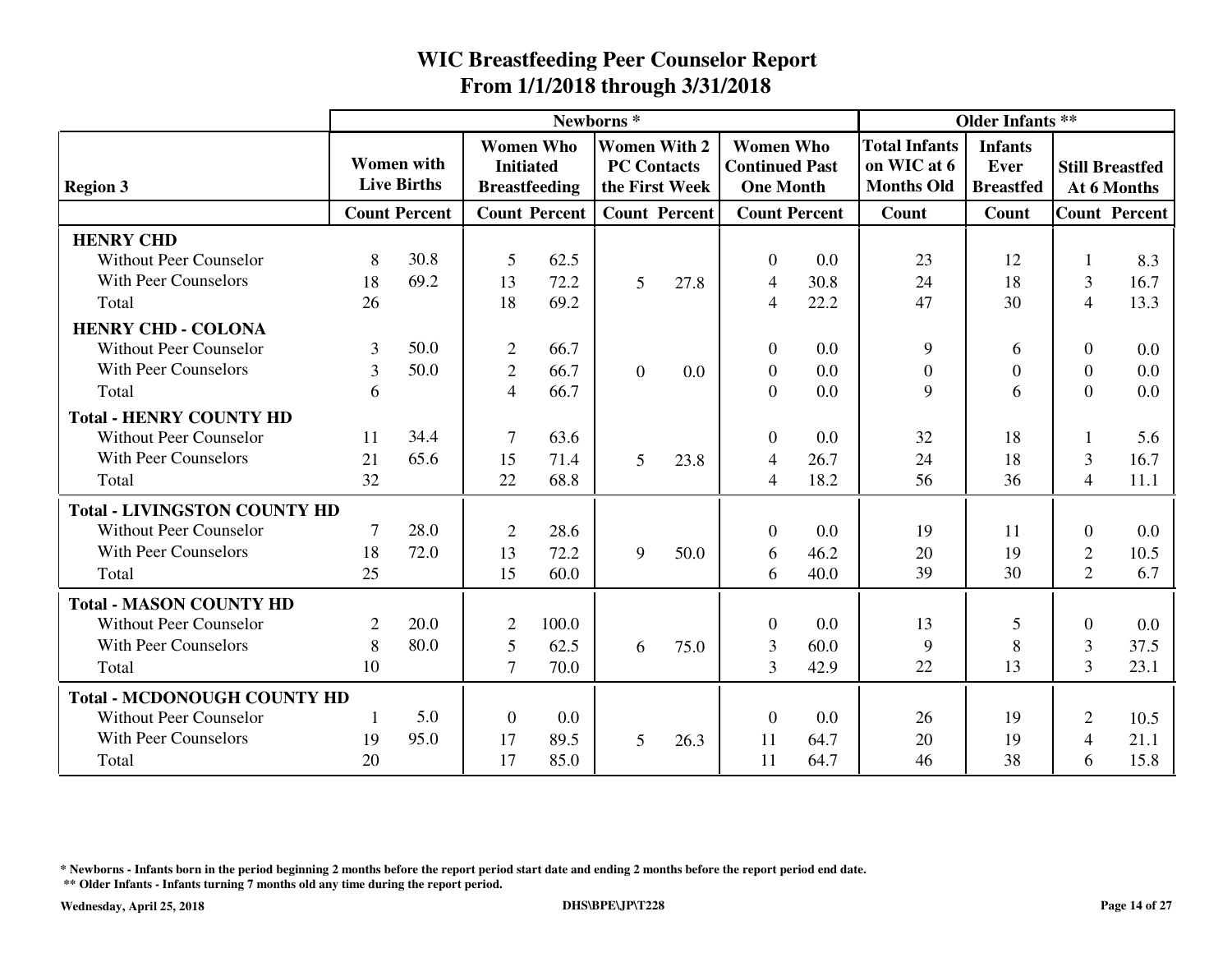|                                     |                |                                         |                                      |                      | Newborns <sup>*</sup>                     |                      |                                                               |                      |                                                          | <b>Older Infants **</b>                    |                |                                       |
|-------------------------------------|----------------|-----------------------------------------|--------------------------------------|----------------------|-------------------------------------------|----------------------|---------------------------------------------------------------|----------------------|----------------------------------------------------------|--------------------------------------------|----------------|---------------------------------------|
| <b>Region 3</b>                     |                | <b>Women</b> with<br><b>Live Births</b> | <b>Women Who</b><br><b>Initiated</b> | <b>Breastfeeding</b> | <b>Women With 2</b><br><b>PC Contacts</b> | the First Week       | <b>Women Who</b><br><b>Continued Past</b><br><b>One Month</b> |                      | <b>Total Infants</b><br>on WIC at 6<br><b>Months Old</b> | <b>Infants</b><br>Ever<br><b>Breastfed</b> |                | <b>Still Breastfed</b><br>At 6 Months |
|                                     |                | <b>Count Percent</b>                    |                                      | <b>Count Percent</b> |                                           | <b>Count Percent</b> |                                                               | <b>Count Percent</b> | Count                                                    | Count                                      |                | <b>Count Percent</b>                  |
| <b>HENRY CHD</b>                    |                |                                         |                                      |                      |                                           |                      |                                                               |                      |                                                          |                                            |                |                                       |
| <b>Without Peer Counselor</b>       | 8              | 30.8                                    | 5                                    | 62.5                 |                                           |                      | $\theta$                                                      | 0.0                  | 23                                                       | 12                                         |                | 8.3                                   |
| <b>With Peer Counselors</b>         | 18             | 69.2                                    | 13                                   | 72.2                 | 5                                         | 27.8                 | $\overline{4}$                                                | 30.8                 | 24                                                       | 18                                         | 3              | 16.7                                  |
| Total                               | 26             |                                         | 18                                   | 69.2                 |                                           |                      | $\overline{4}$                                                | 22.2                 | 47                                                       | 30                                         | $\overline{4}$ | 13.3                                  |
| <b>HENRY CHD - COLONA</b>           |                |                                         |                                      |                      |                                           |                      |                                                               |                      |                                                          |                                            |                |                                       |
| <b>Without Peer Counselor</b>       | 3              | 50.0                                    | $\overline{2}$                       | 66.7                 |                                           |                      | $\theta$                                                      | 0.0                  | 9                                                        | 6                                          | $\theta$       | 0.0                                   |
| With Peer Counselors                | 3              | 50.0                                    | $\mathfrak{2}$                       | 66.7                 | $\theta$                                  | 0.0                  | $\theta$                                                      | 0.0                  | $\overline{0}$                                           | $\boldsymbol{0}$                           | $\Omega$       | 0.0                                   |
| Total                               | 6              |                                         | $\overline{4}$                       | 66.7                 |                                           |                      | $\overline{0}$                                                | 0.0                  | 9                                                        | 6                                          | $\Omega$       | 0.0                                   |
| <b>Total - HENRY COUNTY HD</b>      |                |                                         |                                      |                      |                                           |                      |                                                               |                      |                                                          |                                            |                |                                       |
| <b>Without Peer Counselor</b>       | 11             | 34.4                                    | $\overline{7}$                       | 63.6                 |                                           |                      | $\theta$                                                      | 0.0                  | 32                                                       | 18                                         |                | 5.6                                   |
| With Peer Counselors                | 21             | 65.6                                    | 15                                   | 71.4                 | 5                                         | 23.8                 | 4                                                             | 26.7                 | 24                                                       | 18                                         | 3              | 16.7                                  |
| Total                               | 32             |                                         | 22                                   | 68.8                 |                                           |                      | $\overline{4}$                                                | 18.2                 | 56                                                       | 36                                         | $\overline{4}$ | 11.1                                  |
| <b>Total - LIVINGSTON COUNTY HD</b> |                |                                         |                                      |                      |                                           |                      |                                                               |                      |                                                          |                                            |                |                                       |
| <b>Without Peer Counselor</b>       | 7              | 28.0                                    | $\overline{2}$                       | 28.6                 |                                           |                      | $\theta$                                                      | 0.0                  | 19                                                       | 11                                         | $\theta$       | 0.0                                   |
| With Peer Counselors                | 18             | 72.0                                    | 13                                   | 72.2                 | 9                                         | 50.0                 | 6                                                             | 46.2                 | 20                                                       | 19                                         | $\overline{2}$ | 10.5                                  |
| Total                               | 25             |                                         | 15                                   | 60.0                 |                                           |                      | 6                                                             | 40.0                 | 39                                                       | 30                                         | $\overline{2}$ | 6.7                                   |
| <b>Total - MASON COUNTY HD</b>      |                |                                         |                                      |                      |                                           |                      |                                                               |                      |                                                          |                                            |                |                                       |
| <b>Without Peer Counselor</b>       | $\overline{2}$ | 20.0                                    | 2                                    | 100.0                |                                           |                      | $\theta$                                                      | 0.0                  | 13                                                       | 5                                          | $\Omega$       | 0.0                                   |
| With Peer Counselors                | 8              | 80.0                                    | 5                                    | 62.5                 | 6                                         | 75.0                 | $\overline{3}$                                                | 60.0                 | 9                                                        | 8                                          | 3              | 37.5                                  |
| Total                               | 10             |                                         | $\tau$                               | 70.0                 |                                           |                      | $\overline{3}$                                                | 42.9                 | 22                                                       | 13                                         | $\overline{3}$ | 23.1                                  |
| <b>Total - MCDONOUGH COUNTY HD</b>  |                |                                         |                                      |                      |                                           |                      |                                                               |                      |                                                          |                                            |                |                                       |
| <b>Without Peer Counselor</b>       | 1              | 5.0                                     | $\overline{0}$                       | 0.0                  |                                           |                      | $\theta$                                                      | 0.0                  | 26                                                       | 19                                         | $\overline{2}$ | 10.5                                  |
| With Peer Counselors                | 19             | 95.0                                    | 17                                   | 89.5                 | 5                                         | 26.3                 | 11                                                            | 64.7                 | 20                                                       | 19                                         | $\overline{4}$ | 21.1                                  |
| Total                               | 20             |                                         | 17                                   | 85.0                 |                                           |                      | 11                                                            | 64.7                 | 46                                                       | 38                                         | 6              | 15.8                                  |

**\* Newborns - Infants born in the period beginning 2 months before the report period start date and ending 2 months before the report period end date.**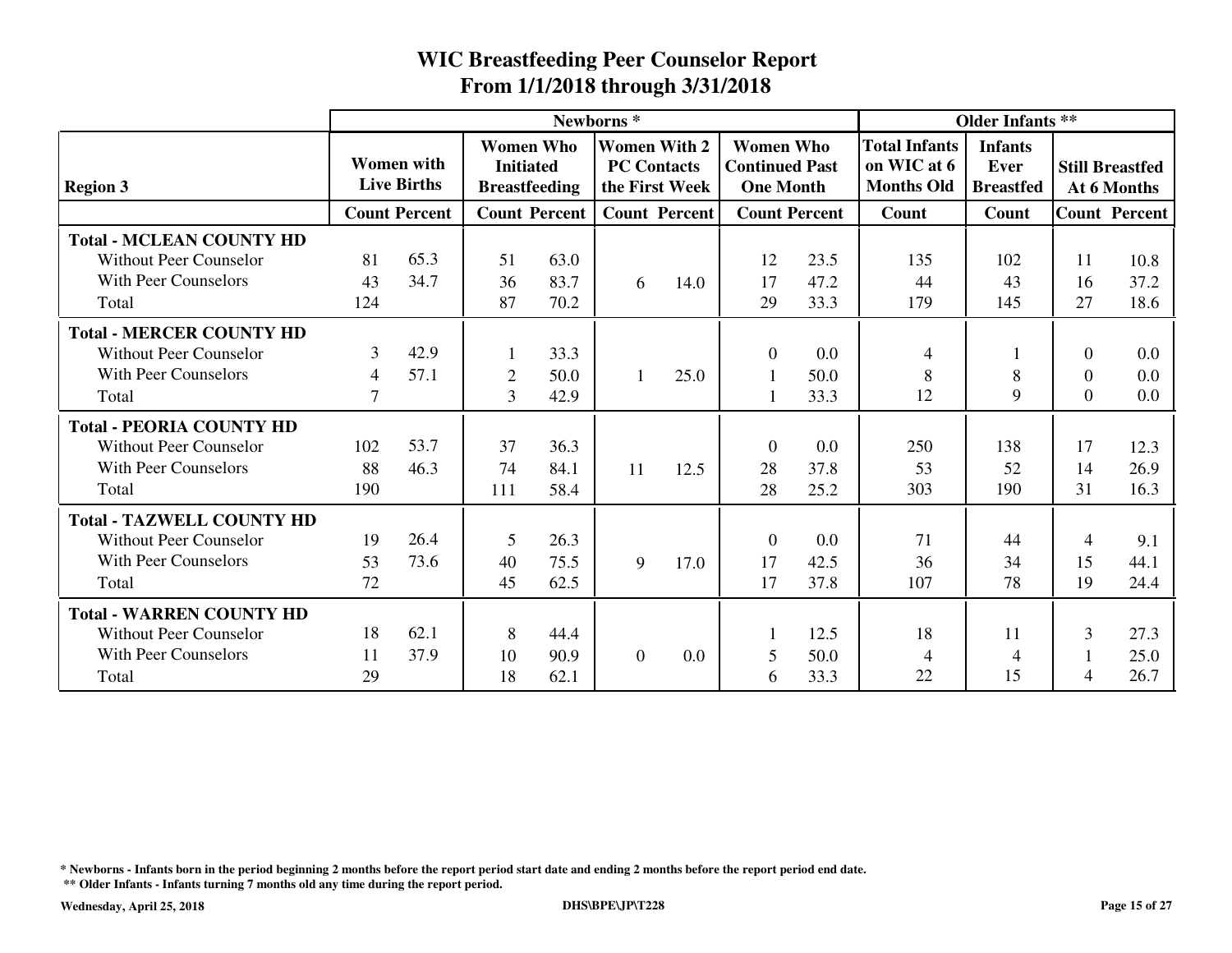|                                  |                |                                         |                                                              |                      | Newborns <sup>*</sup>                     |                      |                                                               |                      |                                                          | <b>Older Infants **</b>                    |          |                                       |
|----------------------------------|----------------|-----------------------------------------|--------------------------------------------------------------|----------------------|-------------------------------------------|----------------------|---------------------------------------------------------------|----------------------|----------------------------------------------------------|--------------------------------------------|----------|---------------------------------------|
| <b>Region 3</b>                  |                | <b>Women</b> with<br><b>Live Births</b> | <b>Women Who</b><br><b>Initiated</b><br><b>Breastfeeding</b> |                      | <b>Women With 2</b><br><b>PC Contacts</b> | the First Week       | <b>Women Who</b><br><b>Continued Past</b><br><b>One Month</b> |                      | <b>Total Infants</b><br>on WIC at 6<br><b>Months Old</b> | <b>Infants</b><br>Ever<br><b>Breastfed</b> |          | <b>Still Breastfed</b><br>At 6 Months |
|                                  |                | <b>Count Percent</b>                    |                                                              | <b>Count Percent</b> |                                           | <b>Count Percent</b> |                                                               | <b>Count Percent</b> | Count                                                    | Count                                      |          | <b>Count Percent</b>                  |
| <b>Total - MCLEAN COUNTY HD</b>  |                |                                         |                                                              |                      |                                           |                      |                                                               |                      |                                                          |                                            |          |                                       |
| <b>Without Peer Counselor</b>    | 81             | 65.3                                    | 51                                                           | 63.0                 |                                           |                      | 12                                                            | 23.5                 | 135                                                      | 102                                        | 11       | 10.8                                  |
| <b>With Peer Counselors</b>      | 43             | 34.7                                    | 36                                                           | 83.7                 | 6                                         | 14.0                 | 17                                                            | 47.2                 | 44                                                       | 43                                         | 16       | 37.2                                  |
| Total                            | 124            |                                         | 87                                                           | 70.2                 |                                           |                      | 29                                                            | 33.3                 | 179                                                      | 145                                        | 27       | 18.6                                  |
| <b>Total - MERCER COUNTY HD</b>  |                |                                         |                                                              |                      |                                           |                      |                                                               |                      |                                                          |                                            |          |                                       |
| <b>Without Peer Counselor</b>    | 3              | 42.9                                    |                                                              | 33.3                 |                                           |                      | $\theta$                                                      | 0.0                  | $\overline{4}$                                           |                                            | $\Omega$ | 0.0                                   |
| With Peer Counselors             | $\overline{4}$ | 57.1                                    | $\overline{2}$                                               | 50.0                 | $\mathbf{1}$                              | 25.0                 |                                                               | 50.0                 | 8                                                        | 8                                          | $\Omega$ | 0.0                                   |
| Total                            | $\overline{7}$ |                                         | 3                                                            | 42.9                 |                                           |                      |                                                               | 33.3                 | 12                                                       | 9                                          | $\Omega$ | 0.0                                   |
| <b>Total - PEORIA COUNTY HD</b>  |                |                                         |                                                              |                      |                                           |                      |                                                               |                      |                                                          |                                            |          |                                       |
| <b>Without Peer Counselor</b>    | 102            | 53.7                                    | 37                                                           | 36.3                 |                                           |                      | $\theta$                                                      | 0.0                  | 250                                                      | 138                                        | 17       | 12.3                                  |
| With Peer Counselors             | 88             | 46.3                                    | 74                                                           | 84.1                 | 11                                        | 12.5                 | 28                                                            | 37.8                 | 53                                                       | 52                                         | 14       | 26.9                                  |
| Total                            | 190            |                                         | 111                                                          | 58.4                 |                                           |                      | 28                                                            | 25.2                 | 303                                                      | 190                                        | 31       | 16.3                                  |
| <b>Total - TAZWELL COUNTY HD</b> |                |                                         |                                                              |                      |                                           |                      |                                                               |                      |                                                          |                                            |          |                                       |
| <b>Without Peer Counselor</b>    | 19             | 26.4                                    | 5                                                            | 26.3                 |                                           |                      | $\theta$                                                      | 0.0                  | 71                                                       | 44                                         | 4        | 9.1                                   |
| <b>With Peer Counselors</b>      | 53             | 73.6                                    | 40                                                           | 75.5                 | 9                                         | 17.0                 | 17                                                            | 42.5                 | 36                                                       | 34                                         | 15       | 44.1                                  |
| Total                            | 72             |                                         | 45                                                           | 62.5                 |                                           |                      | 17                                                            | 37.8                 | 107                                                      | 78                                         | 19       | 24.4                                  |
| <b>Total - WARREN COUNTY HD</b>  |                |                                         |                                                              |                      |                                           |                      |                                                               |                      |                                                          |                                            |          |                                       |
| <b>Without Peer Counselor</b>    | 18             | 62.1                                    | 8                                                            | 44.4                 |                                           |                      |                                                               | 12.5                 | 18                                                       | 11                                         | 3        | 27.3                                  |
| <b>With Peer Counselors</b>      | 11             | 37.9                                    | 10                                                           | 90.9                 | $\Omega$                                  | 0.0                  | 5                                                             | 50.0                 | $\overline{4}$                                           | 4                                          |          | 25.0                                  |
| Total                            | 29             |                                         | 18                                                           | 62.1                 |                                           |                      | 6                                                             | 33.3                 | 22                                                       | 15                                         | 4        | 26.7                                  |

**\* Newborns - Infants born in the period beginning 2 months before the report period start date and ending 2 months before the report period end date.**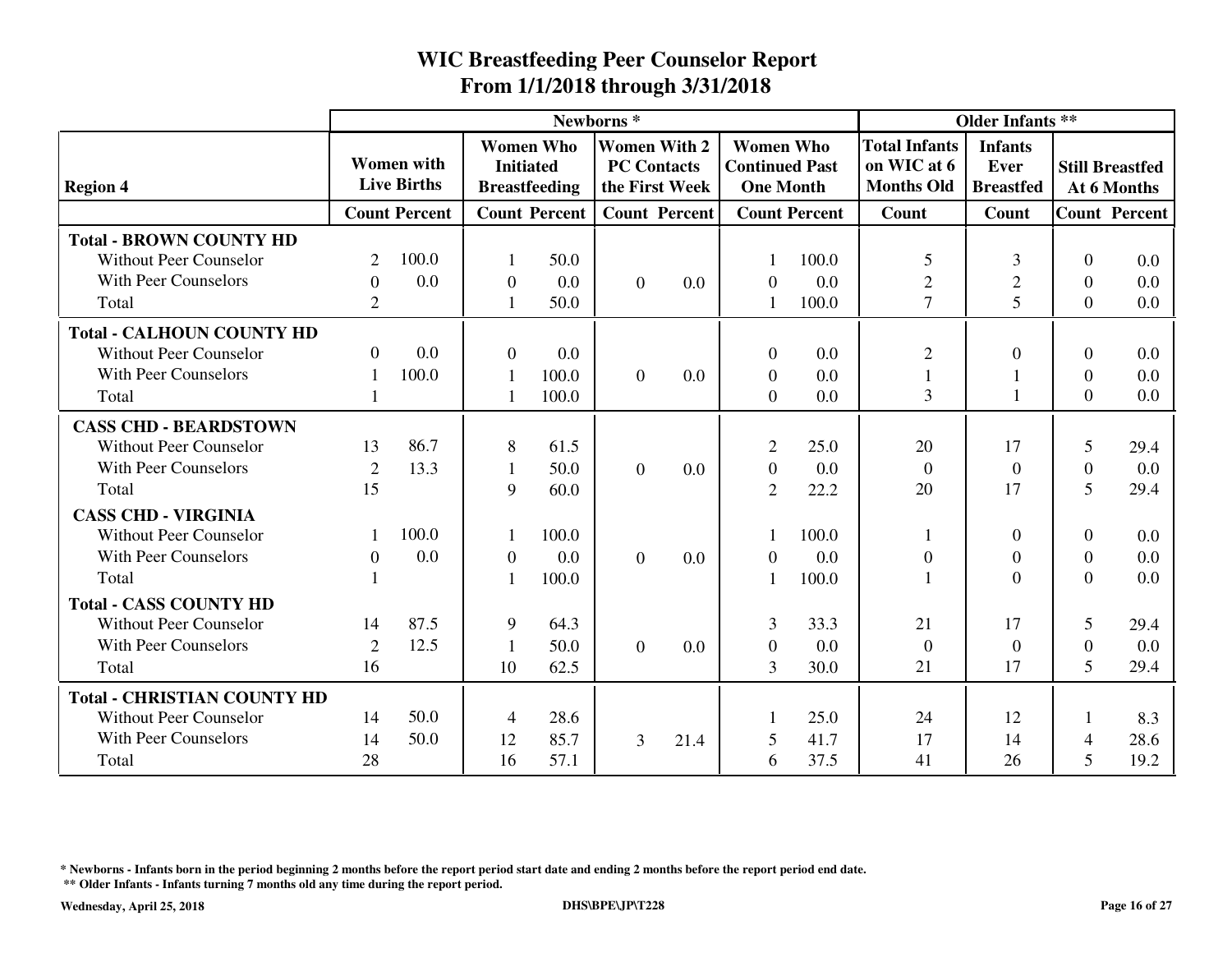|                                    |                |                                         |                  |                                          | Newborns <sup>*</sup> |                                       |                                                               | <b>Older Infants **</b> |                                                          |                                            |                |                                       |
|------------------------------------|----------------|-----------------------------------------|------------------|------------------------------------------|-----------------------|---------------------------------------|---------------------------------------------------------------|-------------------------|----------------------------------------------------------|--------------------------------------------|----------------|---------------------------------------|
| <b>Region 4</b>                    |                | <b>Women</b> with<br><b>Live Births</b> | <b>Initiated</b> | <b>Women Who</b><br><b>Breastfeeding</b> | <b>PC Contacts</b>    | <b>Women With 2</b><br>the First Week | <b>Women Who</b><br><b>Continued Past</b><br><b>One Month</b> |                         | <b>Total Infants</b><br>on WIC at 6<br><b>Months Old</b> | <b>Infants</b><br>Ever<br><b>Breastfed</b> |                | <b>Still Breastfed</b><br>At 6 Months |
|                                    |                | <b>Count Percent</b>                    |                  | <b>Count Percent</b>                     |                       | <b>Count Percent</b>                  |                                                               | <b>Count Percent</b>    | Count                                                    | Count                                      |                | <b>Count Percent</b>                  |
| <b>Total - BROWN COUNTY HD</b>     |                |                                         |                  |                                          |                       |                                       |                                                               |                         |                                                          |                                            |                |                                       |
| <b>Without Peer Counselor</b>      | $\overline{2}$ | 100.0                                   |                  | 50.0                                     |                       |                                       |                                                               | 100.0                   | 5                                                        | 3                                          | $\Omega$       | 0.0                                   |
| <b>With Peer Counselors</b>        | $\Omega$       | 0.0                                     | $\overline{0}$   | 0.0                                      | $\Omega$              | 0.0                                   | $\Omega$                                                      | 0.0                     | $\mathfrak{2}$                                           | $\overline{2}$                             | $\Omega$       | 0.0                                   |
| Total                              | $\overline{2}$ |                                         |                  | 50.0                                     |                       |                                       |                                                               | 100.0                   | $\overline{7}$                                           | 5                                          | $\Omega$       | 0.0                                   |
| <b>Total - CALHOUN COUNTY HD</b>   |                |                                         |                  |                                          |                       |                                       |                                                               |                         |                                                          |                                            |                |                                       |
| <b>Without Peer Counselor</b>      | $\Omega$       | 0.0                                     | $\Omega$         | 0.0                                      |                       |                                       | $\Omega$                                                      | 0.0                     | $\overline{2}$                                           | $\Omega$                                   | $\Omega$       | 0.0                                   |
| <b>With Peer Counselors</b>        |                | 100.0                                   | $\mathbf{1}$     | 100.0                                    | $\overline{0}$        | 0.0                                   | $\overline{0}$                                                | 0.0                     | $\mathbf{1}$                                             | 1                                          | $\Omega$       | 0.0                                   |
| Total                              |                |                                         |                  | 100.0                                    |                       |                                       | $\Omega$                                                      | 0.0                     | 3                                                        | $\mathbf{1}$                               | $\Omega$       | 0.0                                   |
| <b>CASS CHD - BEARDSTOWN</b>       |                |                                         |                  |                                          |                       |                                       |                                                               |                         |                                                          |                                            |                |                                       |
| <b>Without Peer Counselor</b>      | 13             | 86.7                                    | 8                | 61.5                                     |                       |                                       | $\overline{2}$                                                | 25.0                    | 20                                                       | 17                                         | 5              | 29.4                                  |
| <b>With Peer Counselors</b>        | $\overline{2}$ | 13.3                                    | 1                | 50.0                                     | $\overline{0}$        | 0.0                                   | $\mathbf{0}$                                                  | 0.0                     | $\overline{0}$                                           | $\theta$                                   | $\Omega$       | 0.0                                   |
| Total                              | 15             |                                         | 9                | 60.0                                     |                       |                                       | $\overline{2}$                                                | 22.2                    | 20                                                       | 17                                         | 5              | 29.4                                  |
| <b>CASS CHD - VIRGINIA</b>         |                |                                         |                  |                                          |                       |                                       |                                                               |                         |                                                          |                                            |                |                                       |
| <b>Without Peer Counselor</b>      |                | 100.0                                   |                  | 100.0                                    |                       |                                       |                                                               | 100.0                   |                                                          | $\boldsymbol{0}$                           | $\Omega$       | 0.0                                   |
| <b>With Peer Counselors</b>        | $\Omega$       | 0.0                                     | $\overline{0}$   | 0.0                                      | $\Omega$              | 0.0                                   | $\theta$                                                      | 0.0                     | $\overline{0}$                                           | $\boldsymbol{0}$                           | $\Omega$       | 0.0                                   |
| Total                              |                |                                         |                  | 100.0                                    |                       |                                       |                                                               | 100.0                   |                                                          | $\Omega$                                   | $\Omega$       | 0.0                                   |
| <b>Total - CASS COUNTY HD</b>      |                |                                         |                  |                                          |                       |                                       |                                                               |                         |                                                          |                                            |                |                                       |
| <b>Without Peer Counselor</b>      | 14             | 87.5                                    | 9                | 64.3                                     |                       |                                       | 3                                                             | 33.3                    | 21                                                       | 17                                         | 5              | 29.4                                  |
| <b>With Peer Counselors</b>        | $\overline{2}$ | 12.5                                    | $\mathbf{1}$     | 50.0                                     | $\Omega$              | 0.0                                   | $\theta$                                                      | 0.0                     | $\overline{0}$                                           | $\boldsymbol{0}$                           | $\Omega$       | 0.0                                   |
| Total                              | 16             |                                         | 10               | 62.5                                     |                       |                                       | 3                                                             | 30.0                    | 21                                                       | 17                                         | 5              | 29.4                                  |
| <b>Total - CHRISTIAN COUNTY HD</b> |                |                                         |                  |                                          |                       |                                       |                                                               |                         |                                                          |                                            |                |                                       |
| <b>Without Peer Counselor</b>      | 14             | 50.0                                    | 4                | 28.6                                     |                       |                                       |                                                               | 25.0                    | 24                                                       | 12                                         | 1              | 8.3                                   |
| <b>With Peer Counselors</b>        | 14             | 50.0                                    | 12               | 85.7                                     | 3                     | 21.4                                  | 5                                                             | 41.7                    | 17                                                       | 14                                         | $\overline{4}$ | 28.6                                  |
| Total                              | 28             |                                         | 16               | 57.1                                     |                       |                                       | 6                                                             | 37.5                    | 41                                                       | 26                                         | 5              | 19.2                                  |

**\* Newborns - Infants born in the period beginning 2 months before the report period start date and ending 2 months before the report period end date.**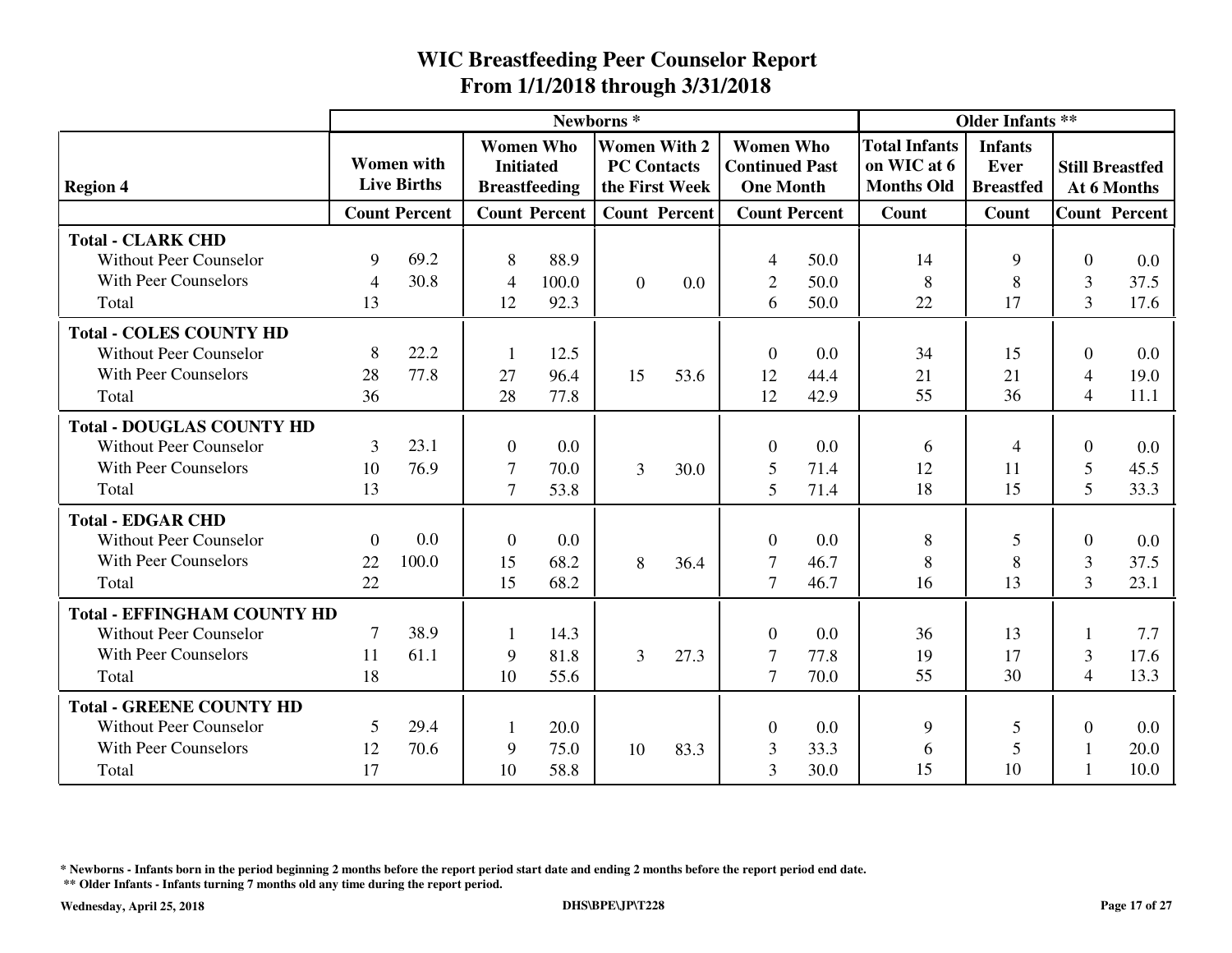|                                    |                |                                         |                  |                                          | Newborns <sup>*</sup>                     |                      |                                                               |                      |                                                          | <b>Older Infants **</b>                    |                |                                       |
|------------------------------------|----------------|-----------------------------------------|------------------|------------------------------------------|-------------------------------------------|----------------------|---------------------------------------------------------------|----------------------|----------------------------------------------------------|--------------------------------------------|----------------|---------------------------------------|
| <b>Region 4</b>                    |                | <b>Women</b> with<br><b>Live Births</b> | <b>Initiated</b> | <b>Women Who</b><br><b>Breastfeeding</b> | <b>Women With 2</b><br><b>PC Contacts</b> | the First Week       | <b>Women Who</b><br><b>Continued Past</b><br><b>One Month</b> |                      | <b>Total Infants</b><br>on WIC at 6<br><b>Months Old</b> | <b>Infants</b><br>Ever<br><b>Breastfed</b> |                | <b>Still Breastfed</b><br>At 6 Months |
|                                    |                | <b>Count Percent</b>                    |                  | <b>Count Percent</b>                     |                                           | <b>Count Percent</b> |                                                               | <b>Count Percent</b> | Count                                                    | Count                                      |                | <b>Count Percent</b>                  |
| <b>Total - CLARK CHD</b>           |                |                                         |                  |                                          |                                           |                      |                                                               |                      |                                                          |                                            |                |                                       |
| <b>Without Peer Counselor</b>      | 9              | 69.2                                    | 8                | 88.9                                     |                                           |                      | 4                                                             | 50.0                 | 14                                                       | 9                                          | $\Omega$       | 0.0                                   |
| <b>With Peer Counselors</b>        | $\overline{4}$ | 30.8                                    | $\overline{4}$   | 100.0                                    | $\overline{0}$                            | 0.0                  | $\overline{2}$                                                | 50.0                 | 8                                                        | 8                                          | 3              | 37.5                                  |
| Total                              | 13             |                                         | 12               | 92.3                                     |                                           |                      | 6                                                             | 50.0                 | 22                                                       | 17                                         | $\overline{3}$ | 17.6                                  |
| <b>Total - COLES COUNTY HD</b>     |                |                                         |                  |                                          |                                           |                      |                                                               |                      |                                                          |                                            |                |                                       |
| <b>Without Peer Counselor</b>      | 8              | 22.2                                    | 1                | 12.5                                     |                                           |                      | $\theta$                                                      | 0.0                  | 34                                                       | 15                                         | $\Omega$       | 0.0                                   |
| With Peer Counselors               | 28             | 77.8                                    | 27               | 96.4                                     | 15                                        | 53.6                 | 12                                                            | 44.4                 | 21                                                       | 21                                         | $\overline{4}$ | 19.0                                  |
| Total                              | 36             |                                         | 28               | 77.8                                     |                                           |                      | 12                                                            | 42.9                 | 55                                                       | 36                                         | $\overline{4}$ | 11.1                                  |
| <b>Total - DOUGLAS COUNTY HD</b>   |                |                                         |                  |                                          |                                           |                      |                                                               |                      |                                                          |                                            |                |                                       |
| <b>Without Peer Counselor</b>      | 3              | 23.1                                    | $\overline{0}$   | 0.0                                      |                                           |                      | $\theta$                                                      | 0.0                  | 6                                                        | 4                                          | $\theta$       | 0.0                                   |
| <b>With Peer Counselors</b>        | 10             | 76.9                                    | 7                | 70.0                                     | 3                                         | 30.0                 | 5                                                             | 71.4                 | 12                                                       | 11                                         | 5              | 45.5                                  |
| Total                              | 13             |                                         | $\overline{7}$   | 53.8                                     |                                           |                      | 5                                                             | 71.4                 | 18                                                       | 15                                         | $\mathfrak{S}$ | 33.3                                  |
| <b>Total - EDGAR CHD</b>           |                |                                         |                  |                                          |                                           |                      |                                                               |                      |                                                          |                                            |                |                                       |
| <b>Without Peer Counselor</b>      | $\theta$       | 0.0                                     | $\boldsymbol{0}$ | 0.0                                      |                                           |                      | $\overline{0}$                                                | 0.0                  | 8                                                        | 5                                          | $\overline{0}$ | 0.0                                   |
| <b>With Peer Counselors</b>        | 22             | 100.0                                   | 15               | 68.2                                     | 8                                         | 36.4                 | $\overline{7}$                                                | 46.7                 | 8                                                        | 8                                          | 3              | 37.5                                  |
| Total                              | 22             |                                         | 15               | 68.2                                     |                                           |                      | $\tau$                                                        | 46.7                 | 16                                                       | 13                                         | 3              | 23.1                                  |
| <b>Total - EFFINGHAM COUNTY HD</b> |                |                                         |                  |                                          |                                           |                      |                                                               |                      |                                                          |                                            |                |                                       |
| <b>Without Peer Counselor</b>      | $\overline{7}$ | 38.9                                    | 1                | 14.3                                     |                                           |                      | $\overline{0}$                                                | 0.0                  | 36                                                       | 13                                         |                | 7.7                                   |
| <b>With Peer Counselors</b>        | 11             | 61.1                                    | 9                | 81.8                                     | 3                                         | 27.3                 | 7                                                             | 77.8                 | 19                                                       | 17                                         | 3              | 17.6                                  |
| Total                              | 18             |                                         | 10               | 55.6                                     |                                           |                      | $\tau$                                                        | 70.0                 | 55                                                       | 30                                         | $\overline{4}$ | 13.3                                  |
| <b>Total - GREENE COUNTY HD</b>    |                |                                         |                  |                                          |                                           |                      |                                                               |                      |                                                          |                                            |                |                                       |
| <b>Without Peer Counselor</b>      | 5              | 29.4                                    | 1                | 20.0                                     |                                           |                      | $\overline{0}$                                                | 0.0                  | 9                                                        | 5                                          | $\theta$       | 0.0                                   |
| <b>With Peer Counselors</b>        | 12             | 70.6                                    | 9                | 75.0                                     | 10                                        | 83.3                 | 3                                                             | 33.3                 | 6                                                        | 5                                          |                | 20.0                                  |
| Total                              | 17             |                                         | 10               | 58.8                                     |                                           |                      | 3                                                             | 30.0                 | 15                                                       | 10                                         |                | 10.0                                  |

**\* Newborns - Infants born in the period beginning 2 months before the report period start date and ending 2 months before the report period end date.**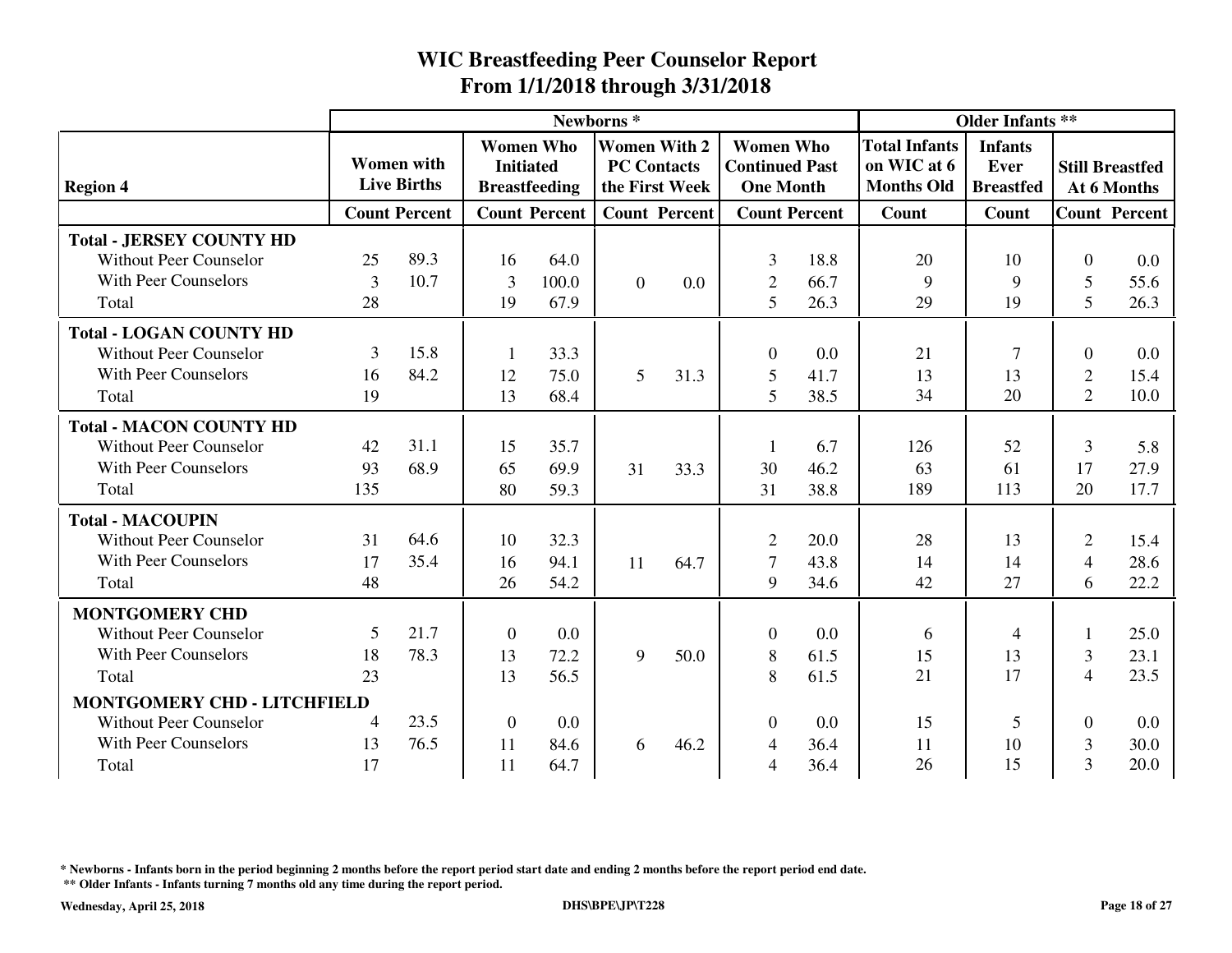|                                    |     | Newborns <sup>*</sup>                   |                  |                                          |                                                             |                      |                                                               |                      |                                                          | <b>Older Infants **</b>                    |                |                                       |
|------------------------------------|-----|-----------------------------------------|------------------|------------------------------------------|-------------------------------------------------------------|----------------------|---------------------------------------------------------------|----------------------|----------------------------------------------------------|--------------------------------------------|----------------|---------------------------------------|
| <b>Region 4</b>                    |     | <b>Women</b> with<br><b>Live Births</b> | <b>Initiated</b> | <b>Women Who</b><br><b>Breastfeeding</b> | <b>Women With 2</b><br><b>PC Contacts</b><br>the First Week |                      | <b>Women Who</b><br><b>Continued Past</b><br><b>One Month</b> |                      | <b>Total Infants</b><br>on WIC at 6<br><b>Months Old</b> | <b>Infants</b><br>Ever<br><b>Breastfed</b> |                | <b>Still Breastfed</b><br>At 6 Months |
|                                    |     | <b>Count Percent</b>                    |                  | <b>Count Percent</b>                     |                                                             | <b>Count Percent</b> |                                                               | <b>Count Percent</b> | Count                                                    | Count                                      |                | <b>Count Percent</b>                  |
| <b>Total - JERSEY COUNTY HD</b>    |     |                                         |                  |                                          |                                                             |                      |                                                               |                      |                                                          |                                            |                |                                       |
| <b>Without Peer Counselor</b>      | 25  | 89.3                                    | 16               | 64.0                                     |                                                             |                      | 3                                                             | 18.8                 | 20                                                       | 10                                         | $\Omega$       | 0.0                                   |
| <b>With Peer Counselors</b>        | 3   | 10.7                                    | 3                | 100.0                                    | $\overline{0}$                                              | 0.0                  | $\overline{2}$                                                | 66.7                 | 9                                                        | 9                                          | 5              | 55.6                                  |
| Total                              | 28  |                                         | 19               | 67.9                                     |                                                             |                      | 5                                                             | 26.3                 | 29                                                       | 19                                         | 5              | 26.3                                  |
| <b>Total - LOGAN COUNTY HD</b>     |     |                                         |                  |                                          |                                                             |                      |                                                               |                      |                                                          |                                            |                |                                       |
| <b>Without Peer Counselor</b>      | 3   | 15.8                                    | 1                | 33.3                                     |                                                             |                      | $\mathbf{0}$                                                  | 0.0                  | 21                                                       | $\overline{7}$                             | $\Omega$       | 0.0                                   |
| <b>With Peer Counselors</b>        | 16  | 84.2                                    | 12               | 75.0                                     | 5                                                           | 31.3                 | 5                                                             | 41.7                 | 13                                                       | 13                                         | $\overline{2}$ | 15.4                                  |
| Total                              | 19  |                                         | 13               | 68.4                                     |                                                             |                      | 5                                                             | 38.5                 | 34                                                       | 20                                         | $\overline{2}$ | 10.0                                  |
| <b>Total - MACON COUNTY HD</b>     |     |                                         |                  |                                          |                                                             |                      |                                                               |                      |                                                          |                                            |                |                                       |
| <b>Without Peer Counselor</b>      | 42  | 31.1                                    | 15               | 35.7                                     |                                                             |                      |                                                               | 6.7                  | 126                                                      | 52                                         | 3              | 5.8                                   |
| <b>With Peer Counselors</b>        | 93  | 68.9                                    | 65               | 69.9                                     | 31                                                          | 33.3                 | 30                                                            | 46.2                 | 63                                                       | 61                                         | 17             | 27.9                                  |
| Total                              | 135 |                                         | 80               | 59.3                                     |                                                             |                      | 31                                                            | 38.8                 | 189                                                      | 113                                        | 20             | 17.7                                  |
| <b>Total - MACOUPIN</b>            |     |                                         |                  |                                          |                                                             |                      |                                                               |                      |                                                          |                                            |                |                                       |
| <b>Without Peer Counselor</b>      | 31  | 64.6                                    | 10               | 32.3                                     |                                                             |                      | $\overline{2}$                                                | 20.0                 | 28                                                       | 13                                         | $\overline{2}$ | 15.4                                  |
| <b>With Peer Counselors</b>        | 17  | 35.4                                    | 16               | 94.1                                     | 11                                                          | 64.7                 | $\tau$                                                        | 43.8                 | 14                                                       | 14                                         | $\overline{4}$ | 28.6                                  |
| Total                              | 48  |                                         | 26               | 54.2                                     |                                                             |                      | 9                                                             | 34.6                 | 42                                                       | 27                                         | 6              | 22.2                                  |
| <b>MONTGOMERY CHD</b>              |     |                                         |                  |                                          |                                                             |                      |                                                               |                      |                                                          |                                            |                |                                       |
| <b>Without Peer Counselor</b>      | 5   | 21.7                                    | $\boldsymbol{0}$ | 0.0                                      |                                                             |                      | $\theta$                                                      | 0.0                  | 6                                                        | $\overline{4}$                             |                | 25.0                                  |
| <b>With Peer Counselors</b>        | 18  | 78.3                                    | 13               | 72.2                                     | 9                                                           | 50.0                 | 8                                                             | 61.5                 | 15                                                       | 13                                         | 3              | 23.1                                  |
| Total                              | 23  |                                         | 13               | 56.5                                     |                                                             |                      | 8                                                             | 61.5                 | 21                                                       | 17                                         | $\overline{4}$ | 23.5                                  |
| <b>MONTGOMERY CHD - LITCHFIELD</b> |     |                                         |                  |                                          |                                                             |                      |                                                               |                      |                                                          |                                            |                |                                       |
| <b>Without Peer Counselor</b>      | 4   | 23.5                                    | $\mathbf{0}$     | 0.0                                      |                                                             |                      | $\theta$                                                      | 0.0                  | 15                                                       | 5                                          | $\theta$       | 0.0                                   |
| <b>With Peer Counselors</b>        | 13  | 76.5                                    | 11               | 84.6                                     | 6                                                           | 46.2                 | 4                                                             | 36.4                 | 11                                                       | 10                                         | 3              | 30.0                                  |
| Total                              | 17  |                                         | 11               | 64.7                                     |                                                             |                      | 4                                                             | 36.4                 | 26                                                       | 15                                         | 3              | 20.0                                  |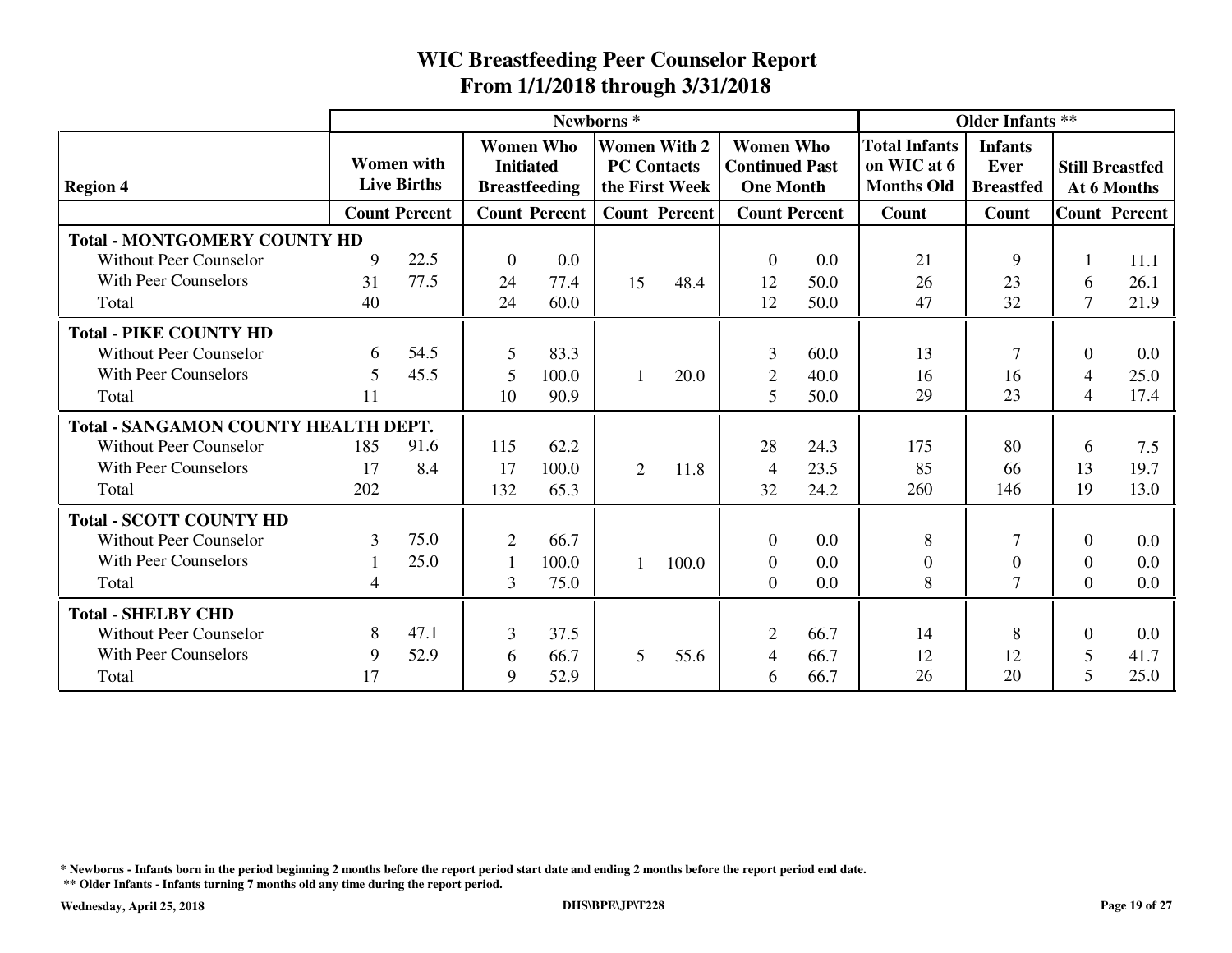|                                             |                |                                         |                                      |                      | Newborns <sup>*</sup> |                                                             |                                                               |      |                                                          | <b>Older Infants **</b>                           |                |                                       |
|---------------------------------------------|----------------|-----------------------------------------|--------------------------------------|----------------------|-----------------------|-------------------------------------------------------------|---------------------------------------------------------------|------|----------------------------------------------------------|---------------------------------------------------|----------------|---------------------------------------|
| <b>Region 4</b>                             |                | <b>Women</b> with<br><b>Live Births</b> | <b>Women Who</b><br><b>Initiated</b> | <b>Breastfeeding</b> |                       | <b>Women With 2</b><br><b>PC Contacts</b><br>the First Week | <b>Women Who</b><br><b>Continued Past</b><br><b>One Month</b> |      | <b>Total Infants</b><br>on WIC at 6<br><b>Months Old</b> | <b>Infants</b><br><b>Ever</b><br><b>Breastfed</b> |                | <b>Still Breastfed</b><br>At 6 Months |
|                                             |                | <b>Count Percent</b>                    |                                      | <b>Count Percent</b> |                       | <b>Count Percent</b>                                        | <b>Count Percent</b>                                          |      | Count                                                    | Count                                             |                | <b>Count Percent</b>                  |
| <b>Total - MONTGOMERY COUNTY HD</b>         |                |                                         |                                      |                      |                       |                                                             |                                                               |      |                                                          |                                                   |                |                                       |
| <b>Without Peer Counselor</b>               | 9              | 22.5                                    | $\mathbf{0}$                         | 0.0                  |                       |                                                             | $\Omega$                                                      | 0.0  | 21                                                       | 9                                                 |                | 11.1                                  |
| With Peer Counselors                        | 31             | 77.5                                    | 24                                   | 77.4                 | 15                    | 48.4                                                        | 12                                                            | 50.0 | 26                                                       | 23                                                | 6              | 26.1                                  |
| Total                                       | 40             |                                         | 24                                   | 60.0                 |                       |                                                             | 12                                                            | 50.0 | 47                                                       | 32                                                | 7              | 21.9                                  |
| <b>Total - PIKE COUNTY HD</b>               |                |                                         |                                      |                      |                       |                                                             |                                                               |      |                                                          |                                                   |                |                                       |
| <b>Without Peer Counselor</b>               | 6              | 54.5                                    | 5                                    | 83.3                 |                       |                                                             | 3                                                             | 60.0 | 13                                                       | $\overline{7}$                                    | $\Omega$       | 0.0                                   |
| With Peer Counselors                        | 5              | 45.5                                    | 5                                    | 100.0                | $\mathbf{1}$          | 20.0                                                        | $\overline{2}$                                                | 40.0 | 16                                                       | 16                                                | $\overline{4}$ | 25.0                                  |
| Total                                       | 11             |                                         | 10                                   | 90.9                 |                       |                                                             | 5                                                             | 50.0 | 29                                                       | 23                                                | 4              | 17.4                                  |
| <b>Total - SANGAMON COUNTY HEALTH DEPT.</b> |                |                                         |                                      |                      |                       |                                                             |                                                               |      |                                                          |                                                   |                |                                       |
| <b>Without Peer Counselor</b>               | 185            | 91.6                                    | 115                                  | 62.2                 |                       |                                                             | 28                                                            | 24.3 | 175                                                      | 80                                                | 6              | 7.5                                   |
| With Peer Counselors                        | 17             | 8.4                                     | 17                                   | 100.0                | $\overline{2}$        | 11.8                                                        | 4                                                             | 23.5 | 85                                                       | 66                                                | 13             | 19.7                                  |
| Total                                       | 202            |                                         | 132                                  | 65.3                 |                       |                                                             | 32                                                            | 24.2 | 260                                                      | 146                                               | 19             | 13.0                                  |
| <b>Total - SCOTT COUNTY HD</b>              |                |                                         |                                      |                      |                       |                                                             |                                                               |      |                                                          |                                                   |                |                                       |
| <b>Without Peer Counselor</b>               | 3              | 75.0                                    | $\overline{2}$                       | 66.7                 |                       |                                                             | $\theta$                                                      | 0.0  | 8                                                        | $\overline{7}$                                    | $\Omega$       | 0.0                                   |
| <b>With Peer Counselors</b>                 |                | 25.0                                    |                                      | 100.0                | $\mathbf{1}$          | 100.0                                                       | $\overline{0}$                                                | 0.0  | $\overline{0}$                                           | $\overline{0}$                                    | $\Omega$       | 0.0                                   |
| Total                                       | $\overline{4}$ |                                         | 3                                    | 75.0                 |                       |                                                             | $\Omega$                                                      | 0.0  | 8                                                        | 7                                                 | $\Omega$       | 0.0                                   |
| <b>Total - SHELBY CHD</b>                   |                |                                         |                                      |                      |                       |                                                             |                                                               |      |                                                          |                                                   |                |                                       |
| <b>Without Peer Counselor</b>               | 8              | 47.1                                    | 3                                    | 37.5                 |                       |                                                             | 2                                                             | 66.7 | 14                                                       | 8                                                 | 0              | 0.0                                   |
| <b>With Peer Counselors</b>                 | 9              | 52.9                                    | 6                                    | 66.7                 | $5\overline{)}$       | 55.6                                                        | 4                                                             | 66.7 | 12                                                       | 12                                                | 5              | 41.7                                  |
| Total                                       | 17             |                                         | 9                                    | 52.9                 |                       |                                                             | 6                                                             | 66.7 | 26                                                       | 20                                                | 5              | 25.0                                  |

**\* Newborns - Infants born in the period beginning 2 months before the report period start date and ending 2 months before the report period end date.**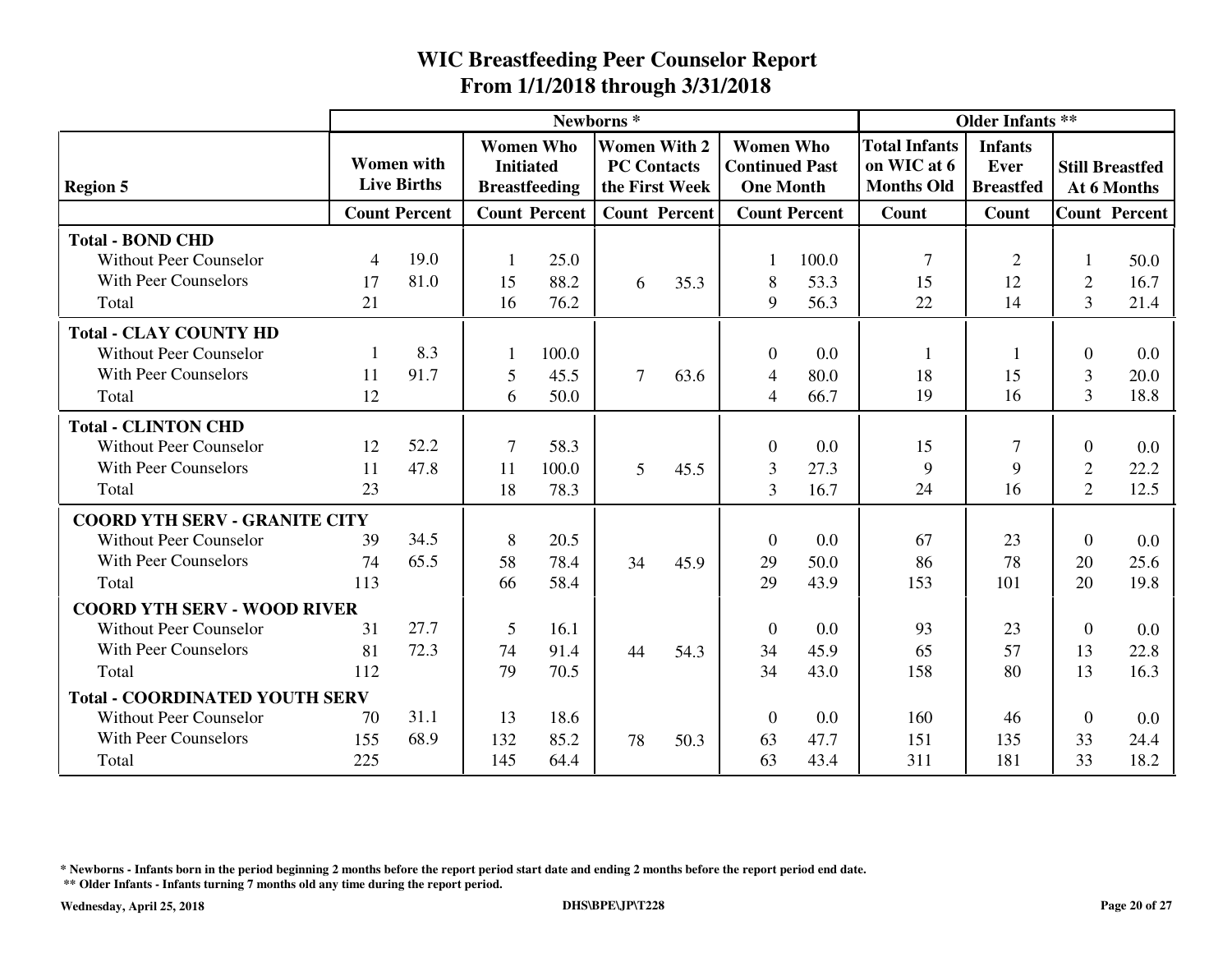|                                       |     |                                         |                  |                                          | Newborns <sup>*</sup> |                                       |                                                               |                      |                                                          | <b>Older Infants **</b>                    |                |                                       |
|---------------------------------------|-----|-----------------------------------------|------------------|------------------------------------------|-----------------------|---------------------------------------|---------------------------------------------------------------|----------------------|----------------------------------------------------------|--------------------------------------------|----------------|---------------------------------------|
| <b>Region 5</b>                       |     | <b>Women</b> with<br><b>Live Births</b> | <b>Initiated</b> | <b>Women Who</b><br><b>Breastfeeding</b> | <b>PC Contacts</b>    | <b>Women With 2</b><br>the First Week | <b>Women Who</b><br><b>Continued Past</b><br><b>One Month</b> |                      | <b>Total Infants</b><br>on WIC at 6<br><b>Months Old</b> | <b>Infants</b><br>Ever<br><b>Breastfed</b> |                | <b>Still Breastfed</b><br>At 6 Months |
|                                       |     | <b>Count Percent</b>                    |                  | <b>Count Percent</b>                     |                       | <b>Count Percent</b>                  |                                                               | <b>Count Percent</b> | Count                                                    | Count                                      |                | <b>Count Percent</b>                  |
| <b>Total - BOND CHD</b>               |     |                                         |                  |                                          |                       |                                       |                                                               |                      |                                                          |                                            |                |                                       |
| <b>Without Peer Counselor</b>         | 4   | 19.0                                    | 1                | 25.0                                     |                       |                                       |                                                               | 100.0                | $\overline{7}$                                           | $\overline{2}$                             |                | 50.0                                  |
| With Peer Counselors                  | 17  | 81.0                                    | 15               | 88.2                                     | 6                     | 35.3                                  | 8                                                             | 53.3                 | 15                                                       | 12                                         | $\overline{2}$ | 16.7                                  |
| Total                                 | 21  |                                         | 16               | 76.2                                     |                       |                                       | 9                                                             | 56.3                 | 22                                                       | 14                                         | 3              | 21.4                                  |
| <b>Total - CLAY COUNTY HD</b>         |     |                                         |                  |                                          |                       |                                       |                                                               |                      |                                                          |                                            |                |                                       |
| <b>Without Peer Counselor</b>         | -1  | 8.3                                     |                  | 100.0                                    |                       |                                       | $\theta$                                                      | 0.0                  | 1                                                        | 1                                          | $\Omega$       | 0.0                                   |
| <b>With Peer Counselors</b>           | 11  | 91.7                                    | 5                | 45.5                                     | $\overline{7}$        | 63.6                                  | $\overline{4}$                                                | 80.0                 | 18                                                       | 15                                         | 3              | 20.0                                  |
| Total                                 | 12  |                                         | 6                | 50.0                                     |                       |                                       | $\overline{4}$                                                | 66.7                 | 19                                                       | 16                                         | $\overline{3}$ | 18.8                                  |
| <b>Total - CLINTON CHD</b>            |     |                                         |                  |                                          |                       |                                       |                                                               |                      |                                                          |                                            |                |                                       |
| <b>Without Peer Counselor</b>         | 12  | 52.2                                    | 7                | 58.3                                     |                       |                                       | $\theta$                                                      | 0.0                  | 15                                                       | $\overline{7}$                             | $\Omega$       | 0.0                                   |
| With Peer Counselors                  | 11  | 47.8                                    | 11               | 100.0                                    | $5\overline{)}$       | 45.5                                  | 3                                                             | 27.3                 | 9                                                        | 9                                          | $\overline{2}$ | 22.2                                  |
| Total                                 | 23  |                                         | 18               | 78.3                                     |                       |                                       | 3                                                             | 16.7                 | 24                                                       | 16                                         | $\overline{2}$ | 12.5                                  |
| <b>COORD YTH SERV - GRANITE CITY</b>  |     |                                         |                  |                                          |                       |                                       |                                                               |                      |                                                          |                                            |                |                                       |
| <b>Without Peer Counselor</b>         | 39  | 34.5                                    | 8                | 20.5                                     |                       |                                       | $\theta$                                                      | 0.0                  | 67                                                       | 23                                         | $\Omega$       | 0.0                                   |
| With Peer Counselors                  | 74  | 65.5                                    | 58               | 78.4                                     | 34                    | 45.9                                  | 29                                                            | 50.0                 | 86                                                       | 78                                         | 20             | 25.6                                  |
| Total                                 | 113 |                                         | 66               | 58.4                                     |                       |                                       | 29                                                            | 43.9                 | 153                                                      | 101                                        | 20             | 19.8                                  |
| <b>COORD YTH SERV - WOOD RIVER</b>    |     |                                         |                  |                                          |                       |                                       |                                                               |                      |                                                          |                                            |                |                                       |
| <b>Without Peer Counselor</b>         | 31  | 27.7                                    | 5                | 16.1                                     |                       |                                       | $\theta$                                                      | 0.0                  | 93                                                       | 23                                         | $\theta$       | 0.0                                   |
| <b>With Peer Counselors</b>           | 81  | 72.3                                    | 74               | 91.4                                     | 44                    | 54.3                                  | 34                                                            | 45.9                 | 65                                                       | 57                                         | 13             | 22.8                                  |
| Total                                 | 112 |                                         | 79               | 70.5                                     |                       |                                       | 34                                                            | 43.0                 | 158                                                      | 80                                         | 13             | 16.3                                  |
| <b>Total - COORDINATED YOUTH SERV</b> |     |                                         |                  |                                          |                       |                                       |                                                               |                      |                                                          |                                            |                |                                       |
| <b>Without Peer Counselor</b>         | 70  | 31.1                                    | 13               | 18.6                                     |                       |                                       | $\Omega$                                                      | 0.0                  | 160                                                      | 46                                         | $\Omega$       | 0.0                                   |
| With Peer Counselors                  | 155 | 68.9                                    | 132              | 85.2                                     | 78                    | 50.3                                  | 63                                                            | 47.7                 | 151                                                      | 135                                        | 33             | 24.4                                  |
| Total                                 | 225 |                                         | 145              | 64.4                                     |                       |                                       | 63                                                            | 43.4                 | 311                                                      | 181                                        | 33             | 18.2                                  |

**\* Newborns - Infants born in the period beginning 2 months before the report period start date and ending 2 months before the report period end date.**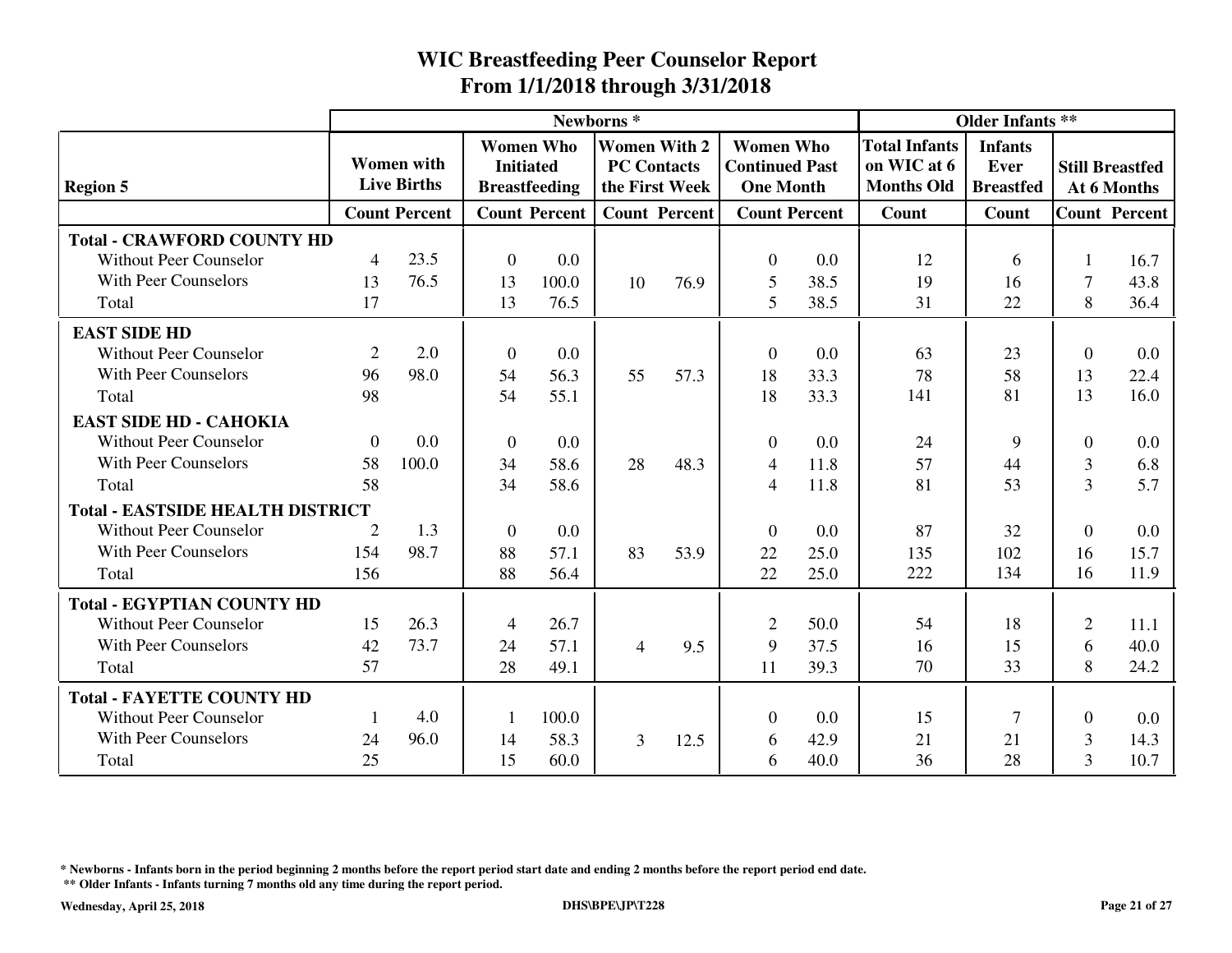|                                         |                |                                         |                  |                                          | Newborns <sup>*</sup> |                                                             |                                                               |                      |                                                          | <b>Older Infants **</b>                    |                |                                       |
|-----------------------------------------|----------------|-----------------------------------------|------------------|------------------------------------------|-----------------------|-------------------------------------------------------------|---------------------------------------------------------------|----------------------|----------------------------------------------------------|--------------------------------------------|----------------|---------------------------------------|
| <b>Region 5</b>                         |                | <b>Women</b> with<br><b>Live Births</b> | <b>Initiated</b> | <b>Women Who</b><br><b>Breastfeeding</b> |                       | <b>Women With 2</b><br><b>PC Contacts</b><br>the First Week | <b>Women Who</b><br><b>Continued Past</b><br><b>One Month</b> |                      | <b>Total Infants</b><br>on WIC at 6<br><b>Months Old</b> | <b>Infants</b><br>Ever<br><b>Breastfed</b> |                | <b>Still Breastfed</b><br>At 6 Months |
|                                         |                | <b>Count Percent</b>                    |                  | <b>Count Percent</b>                     |                       | <b>Count Percent</b>                                        |                                                               | <b>Count Percent</b> | Count                                                    | Count                                      |                | <b>Count Percent</b>                  |
| <b>Total - CRAWFORD COUNTY HD</b>       |                |                                         |                  |                                          |                       |                                                             |                                                               |                      |                                                          |                                            |                |                                       |
| <b>Without Peer Counselor</b>           | $\overline{4}$ | 23.5                                    | $\overline{0}$   | 0.0                                      |                       |                                                             | $\Omega$                                                      | 0.0                  | 12                                                       | 6                                          |                | 16.7                                  |
| <b>With Peer Counselors</b>             | 13             | 76.5                                    | 13               | 100.0                                    | 10                    | 76.9                                                        | 5                                                             | 38.5                 | 19                                                       | 16                                         | $\overline{7}$ | 43.8                                  |
| Total                                   | 17             |                                         | 13               | 76.5                                     |                       |                                                             | 5                                                             | 38.5                 | 31                                                       | 22                                         | 8              | 36.4                                  |
| <b>EAST SIDE HD</b>                     |                |                                         |                  |                                          |                       |                                                             |                                                               |                      |                                                          |                                            |                |                                       |
| <b>Without Peer Counselor</b>           | 2              | 2.0                                     | $\theta$         | 0.0                                      |                       |                                                             | $\theta$                                                      | 0.0                  | 63                                                       | 23                                         | $\Omega$       | 0.0                                   |
| <b>With Peer Counselors</b>             | 96             | 98.0                                    | 54               | 56.3                                     | 55                    | 57.3                                                        | 18                                                            | 33.3                 | 78                                                       | 58                                         | 13             | 22.4                                  |
| Total                                   | 98             |                                         | 54               | 55.1                                     |                       |                                                             | 18                                                            | 33.3                 | 141                                                      | 81                                         | 13             | 16.0                                  |
| <b>EAST SIDE HD - CAHOKIA</b>           |                |                                         |                  |                                          |                       |                                                             |                                                               |                      |                                                          |                                            |                |                                       |
| <b>Without Peer Counselor</b>           | $\theta$       | 0.0                                     | $\mathbf{0}$     | 0.0                                      |                       |                                                             | $\theta$                                                      | 0.0                  | 24                                                       | 9                                          | $\Omega$       | 0.0                                   |
| <b>With Peer Counselors</b>             | 58             | 100.0                                   | 34               | 58.6                                     | 28                    | 48.3                                                        | $\overline{4}$                                                | 11.8                 | 57                                                       | 44                                         | 3              | 6.8                                   |
| Total                                   | 58             |                                         | 34               | 58.6                                     |                       |                                                             | 4                                                             | 11.8                 | 81                                                       | 53                                         | 3              | 5.7                                   |
| <b>Total - EASTSIDE HEALTH DISTRICT</b> |                |                                         |                  |                                          |                       |                                                             |                                                               |                      |                                                          |                                            |                |                                       |
| <b>Without Peer Counselor</b>           | 2              | 1.3                                     | $\mathbf{0}$     | 0.0                                      |                       |                                                             | $\Omega$                                                      | 0.0                  | 87                                                       | 32                                         | $\theta$       | 0.0                                   |
| <b>With Peer Counselors</b>             | 154            | 98.7                                    | 88               | 57.1                                     | 83                    | 53.9                                                        | 22                                                            | 25.0                 | 135                                                      | 102                                        | 16             | 15.7                                  |
| Total                                   | 156            |                                         | 88               | 56.4                                     |                       |                                                             | 22                                                            | 25.0                 | 222                                                      | 134                                        | 16             | 11.9                                  |
| <b>Total - EGYPTIAN COUNTY HD</b>       |                |                                         |                  |                                          |                       |                                                             |                                                               |                      |                                                          |                                            |                |                                       |
| <b>Without Peer Counselor</b>           | 15             | 26.3                                    | 4                | 26.7                                     |                       |                                                             | $\overline{2}$                                                | 50.0                 | 54                                                       | 18                                         | $\overline{2}$ | 11.1                                  |
| <b>With Peer Counselors</b>             | 42             | 73.7                                    | 24               | 57.1                                     | $\overline{4}$        | 9.5                                                         | 9                                                             | 37.5                 | 16                                                       | 15                                         | 6              | 40.0                                  |
| Total                                   | 57             |                                         | 28               | 49.1                                     |                       |                                                             | 11                                                            | 39.3                 | 70                                                       | 33                                         | 8              | 24.2                                  |
| <b>Total - FAYETTE COUNTY HD</b>        |                |                                         |                  |                                          |                       |                                                             |                                                               |                      |                                                          |                                            |                |                                       |
| <b>Without Peer Counselor</b>           | -1             | 4.0                                     | $\mathbf{1}$     | 100.0                                    |                       |                                                             | $\theta$                                                      | 0.0                  | 15                                                       | $\overline{7}$                             | $\theta$       | 0.0                                   |
| <b>With Peer Counselors</b>             | 24             | 96.0                                    | 14               | 58.3                                     | 3                     | 12.5                                                        | 6                                                             | 42.9                 | 21                                                       | 21                                         | 3              | 14.3                                  |
| Total                                   | 25             |                                         | 15               | 60.0                                     |                       |                                                             | 6                                                             | 40.0                 | 36                                                       | 28                                         | 3              | 10.7                                  |

**\* Newborns - Infants born in the period beginning 2 months before the report period start date and ending 2 months before the report period end date.**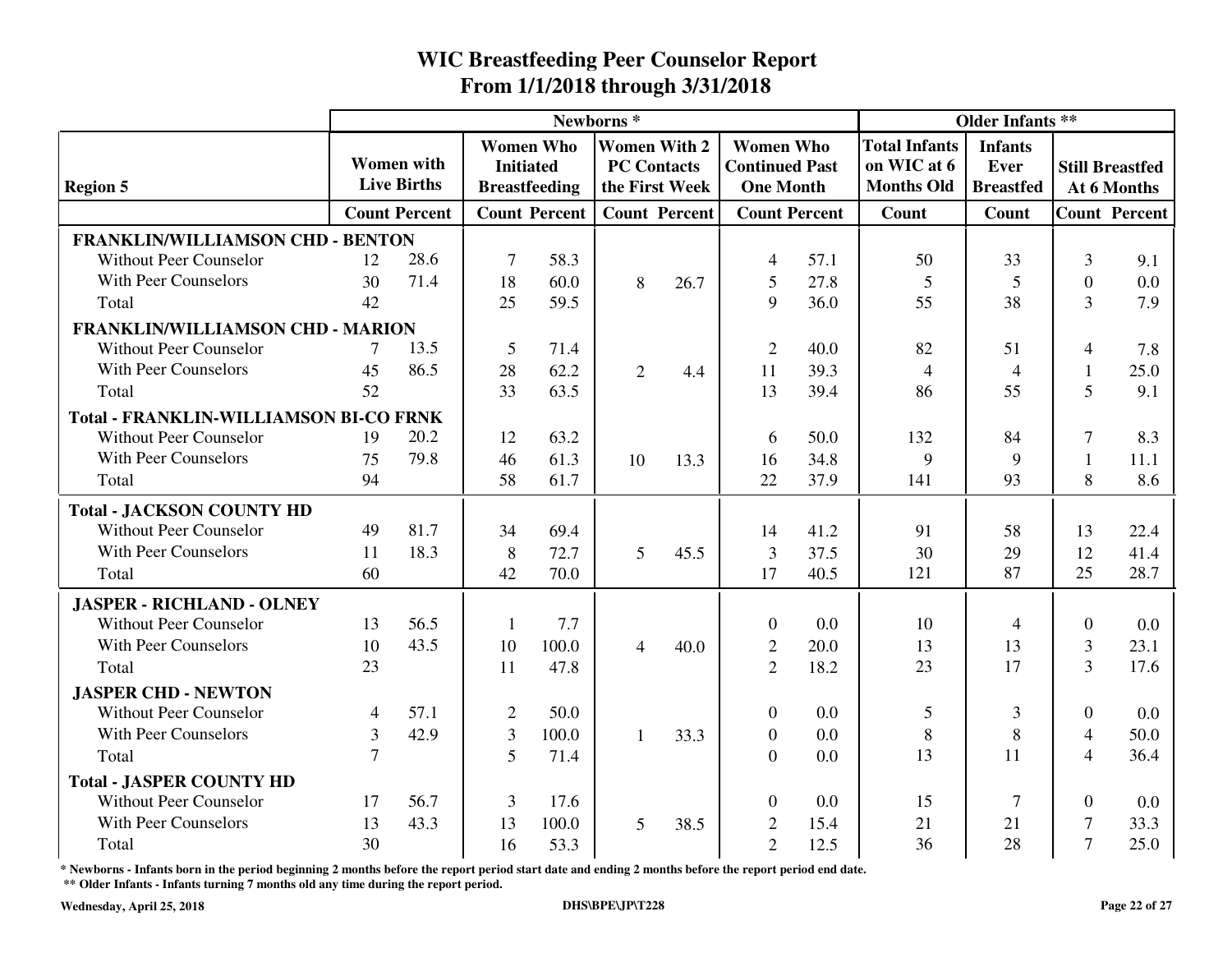|                                               |        |                                         |                  |                                          | Newborns <sup>*</sup> |                                       |                                                               | <b>Older Infants **</b> |                                                          |                                            |                |                                       |
|-----------------------------------------------|--------|-----------------------------------------|------------------|------------------------------------------|-----------------------|---------------------------------------|---------------------------------------------------------------|-------------------------|----------------------------------------------------------|--------------------------------------------|----------------|---------------------------------------|
| <b>Region 5</b>                               |        | <b>Women</b> with<br><b>Live Births</b> | <b>Initiated</b> | <b>Women Who</b><br><b>Breastfeeding</b> | <b>PC Contacts</b>    | <b>Women With 2</b><br>the First Week | <b>Women Who</b><br><b>Continued Past</b><br><b>One Month</b> |                         | <b>Total Infants</b><br>on WIC at 6<br><b>Months Old</b> | <b>Infants</b><br>Ever<br><b>Breastfed</b> |                | <b>Still Breastfed</b><br>At 6 Months |
|                                               |        | <b>Count Percent</b>                    |                  | <b>Count Percent</b>                     |                       | <b>Count Percent</b>                  | <b>Count Percent</b>                                          |                         | Count                                                    | Count                                      |                | <b>Count Percent</b>                  |
| <b>FRANKLIN/WILLIAMSON CHD - BENTON</b>       |        |                                         |                  |                                          |                       |                                       |                                                               |                         |                                                          |                                            |                |                                       |
| <b>Without Peer Counselor</b>                 | 12     | 28.6                                    | $\tau$           | 58.3                                     |                       |                                       | 4                                                             | 57.1                    | 50                                                       | 33                                         | 3              | 9.1                                   |
| With Peer Counselors                          | 30     | 71.4                                    | 18               | 60.0                                     | 8                     | 26.7                                  | 5                                                             | 27.8                    | 5                                                        | 5                                          | $\Omega$       | 0.0                                   |
| Total                                         | 42     |                                         | 25               | 59.5                                     |                       |                                       | 9                                                             | 36.0                    | 55                                                       | 38                                         | $\overline{3}$ | 7.9                                   |
| <b>FRANKLIN/WILLIAMSON CHD - MARION</b>       |        |                                         |                  |                                          |                       |                                       |                                                               |                         |                                                          |                                            |                |                                       |
| <b>Without Peer Counselor</b>                 | 7      | 13.5                                    | 5                | 71.4                                     |                       |                                       | $\overline{2}$                                                | 40.0                    | 82                                                       | 51                                         | $\overline{4}$ | 7.8                                   |
| With Peer Counselors                          | 45     | 86.5                                    | 28               | 62.2                                     | 2                     | 4.4                                   | 11                                                            | 39.3                    | $\overline{4}$                                           | $\overline{4}$                             | $\mathbf{1}$   | 25.0                                  |
| Total                                         | 52     |                                         | 33               | 63.5                                     |                       |                                       | 13                                                            | 39.4                    | 86                                                       | 55                                         | 5              | 9.1                                   |
| <b>Total - FRANKLIN-WILLIAMSON BI-CO FRNK</b> |        |                                         |                  |                                          |                       |                                       |                                                               |                         |                                                          |                                            |                |                                       |
| <b>Without Peer Counselor</b>                 | 19     | 20.2                                    | 12               | 63.2                                     |                       |                                       | 6                                                             | 50.0                    | 132                                                      | 84                                         | $\tau$         | 8.3                                   |
| <b>With Peer Counselors</b>                   | 75     | 79.8                                    | 46               | 61.3                                     | 10                    | 13.3                                  | 16                                                            | 34.8                    | 9                                                        | 9                                          | $\mathbf{1}$   | 11.1                                  |
| Total                                         | 94     |                                         | 58               | 61.7                                     |                       |                                       | 22                                                            | 37.9                    | 141                                                      | 93                                         | 8              | 8.6                                   |
| <b>Total - JACKSON COUNTY HD</b>              |        |                                         |                  |                                          |                       |                                       |                                                               |                         |                                                          |                                            |                |                                       |
| <b>Without Peer Counselor</b>                 | 49     | 81.7                                    | 34               | 69.4                                     |                       |                                       | 14                                                            | 41.2                    | 91                                                       | 58                                         | 13             | 22.4                                  |
| With Peer Counselors                          | 11     | 18.3                                    | 8                | 72.7                                     | 5                     | 45.5                                  | $\overline{3}$                                                | 37.5                    | 30                                                       | 29                                         | 12             | 41.4                                  |
| Total                                         | 60     |                                         | 42               | 70.0                                     |                       |                                       | 17                                                            | 40.5                    | 121                                                      | 87                                         | 25             | 28.7                                  |
| <b>JASPER - RICHLAND - OLNEY</b>              |        |                                         |                  |                                          |                       |                                       |                                                               |                         |                                                          |                                            |                |                                       |
| <b>Without Peer Counselor</b>                 | 13     | 56.5                                    | $\mathbf{1}$     | 7.7                                      |                       |                                       | $\mathbf{0}$                                                  | 0.0                     | 10                                                       | $\overline{4}$                             | $\overline{0}$ | 0.0                                   |
| With Peer Counselors                          | 10     | 43.5                                    | 10               | 100.0                                    | $\overline{4}$        | 40.0                                  | $\mathbf{2}$                                                  | 20.0                    | 13                                                       | 13                                         | 3              | 23.1                                  |
| Total                                         | 23     |                                         | 11               | 47.8                                     |                       |                                       | $\overline{2}$                                                | 18.2                    | 23                                                       | 17                                         | $\overline{3}$ | 17.6                                  |
| <b>JASPER CHD - NEWTON</b>                    |        |                                         |                  |                                          |                       |                                       |                                                               |                         |                                                          |                                            |                |                                       |
| <b>Without Peer Counselor</b>                 | 4      | 57.1                                    | $\overline{2}$   | 50.0                                     |                       |                                       | $\theta$                                                      | 0.0                     | 5                                                        | 3                                          | $\Omega$       | 0.0                                   |
| With Peer Counselors                          | 3      | 42.9                                    | $\mathfrak{Z}$   | 100.0                                    | $\mathbf{1}$          | 33.3                                  | $\overline{0}$                                                | 0.0                     | 8                                                        | $8\,$                                      | $\overline{4}$ | 50.0                                  |
| Total                                         | $\tau$ |                                         | 5                | 71.4                                     |                       |                                       | $\Omega$                                                      | 0.0                     | 13                                                       | 11                                         | $\overline{4}$ | 36.4                                  |
| <b>Total - JASPER COUNTY HD</b>               |        |                                         |                  |                                          |                       |                                       |                                                               |                         |                                                          |                                            |                |                                       |
| Without Peer Counselor                        | 17     | 56.7                                    | 3                | 17.6                                     |                       |                                       | $\Omega$                                                      | 0.0                     | 15                                                       | 7                                          | $\Omega$       | 0.0                                   |
| With Peer Counselors                          | 13     | 43.3                                    | 13               | 100.0                                    | 5                     | 38.5                                  | 2                                                             | 15.4                    | 21                                                       | 21                                         | 7              | 33.3                                  |
| Total                                         | 30     |                                         | 16               | 53.3                                     |                       |                                       | $\overline{2}$                                                | 12.5                    | 36                                                       | 28                                         | $\overline{7}$ | 25.0                                  |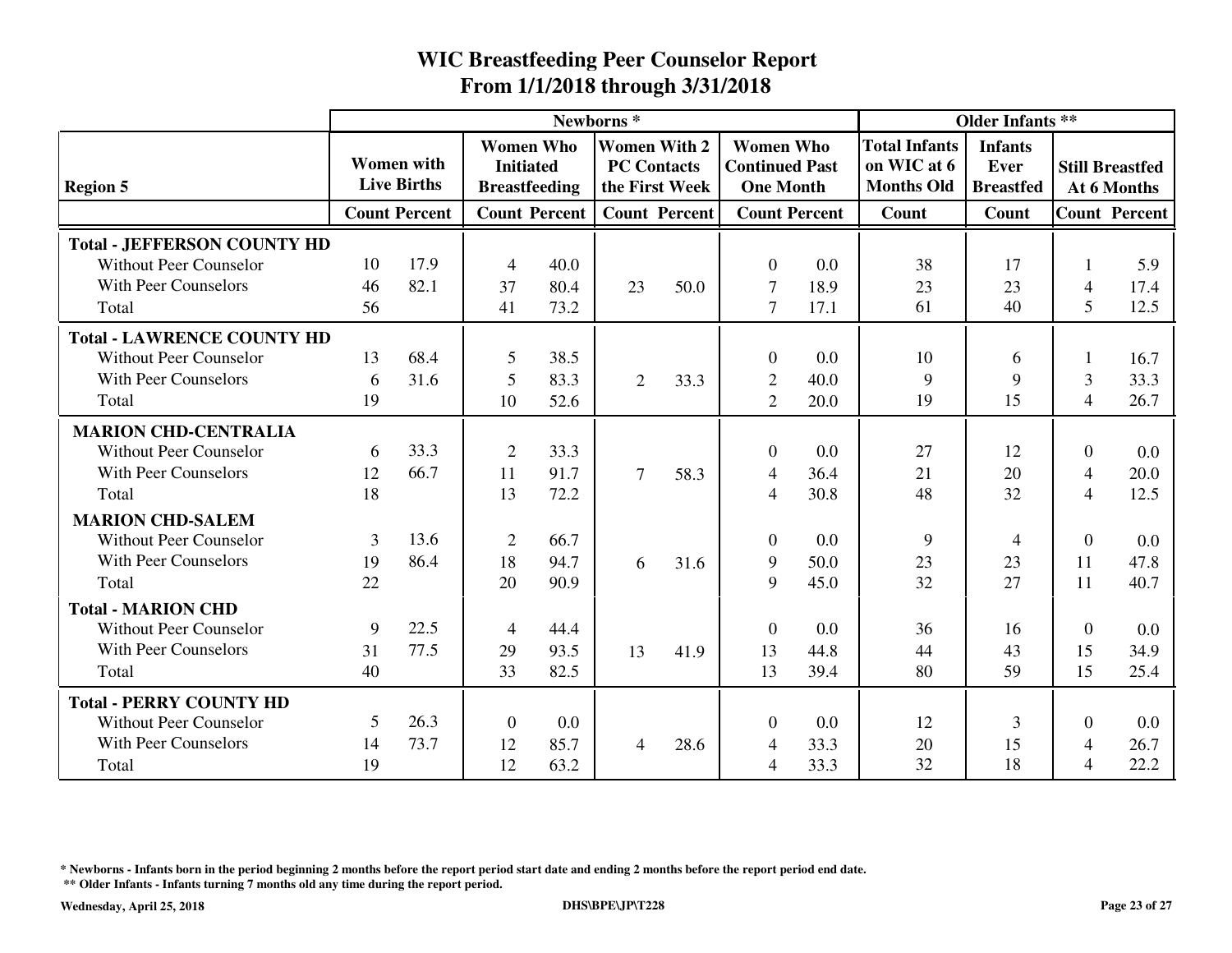|                                    |    |                                         |                                                              |                      | Newborns <sup>*</sup>                     |                      |                                                               |      |                                                          | <b>Older Infants **</b>                    |                |                                       |
|------------------------------------|----|-----------------------------------------|--------------------------------------------------------------|----------------------|-------------------------------------------|----------------------|---------------------------------------------------------------|------|----------------------------------------------------------|--------------------------------------------|----------------|---------------------------------------|
| <b>Region 5</b>                    |    | <b>Women</b> with<br><b>Live Births</b> | <b>Women Who</b><br><b>Initiated</b><br><b>Breastfeeding</b> |                      | <b>Women With 2</b><br><b>PC Contacts</b> | the First Week       | <b>Women Who</b><br><b>Continued Past</b><br><b>One Month</b> |      | <b>Total Infants</b><br>on WIC at 6<br><b>Months Old</b> | <b>Infants</b><br>Ever<br><b>Breastfed</b> |                | <b>Still Breastfed</b><br>At 6 Months |
|                                    |    | <b>Count Percent</b>                    |                                                              | <b>Count Percent</b> |                                           | <b>Count Percent</b> | <b>Count Percent</b>                                          |      | Count                                                    | Count                                      |                | <b>Count Percent</b>                  |
| <b>Total - JEFFERSON COUNTY HD</b> |    |                                         |                                                              |                      |                                           |                      |                                                               |      |                                                          |                                            |                |                                       |
| <b>Without Peer Counselor</b>      | 10 | 17.9                                    | $\overline{4}$                                               | 40.0                 |                                           |                      | $\overline{0}$                                                | 0.0  | 38                                                       | 17                                         |                | 5.9                                   |
| <b>With Peer Counselors</b>        | 46 | 82.1                                    | 37                                                           | 80.4                 | 23                                        | 50.0                 | $\overline{7}$                                                | 18.9 | 23                                                       | 23                                         | 4              | 17.4                                  |
| Total                              | 56 |                                         | 41                                                           | 73.2                 |                                           |                      | $\tau$                                                        | 17.1 | 61                                                       | 40                                         | 5              | 12.5                                  |
| <b>Total - LAWRENCE COUNTY HD</b>  |    |                                         |                                                              |                      |                                           |                      |                                                               |      |                                                          |                                            |                |                                       |
| <b>Without Peer Counselor</b>      | 13 | 68.4                                    | 5                                                            | 38.5                 |                                           |                      | $\overline{0}$                                                | 0.0  | 10                                                       | 6                                          |                | 16.7                                  |
| <b>With Peer Counselors</b>        | 6  | 31.6                                    | 5                                                            | 83.3                 | 2                                         | 33.3                 | $\overline{2}$                                                | 40.0 | 9                                                        | 9                                          | $\overline{3}$ | 33.3                                  |
| Total                              | 19 |                                         | 10                                                           | 52.6                 |                                           |                      | $\overline{2}$                                                | 20.0 | 19                                                       | 15                                         | $\overline{4}$ | 26.7                                  |
| <b>MARION CHD-CENTRALIA</b>        |    |                                         |                                                              |                      |                                           |                      |                                                               |      |                                                          |                                            |                |                                       |
| <b>Without Peer Counselor</b>      | 6  | 33.3                                    | $\overline{2}$                                               | 33.3                 |                                           |                      | $\overline{0}$                                                | 0.0  | 27                                                       | 12                                         | $\overline{0}$ | 0.0                                   |
| <b>With Peer Counselors</b>        | 12 | 66.7                                    | 11                                                           | 91.7                 | $\overline{7}$                            | 58.3                 | 4                                                             | 36.4 | 21                                                       | 20                                         | $\overline{4}$ | 20.0                                  |
| Total                              | 18 |                                         | 13                                                           | 72.2                 |                                           |                      | $\overline{4}$                                                | 30.8 | 48                                                       | 32                                         | $\overline{4}$ | 12.5                                  |
| <b>MARION CHD-SALEM</b>            |    |                                         |                                                              |                      |                                           |                      |                                                               |      |                                                          |                                            |                |                                       |
| <b>Without Peer Counselor</b>      | 3  | 13.6                                    | $\overline{2}$                                               | 66.7                 |                                           |                      | $\theta$                                                      | 0.0  | 9                                                        | 4                                          | $\Omega$       | 0.0                                   |
| <b>With Peer Counselors</b>        | 19 | 86.4                                    | 18                                                           | 94.7                 | 6                                         | 31.6                 | 9                                                             | 50.0 | 23                                                       | 23                                         | 11             | 47.8                                  |
| Total                              | 22 |                                         | 20                                                           | 90.9                 |                                           |                      | 9                                                             | 45.0 | 32                                                       | 27                                         | 11             | 40.7                                  |
| <b>Total - MARION CHD</b>          |    |                                         |                                                              |                      |                                           |                      |                                                               |      |                                                          |                                            |                |                                       |
| <b>Without Peer Counselor</b>      | 9  | 22.5                                    | 4                                                            | 44.4                 |                                           |                      | $\overline{0}$                                                | 0.0  | 36                                                       | 16                                         | $\theta$       | 0.0                                   |
| <b>With Peer Counselors</b>        | 31 | 77.5                                    | 29                                                           | 93.5                 | 13                                        | 41.9                 | 13                                                            | 44.8 | 44                                                       | 43                                         | 15             | 34.9                                  |
| Total                              | 40 |                                         | 33                                                           | 82.5                 |                                           |                      | 13                                                            | 39.4 | 80                                                       | 59                                         | 15             | 25.4                                  |
| <b>Total - PERRY COUNTY HD</b>     |    |                                         |                                                              |                      |                                           |                      |                                                               |      |                                                          |                                            |                |                                       |
| Without Peer Counselor             | 5  | 26.3                                    | $\boldsymbol{0}$                                             | 0.0                  |                                           |                      | $\theta$                                                      | 0.0  | 12                                                       | 3                                          | $\Omega$       | 0.0                                   |
| <b>With Peer Counselors</b>        | 14 | 73.7                                    | 12                                                           | 85.7                 | $\overline{4}$                            | 28.6                 | 4                                                             | 33.3 | 20                                                       | 15                                         | 4              | 26.7                                  |
| Total                              | 19 |                                         | 12                                                           | 63.2                 |                                           |                      | 4                                                             | 33.3 | 32                                                       | 18                                         | $\overline{4}$ | 22.2                                  |

**\* Newborns - Infants born in the period beginning 2 months before the report period start date and ending 2 months before the report period end date.**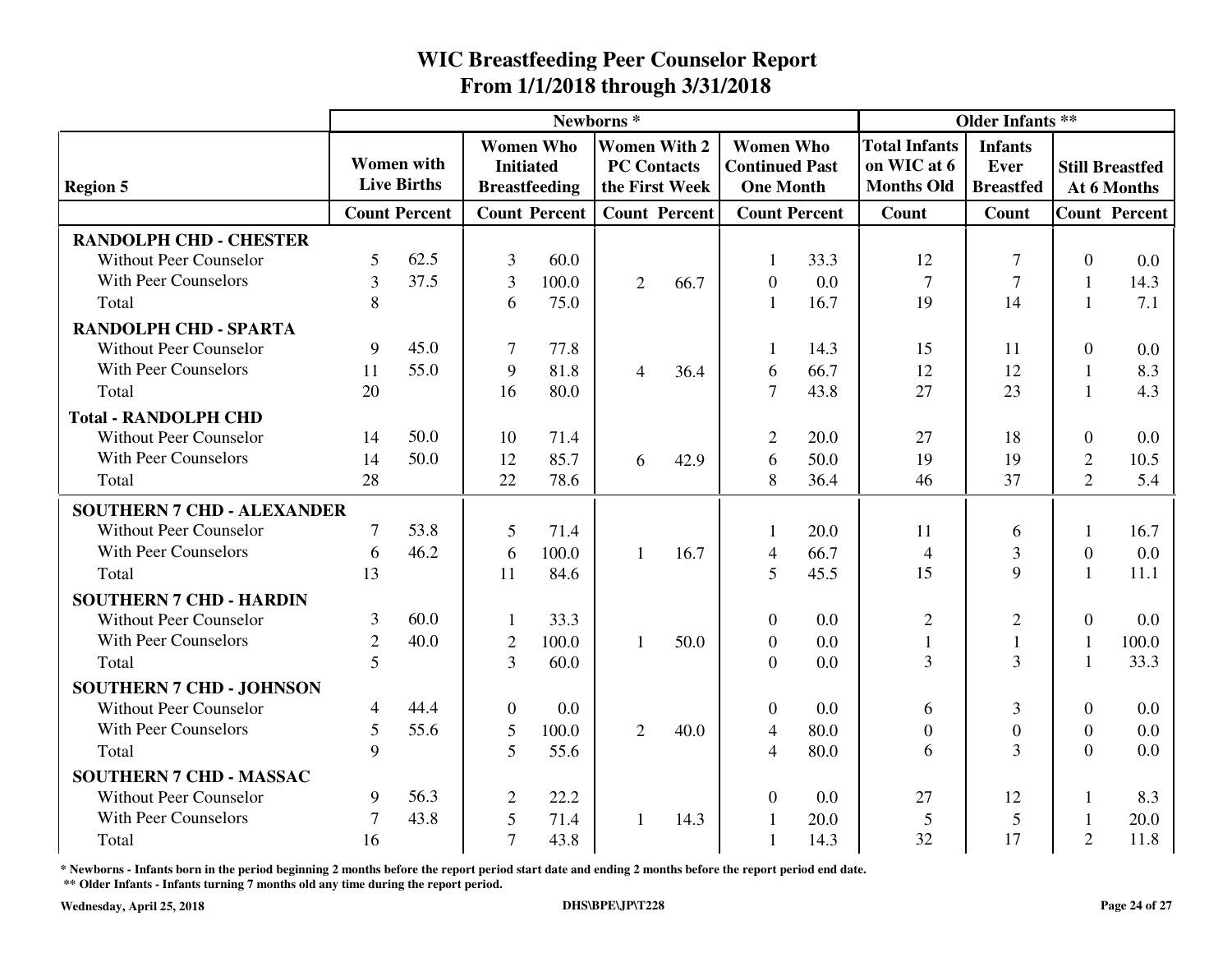|                                   |                |                                         |                |                                                              | Newborns*      |                                                             |                                                               | <b>Older Infants **</b> |                                                          |                                            |                  |                                       |
|-----------------------------------|----------------|-----------------------------------------|----------------|--------------------------------------------------------------|----------------|-------------------------------------------------------------|---------------------------------------------------------------|-------------------------|----------------------------------------------------------|--------------------------------------------|------------------|---------------------------------------|
| <b>Region 5</b>                   |                | <b>Women</b> with<br><b>Live Births</b> |                | <b>Women Who</b><br><b>Initiated</b><br><b>Breastfeeding</b> |                | <b>Women With 2</b><br><b>PC Contacts</b><br>the First Week | <b>Women Who</b><br><b>Continued Past</b><br><b>One Month</b> |                         | <b>Total Infants</b><br>on WIC at 6<br><b>Months Old</b> | <b>Infants</b><br>Ever<br><b>Breastfed</b> |                  | <b>Still Breastfed</b><br>At 6 Months |
|                                   |                | <b>Count Percent</b>                    |                | <b>Count Percent</b>                                         |                | <b>Count Percent</b>                                        |                                                               | <b>Count Percent</b>    | <b>Count</b>                                             | Count                                      |                  | <b>Count Percent</b>                  |
| <b>RANDOLPH CHD - CHESTER</b>     |                |                                         |                |                                                              |                |                                                             |                                                               |                         |                                                          |                                            |                  |                                       |
| <b>Without Peer Counselor</b>     | 5              | 62.5                                    | 3              | 60.0                                                         |                |                                                             |                                                               | 33.3                    | 12                                                       | 7                                          | $\overline{0}$   | 0.0                                   |
| <b>With Peer Counselors</b>       | $\overline{3}$ | 37.5                                    | 3              | 100.0                                                        | $\overline{2}$ | 66.7                                                        | $\Omega$                                                      | 0.0                     | $\overline{7}$                                           | $\tau$                                     |                  | 14.3                                  |
| Total                             | 8              |                                         | 6              | 75.0                                                         |                |                                                             |                                                               | 16.7                    | 19                                                       | 14                                         |                  | 7.1                                   |
| <b>RANDOLPH CHD - SPARTA</b>      |                |                                         |                |                                                              |                |                                                             |                                                               |                         |                                                          |                                            |                  |                                       |
| <b>Without Peer Counselor</b>     | 9              | 45.0                                    | $\tau$         | 77.8                                                         |                |                                                             |                                                               | 14.3                    | 15                                                       | 11                                         | $\Omega$         | 0.0                                   |
| <b>With Peer Counselors</b>       | 11             | 55.0                                    | 9              | 81.8                                                         | $\overline{4}$ | 36.4                                                        | 6                                                             | 66.7                    | 12                                                       | 12                                         |                  | 8.3                                   |
| Total                             | 20             |                                         | 16             | 80.0                                                         |                |                                                             | $\tau$                                                        | 43.8                    | 27                                                       | 23                                         |                  | 4.3                                   |
| <b>Total - RANDOLPH CHD</b>       |                |                                         |                |                                                              |                |                                                             |                                                               |                         |                                                          |                                            |                  |                                       |
| <b>Without Peer Counselor</b>     | 14             | 50.0                                    | 10             | 71.4                                                         |                |                                                             | $\overline{2}$                                                | 20.0                    | 27                                                       | 18                                         | $\Omega$         | 0.0                                   |
| <b>With Peer Counselors</b>       | 14             | 50.0                                    | 12             | 85.7                                                         | 6              | 42.9                                                        | 6                                                             | 50.0                    | 19                                                       | 19                                         | $\overline{2}$   | 10.5                                  |
| Total                             | 28             |                                         | 22             | 78.6                                                         |                |                                                             | 8                                                             | 36.4                    | 46                                                       | 37                                         | $\overline{2}$   | 5.4                                   |
| <b>SOUTHERN 7 CHD - ALEXANDER</b> |                |                                         |                |                                                              |                |                                                             |                                                               |                         |                                                          |                                            |                  |                                       |
| <b>Without Peer Counselor</b>     | 7              | 53.8                                    | 5              | 71.4                                                         |                |                                                             |                                                               | 20.0                    | 11                                                       | 6                                          | 1                | 16.7                                  |
| <b>With Peer Counselors</b>       | 6              | 46.2                                    | 6              | 100.0                                                        | 1              | 16.7                                                        | $\overline{4}$                                                | 66.7                    | $\overline{4}$                                           | 3                                          | $\boldsymbol{0}$ | 0.0                                   |
| Total                             | 13             |                                         | 11             | 84.6                                                         |                |                                                             | 5                                                             | 45.5                    | 15                                                       | 9                                          | $\mathbf{1}$     | 11.1                                  |
| <b>SOUTHERN 7 CHD - HARDIN</b>    |                |                                         |                |                                                              |                |                                                             |                                                               |                         |                                                          |                                            |                  |                                       |
| <b>Without Peer Counselor</b>     | 3              | 60.0                                    | 1              | 33.3                                                         |                |                                                             | $\Omega$                                                      | 0.0                     | $\overline{2}$                                           | $\mathfrak{2}$                             | $\Omega$         | 0.0                                   |
| <b>With Peer Counselors</b>       | $\overline{2}$ | 40.0                                    | $\overline{2}$ | 100.0                                                        | $\mathbf{1}$   | 50.0                                                        | $\overline{0}$                                                | 0.0                     | 1                                                        | $\mathbf{1}$                               | $\mathbf{1}$     | 100.0                                 |
| Total                             | 5              |                                         | $\overline{3}$ | 60.0                                                         |                |                                                             | $\Omega$                                                      | 0.0                     | 3                                                        | 3                                          |                  | 33.3                                  |
| <b>SOUTHERN 7 CHD - JOHNSON</b>   |                |                                         |                |                                                              |                |                                                             |                                                               |                         |                                                          |                                            |                  |                                       |
| <b>Without Peer Counselor</b>     | $\overline{4}$ | 44.4                                    | $\overline{0}$ | 0.0                                                          |                |                                                             | $\theta$                                                      | 0.0                     | 6                                                        | 3                                          | $\Omega$         | 0.0                                   |
| <b>With Peer Counselors</b>       | 5              | 55.6                                    | 5              | 100.0                                                        | 2              | 40.0                                                        | 4                                                             | 80.0                    | $\overline{0}$                                           | $\boldsymbol{0}$                           | $\Omega$         | 0.0                                   |
| Total                             | 9              |                                         | 5              | 55.6                                                         |                |                                                             | 4                                                             | 80.0                    | 6                                                        | $\overline{3}$                             | $\Omega$         | 0.0                                   |
| <b>SOUTHERN 7 CHD - MASSAC</b>    |                |                                         |                |                                                              |                |                                                             |                                                               |                         |                                                          |                                            |                  |                                       |
| <b>Without Peer Counselor</b>     | 9              | 56.3                                    | $\mathfrak{2}$ | 22.2                                                         |                |                                                             | $\Omega$                                                      | 0.0                     | 27                                                       | 12                                         | 1                | 8.3                                   |
| <b>With Peer Counselors</b>       | 7              | 43.8                                    | 5              | 71.4                                                         | $\mathbf{1}$   | 14.3                                                        |                                                               | 20.0                    | 5                                                        | 5                                          |                  | 20.0                                  |
| Total                             | 16             |                                         | $\overline{7}$ | 43.8                                                         |                |                                                             |                                                               | 14.3                    | 32                                                       | 17                                         | $\overline{2}$   | 11.8                                  |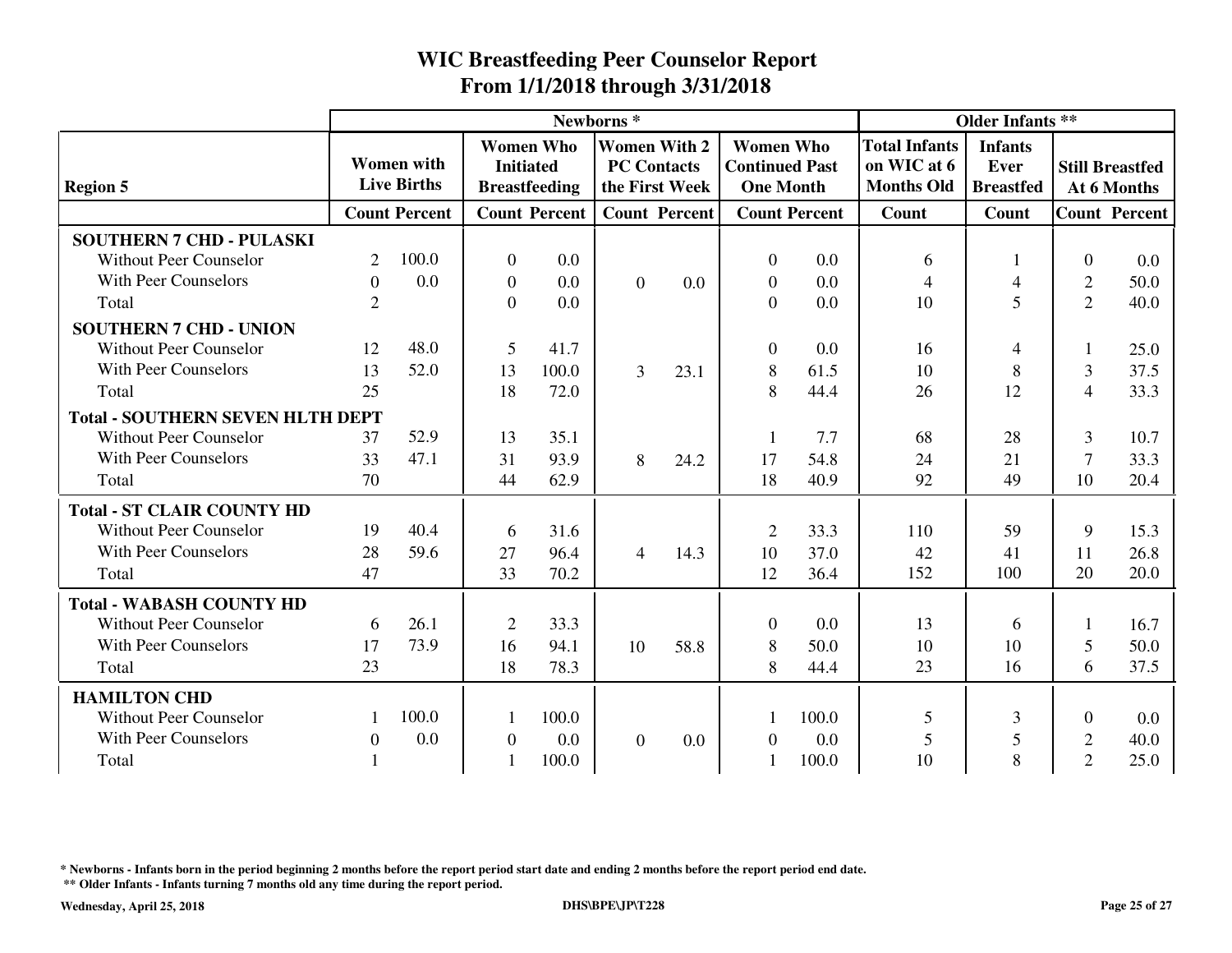|                                         |                                         |                      |                                                              | Newborns <sup>*</sup> | <b>Older Infants **</b>                                     |                      |                                                               |                      |                                                                                                        |                |                                       |                      |
|-----------------------------------------|-----------------------------------------|----------------------|--------------------------------------------------------------|-----------------------|-------------------------------------------------------------|----------------------|---------------------------------------------------------------|----------------------|--------------------------------------------------------------------------------------------------------|----------------|---------------------------------------|----------------------|
| <b>Region 5</b>                         | <b>Women</b> with<br><b>Live Births</b> |                      | <b>Women Who</b><br><b>Initiated</b><br><b>Breastfeeding</b> |                       | <b>Women With 2</b><br><b>PC Contacts</b><br>the First Week |                      | <b>Women Who</b><br><b>Continued Past</b><br><b>One Month</b> |                      | <b>Total Infants</b><br><b>Infants</b><br>on WIC at 6<br>Ever<br><b>Months Old</b><br><b>Breastfed</b> |                | <b>Still Breastfed</b><br>At 6 Months |                      |
|                                         |                                         | <b>Count Percent</b> |                                                              | <b>Count Percent</b>  |                                                             | <b>Count Percent</b> |                                                               | <b>Count Percent</b> | Count                                                                                                  | Count          |                                       | <b>Count Percent</b> |
| <b>SOUTHERN 7 CHD - PULASKI</b>         |                                         |                      |                                                              |                       |                                                             |                      |                                                               |                      |                                                                                                        |                |                                       |                      |
| <b>Without Peer Counselor</b>           | 2                                       | 100.0                | $\overline{0}$                                               | 0.0                   |                                                             |                      | $\theta$                                                      | 0.0                  | 6                                                                                                      | 1              | $\Omega$                              | 0.0                  |
| <b>With Peer Counselors</b>             | $\Omega$                                | 0.0                  | $\overline{0}$                                               | 0.0                   | $\Omega$                                                    | 0.0                  | $\overline{0}$                                                | 0.0                  | $\overline{4}$                                                                                         | $\overline{4}$ | $\overline{2}$                        | 50.0                 |
| Total                                   | $\overline{2}$                          |                      | $\overline{0}$                                               | 0.0                   |                                                             |                      | $\Omega$                                                      | 0.0                  | 10                                                                                                     | 5              | $\overline{2}$                        | 40.0                 |
| <b>SOUTHERN 7 CHD - UNION</b>           |                                         |                      |                                                              |                       |                                                             |                      |                                                               |                      |                                                                                                        |                |                                       |                      |
| <b>Without Peer Counselor</b>           | 12                                      | 48.0                 | 5                                                            | 41.7                  |                                                             |                      | $\theta$                                                      | 0.0                  | 16                                                                                                     | 4              |                                       | 25.0                 |
| <b>With Peer Counselors</b>             | 13                                      | 52.0                 | 13                                                           | 100.0                 | 3                                                           | 23.1                 | 8                                                             | 61.5                 | 10                                                                                                     | 8              | 3                                     | 37.5                 |
| Total                                   | 25                                      |                      | 18                                                           | 72.0                  |                                                             |                      | 8                                                             | 44.4                 | 26                                                                                                     | 12             | $\overline{4}$                        | 33.3                 |
| <b>Total - SOUTHERN SEVEN HLTH DEPT</b> |                                         |                      |                                                              |                       |                                                             |                      |                                                               |                      |                                                                                                        |                |                                       |                      |
| <b>Without Peer Counselor</b>           | 37                                      | 52.9                 | 13                                                           | 35.1                  |                                                             |                      |                                                               | 7.7                  | 68                                                                                                     | 28             | 3                                     | 10.7                 |
| <b>With Peer Counselors</b>             | 33                                      | 47.1                 | 31                                                           | 93.9                  | 8                                                           | 24.2                 | 17                                                            | 54.8                 | 24                                                                                                     | 21             | $\overline{7}$                        | 33.3                 |
| Total                                   | 70                                      |                      | 44                                                           | 62.9                  |                                                             |                      | 18                                                            | 40.9                 | 92                                                                                                     | 49             | 10                                    | 20.4                 |
| <b>Total - ST CLAIR COUNTY HD</b>       |                                         |                      |                                                              |                       |                                                             |                      |                                                               |                      |                                                                                                        |                |                                       |                      |
| <b>Without Peer Counselor</b>           | 19                                      | 40.4                 | 6                                                            | 31.6                  |                                                             |                      | $\overline{2}$                                                | 33.3                 | 110                                                                                                    | 59             | 9                                     | 15.3                 |
| <b>With Peer Counselors</b>             | 28                                      | 59.6                 | 27                                                           | 96.4                  | $\overline{4}$                                              | 14.3                 | 10                                                            | 37.0                 | 42                                                                                                     | 41             | 11                                    | 26.8                 |
| Total                                   | 47                                      |                      | 33                                                           | 70.2                  |                                                             |                      | 12                                                            | 36.4                 | 152                                                                                                    | 100            | 20                                    | 20.0                 |
| <b>Total - WABASH COUNTY HD</b>         |                                         |                      |                                                              |                       |                                                             |                      |                                                               |                      |                                                                                                        |                |                                       |                      |
| <b>Without Peer Counselor</b>           | 6                                       | 26.1                 | $\overline{2}$                                               | 33.3                  |                                                             |                      | $\overline{0}$                                                | 0.0                  | 13                                                                                                     | 6              |                                       | 16.7                 |
| <b>With Peer Counselors</b>             | 17                                      | 73.9                 | 16                                                           | 94.1                  | 10                                                          | 58.8                 | 8                                                             | 50.0                 | 10                                                                                                     | 10             | 5                                     | 50.0                 |
| Total                                   | 23                                      |                      | 18                                                           | 78.3                  |                                                             |                      | 8                                                             | 44.4                 | 23                                                                                                     | 16             | 6                                     | 37.5                 |
| <b>HAMILTON CHD</b>                     |                                         |                      |                                                              |                       |                                                             |                      |                                                               |                      |                                                                                                        |                |                                       |                      |
| <b>Without Peer Counselor</b>           |                                         | 100.0                | 1                                                            | 100.0                 |                                                             |                      |                                                               | 100.0                | 5                                                                                                      | 3              | $\Omega$                              | 0.0                  |
| <b>With Peer Counselors</b>             | $\Omega$                                | 0.0                  | $\overline{0}$                                               | 0.0                   | $\Omega$                                                    | 0.0                  | 0                                                             | 0.0                  | 5                                                                                                      | 5              | $\overline{2}$                        | 40.0                 |
| Total                                   |                                         |                      |                                                              | 100.0                 |                                                             |                      |                                                               | 100.0                | 10                                                                                                     | 8              | $\overline{2}$                        | 25.0                 |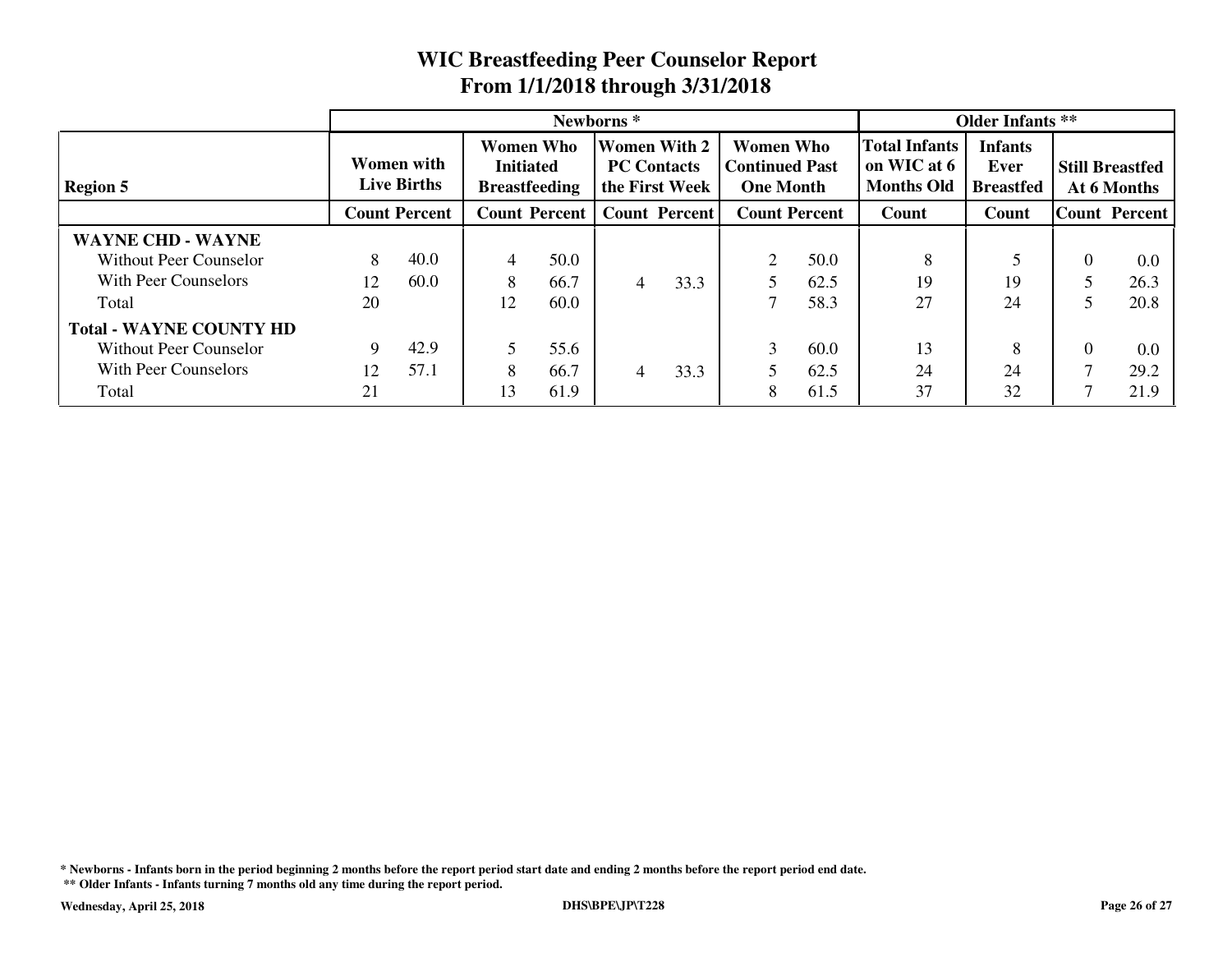|                                |                                  |      |                                                              | Newborns <sup>*</sup> | <b>Older Infants</b> **                                     |                      |                                                        |      |                                                          |                                            |                      |                                       |
|--------------------------------|----------------------------------|------|--------------------------------------------------------------|-----------------------|-------------------------------------------------------------|----------------------|--------------------------------------------------------|------|----------------------------------------------------------|--------------------------------------------|----------------------|---------------------------------------|
| <b>Region 5</b>                | Women with<br><b>Live Births</b> |      | <b>Women Who</b><br><b>Initiated</b><br><b>Breastfeeding</b> |                       | <b>Women With 2</b><br><b>PC Contacts</b><br>the First Week |                      | Women Who<br><b>Continued Past</b><br><b>One Month</b> |      | <b>Total Infants</b><br>on WIC at 6<br><b>Months Old</b> | <b>Infants</b><br>Ever<br><b>Breastfed</b> |                      | <b>Still Breastfed</b><br>At 6 Months |
|                                | <b>Count Percent</b>             |      | <b>Count Percent</b>                                         |                       |                                                             | <b>Count Percent</b> | <b>Count Percent</b>                                   |      | Count                                                    | Count                                      | <b>Count Percent</b> |                                       |
| <b>WAYNE CHD - WAYNE</b>       |                                  |      |                                                              |                       |                                                             |                      |                                                        |      |                                                          |                                            |                      |                                       |
| Without Peer Counselor         | 8                                | 40.0 | 4                                                            | 50.0                  |                                                             |                      |                                                        | 50.0 | 8                                                        |                                            |                      | 0.0                                   |
| With Peer Counselors           | 12                               | 60.0 | 8                                                            | 66.7                  | 4                                                           | 33.3                 |                                                        | 62.5 | 19                                                       | 19                                         |                      | 26.3                                  |
| Total                          | 20                               |      | 12                                                           | 60.0                  |                                                             |                      |                                                        | 58.3 | 27                                                       | 24                                         |                      | 20.8                                  |
| <b>Total - WAYNE COUNTY HD</b> |                                  |      |                                                              |                       |                                                             |                      |                                                        |      |                                                          |                                            |                      |                                       |
| Without Peer Counselor         | 9                                | 42.9 | 5                                                            | 55.6                  |                                                             |                      | 3                                                      | 60.0 | 13                                                       | 8                                          |                      | 0.0                                   |
| With Peer Counselors           | 12                               | 57.1 | 8                                                            | 66.7                  | 4                                                           | 33.3                 |                                                        | 62.5 | 24                                                       | 24                                         |                      | 29.2                                  |
| Total                          | 21                               |      | 13                                                           | 61.9                  |                                                             |                      | 8                                                      | 61.5 | 37                                                       | 32                                         |                      | 21.9                                  |

**\* Newborns - Infants born in the period beginning 2 months before the report period start date and ending 2 months before the report period end date.**

**\*\* Older Infants - Infants turning 7 months old any time during the report period.**